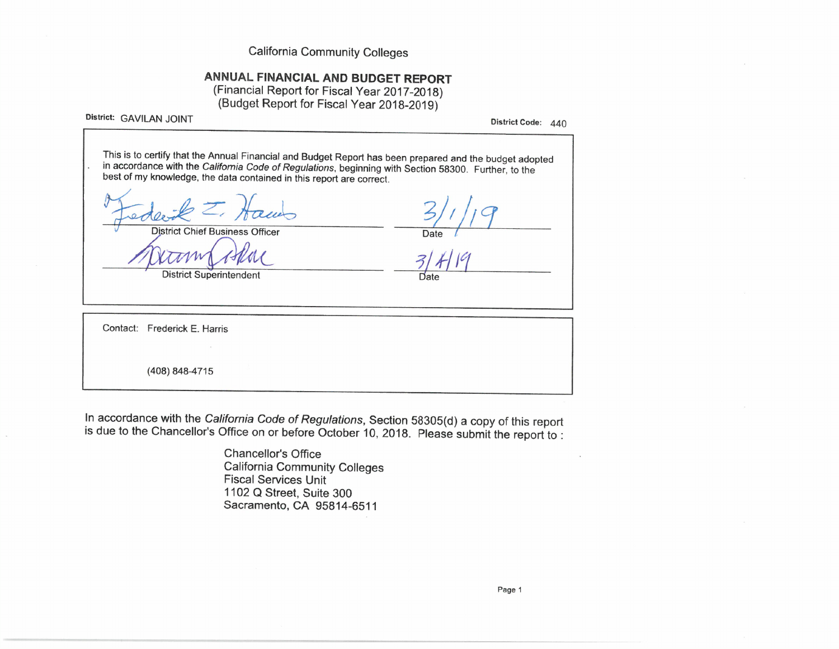**California Community Colleges** 

# ANNUAL FINANCIAL AND BUDGET REPORT

(Financial Report for Fiscal Year 2017-2018) (Budget Report for Fiscal Year 2018-2019)

District: GAVILAN JOINT

District Code: 440

This is to certify that the Annual Financial and Budget Report has been prepared and the budget adopted in accordance with the California Code of Regulations, beginning with Section 58300. Further, to the best of my knowledge, the data contained in this report are correct.

**District Chief Business Officer** 

**District Superintendent** 

Date

Contact: Frederick E. Harris (408) 848-4715

In accordance with the California Code of Regulations, Section 58305(d) a copy of this report is due to the Chancellor's Office on or before October 10, 2018. Please submit the report to :

> **Chancellor's Office California Community Colleges Fiscal Services Unit** 1102 Q Street, Suite 300 Sacramento, CA 95814-6511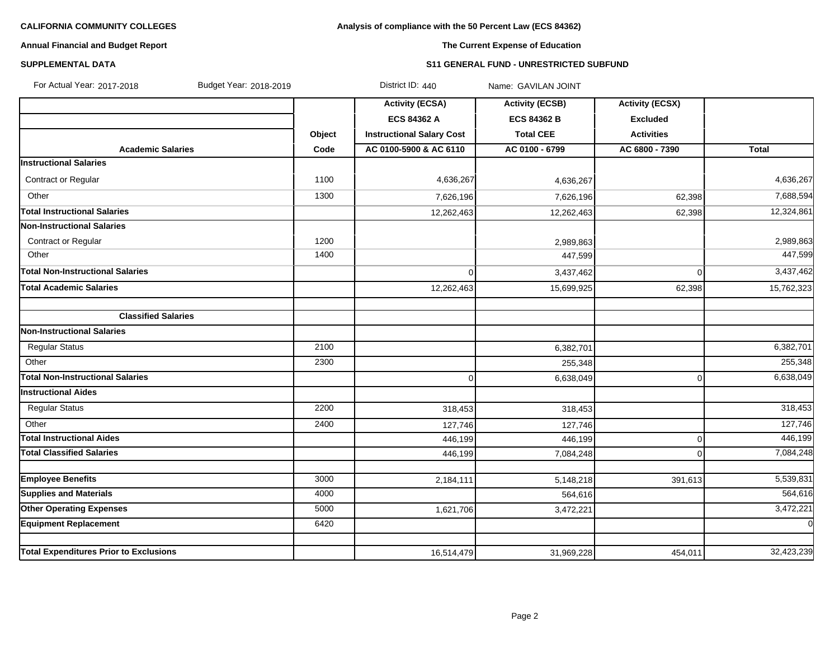# **Analysis of compliance with the 50 Percent Law (ECS 84362)**

# **Annual Financial and Budget Report**

# **The Current Expense of Education**

### **SUPPLEMENTAL DATA S11 GENERAL FUND - UNRESTRICTED SUBFUND**

| For Actual Year: 2017-2018<br>Budget Year: 2018-2019 |        | District ID: 440                 | Name: GAVILAN JOINT    |                        |              |
|------------------------------------------------------|--------|----------------------------------|------------------------|------------------------|--------------|
|                                                      |        | <b>Activity (ECSA)</b>           | <b>Activity (ECSB)</b> | <b>Activity (ECSX)</b> |              |
|                                                      |        | <b>ECS 84362 A</b>               | <b>ECS 84362 B</b>     | <b>Excluded</b>        |              |
|                                                      | Object | <b>Instructional Salary Cost</b> | <b>Total CEE</b>       | <b>Activities</b>      |              |
| <b>Academic Salaries</b>                             | Code   | AC 0100-5900 & AC 6110           | AC 0100 - 6799         | AC 6800 - 7390         | <b>Total</b> |
| <b>Instructional Salaries</b>                        |        |                                  |                        |                        |              |
| Contract or Regular                                  | 1100   | 4,636,267                        | 4,636,267              |                        | 4,636,267    |
| Other                                                | 1300   | 7,626,196                        | 7,626,196              | 62,398                 | 7,688,594    |
| <b>Total Instructional Salaries</b>                  |        | 12,262,463                       | 12,262,463             | 62,398                 | 12,324,861   |
| Non-Instructional Salaries                           |        |                                  |                        |                        |              |
| <b>Contract or Regular</b>                           | 1200   |                                  | 2,989,863              |                        | 2,989,863    |
| Other                                                | 1400   |                                  | 447,599                |                        | 447,599      |
| Total Non-Instructional Salaries                     |        | $\mathbf 0$                      | 3,437,462              | $\mathbf 0$            | 3,437,462    |
| <b>Total Academic Salaries</b>                       |        | 12,262,463                       | 15,699,925             | 62,398                 | 15,762,323   |
| <b>Classified Salaries</b>                           |        |                                  |                        |                        |              |
| <b>Non-Instructional Salaries</b>                    |        |                                  |                        |                        |              |
| <b>Regular Status</b>                                | 2100   |                                  | 6,382,701              |                        | 6,382,701    |
| Other                                                | 2300   |                                  | 255,348                |                        | 255,348      |
| <b>Total Non-Instructional Salaries</b>              |        | $\mathbf 0$                      | 6,638,049              | $\mathbf 0$            | 6,638,049    |
| <b>Instructional Aides</b>                           |        |                                  |                        |                        |              |
| <b>Regular Status</b>                                | 2200   | 318,453                          | 318,453                |                        | 318,453      |
| Other                                                | 2400   | 127,746                          | 127,746                |                        | 127,746      |
| <b>Total Instructional Aides</b>                     |        | 446,199                          | 446,199                | 0                      | 446,199      |
| <b>Total Classified Salaries</b>                     |        | 446,199                          | 7,084,248              | $\Omega$               | 7,084,248    |
|                                                      |        |                                  |                        |                        |              |
| <b>Employee Benefits</b>                             | 3000   | 2,184,111                        | 5,148,218              | 391,613                | 5,539,831    |
| <b>Supplies and Materials</b>                        | 4000   |                                  | 564,616                |                        | 564,616      |
| <b>Other Operating Expenses</b>                      | 5000   | 1,621,706                        | 3,472,221              |                        | 3,472,221    |
| <b>Equipment Replacement</b>                         | 6420   |                                  |                        |                        | $\mathbf 0$  |
| <b>Total Expenditures Prior to Exclusions</b>        |        | 16,514,479                       | 31,969,228             | 454,011                | 32,423,239   |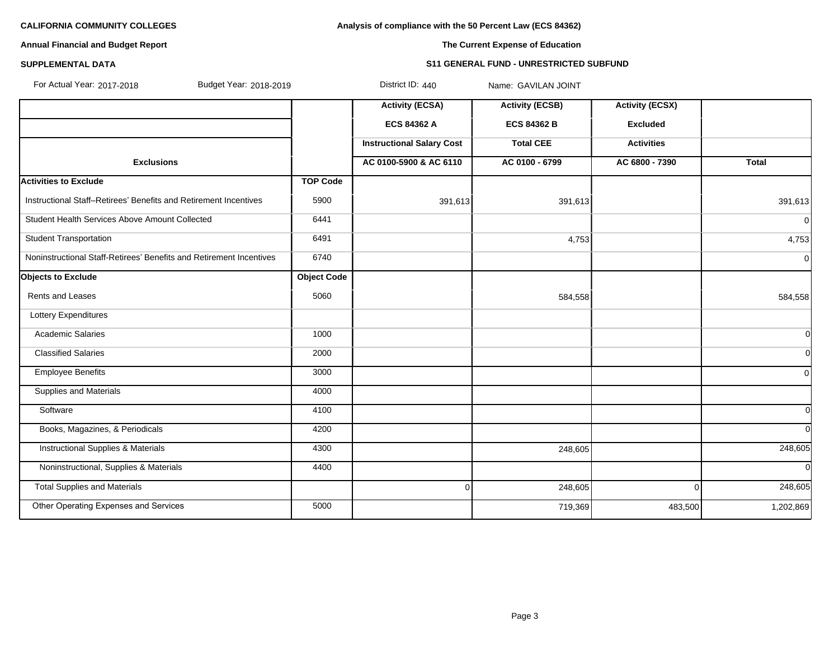**Analysis of compliance with the 50 Percent Law (ECS 84362)**

# **Annual Financial and Budget Report**

**The Current Expense of Education**

### **SUPPLEMENTAL DATA S11 GENERAL FUND - UNRESTRICTED SUBFUND**

| For Actual Year: 2017-2018<br>Budget Year: 2018-2019                |                    | District ID: 440                 | Name: GAVILAN JOINT    |                        |              |
|---------------------------------------------------------------------|--------------------|----------------------------------|------------------------|------------------------|--------------|
|                                                                     |                    | <b>Activity (ECSA)</b>           | <b>Activity (ECSB)</b> | <b>Activity (ECSX)</b> |              |
|                                                                     |                    | <b>ECS 84362 A</b>               | <b>ECS 84362 B</b>     | <b>Excluded</b>        |              |
|                                                                     |                    | <b>Instructional Salary Cost</b> | <b>Total CEE</b>       | <b>Activities</b>      |              |
| <b>Exclusions</b>                                                   |                    | AC 0100-5900 & AC 6110           | AC 0100 - 6799         | AC 6800 - 7390         | Total        |
| <b>Activities to Exclude</b>                                        | <b>TOP Code</b>    |                                  |                        |                        |              |
| Instructional Staff-Retirees' Benefits and Retirement Incentives    | 5900               | 391,613                          | 391,613                |                        | 391,613      |
| Student Health Services Above Amount Collected                      | 6441               |                                  |                        |                        | 0            |
| <b>Student Transportation</b>                                       | 6491               |                                  | 4,753                  |                        | 4,753        |
| Noninstructional Staff-Retirees' Benefits and Retirement Incentives | 6740               |                                  |                        |                        | 0            |
| <b>Objects to Exclude</b>                                           | <b>Object Code</b> |                                  |                        |                        |              |
| <b>Rents and Leases</b>                                             | 5060               |                                  | 584,558                |                        | 584,558      |
| Lottery Expenditures                                                |                    |                                  |                        |                        |              |
| <b>Academic Salaries</b>                                            | 1000               |                                  |                        |                        | 0l           |
| <b>Classified Salaries</b>                                          | 2000               |                                  |                        |                        | 0l           |
| <b>Employee Benefits</b>                                            | 3000               |                                  |                        |                        | $\Omega$     |
| <b>Supplies and Materials</b>                                       | 4000               |                                  |                        |                        |              |
| Software                                                            | 4100               |                                  |                        |                        | 0l           |
| Books, Magazines, & Periodicals                                     | 4200               |                                  |                        |                        | 0l           |
| <b>Instructional Supplies &amp; Materials</b>                       | 4300               |                                  | 248,605                |                        | 248,605      |
| Noninstructional, Supplies & Materials                              | 4400               |                                  |                        |                        | <sup>0</sup> |
| <b>Total Supplies and Materials</b>                                 |                    | $\mathbf 0$                      | 248,605                | $\cap$                 | 248,605      |
| Other Operating Expenses and Services                               | 5000               |                                  | 719,369                | 483,500                | 1,202,869    |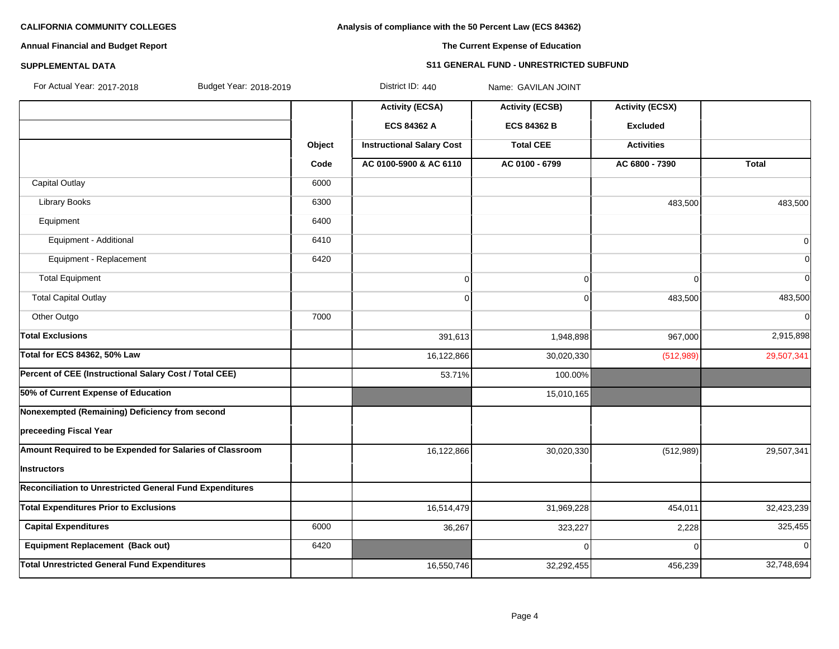# **Analysis of compliance with the 50 Percent Law (ECS 84362)**

# **Annual Financial and Budget Report**

# **The Current Expense of Education**

# **SUPPLEMENTAL DATA S11 GENERAL FUND - UNRESTRICTED SUBFUND**

| For Actual Year: 2017-2018 |  |
|----------------------------|--|

Budget Year: 2018-2019 **Budget Year: 2018-2019** District ID: 440 Name: GAVILAN JOINT

|                                                          |        | <b>Activity (ECSA)</b>           | <b>Activity (ECSB)</b> | <b>Activity (ECSX)</b> |              |
|----------------------------------------------------------|--------|----------------------------------|------------------------|------------------------|--------------|
|                                                          |        | <b>ECS 84362 A</b>               | <b>ECS 84362 B</b>     | <b>Excluded</b>        |              |
|                                                          | Object | <b>Instructional Salary Cost</b> | <b>Total CEE</b>       | <b>Activities</b>      |              |
|                                                          | Code   | AC 0100-5900 & AC 6110           | AC 0100 - 6799         | AC 6800 - 7390         | <b>Total</b> |
| <b>Capital Outlay</b>                                    | 6000   |                                  |                        |                        |              |
| <b>Library Books</b>                                     | 6300   |                                  |                        | 483,500                | 483,500      |
| Equipment                                                | 6400   |                                  |                        |                        |              |
| Equipment - Additional                                   | 6410   |                                  |                        |                        | 0            |
| Equipment - Replacement                                  | 6420   |                                  |                        |                        | $\Omega$     |
| <b>Total Equipment</b>                                   |        | 0                                | $\overline{0}$         | $\Omega$               | $\Omega$     |
| <b>Total Capital Outlay</b>                              |        | $\overline{0}$                   | $\Omega$               | 483,500                | 483,500      |
| Other Outgo                                              | 7000   |                                  |                        |                        | $\Omega$     |
| <b>Total Exclusions</b>                                  |        | 391,613                          | 1,948,898              | 967,000                | 2,915,898    |
| Total for ECS 84362, 50% Law                             |        | 16,122,866                       | 30,020,330             | (512,989)              | 29,507,341   |
| Percent of CEE (Instructional Salary Cost / Total CEE)   |        | 53.71%                           | 100.00%                |                        |              |
| 50% of Current Expense of Education                      |        |                                  | 15,010,165             |                        |              |
| Nonexempted (Remaining) Deficiency from second           |        |                                  |                        |                        |              |
| preceeding Fiscal Year                                   |        |                                  |                        |                        |              |
| Amount Required to be Expended for Salaries of Classroom |        | 16,122,866                       | 30,020,330             | (512, 989)             | 29,507,341   |
| <b>Instructors</b>                                       |        |                                  |                        |                        |              |
| Reconciliation to Unrestricted General Fund Expenditures |        |                                  |                        |                        |              |
| <b>Total Expenditures Prior to Exclusions</b>            |        | 16,514,479                       | 31,969,228             | 454,011                | 32,423,239   |
| <b>Capital Expenditures</b>                              | 6000   | 36,267                           | 323,227                | 2,228                  | 325,455      |
| Equipment Replacement (Back out)                         | 6420   |                                  | U                      | ∩                      | $\Omega$     |
| <b>Total Unrestricted General Fund Expenditures</b>      |        | 16,550,746                       | 32,292,455             | 456,239                | 32,748,694   |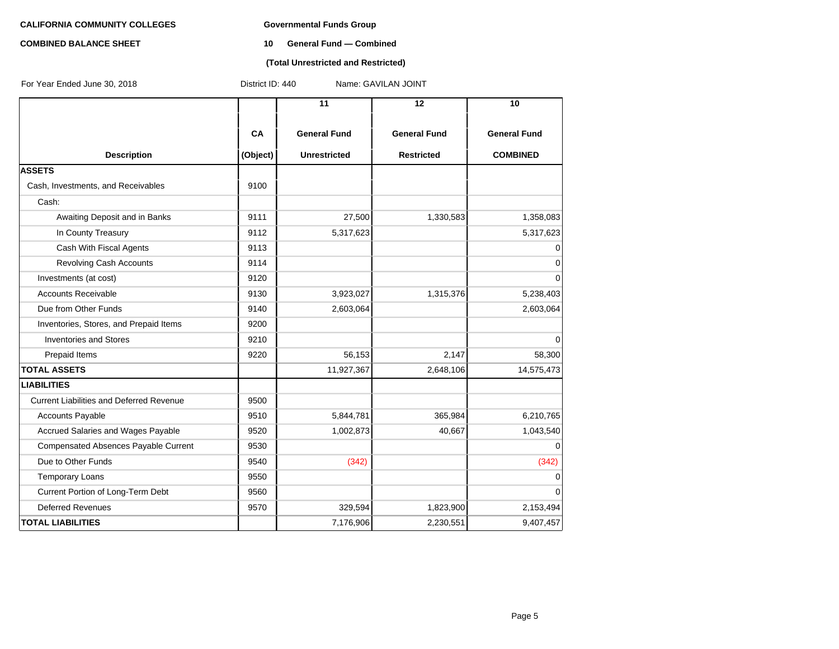### **COMBINED BALANCE SHEET 10 General Fund — Combined**

## **(Total Unrestricted and Restricted)**

| For Year Ended June 30, 2018                    | District ID: 440<br>Name: GAVILAN JOINT |                                            |                                          |                                        |  |  |
|-------------------------------------------------|-----------------------------------------|--------------------------------------------|------------------------------------------|----------------------------------------|--|--|
|                                                 |                                         | 11                                         | 12                                       | 10                                     |  |  |
| <b>Description</b>                              | CA<br>(Object)                          | <b>General Fund</b><br><b>Unrestricted</b> | <b>General Fund</b><br><b>Restricted</b> | <b>General Fund</b><br><b>COMBINED</b> |  |  |
| <b>ASSETS</b>                                   |                                         |                                            |                                          |                                        |  |  |
| Cash, Investments, and Receivables              | 9100                                    |                                            |                                          |                                        |  |  |
| Cash:                                           |                                         |                                            |                                          |                                        |  |  |
| Awaiting Deposit and in Banks                   | 9111                                    | 27,500                                     | 1,330,583                                | 1,358,083                              |  |  |
| In County Treasury                              | 9112                                    | 5,317,623                                  |                                          | 5,317,623                              |  |  |
| Cash With Fiscal Agents                         | 9113                                    |                                            |                                          | $\Omega$                               |  |  |
| Revolving Cash Accounts                         | 9114                                    |                                            |                                          | $\mathbf 0$                            |  |  |
| Investments (at cost)                           | 9120                                    |                                            |                                          | $\overline{0}$                         |  |  |
| <b>Accounts Receivable</b>                      | 9130                                    | 3,923,027                                  | 1,315,376                                | 5,238,403                              |  |  |
| Due from Other Funds                            | 9140                                    | 2,603,064                                  |                                          | 2,603,064                              |  |  |
| Inventories, Stores, and Prepaid Items          | 9200                                    |                                            |                                          |                                        |  |  |
| <b>Inventories and Stores</b>                   | 9210                                    |                                            |                                          | $\Omega$                               |  |  |
| Prepaid Items                                   | 9220                                    | 56,153                                     | 2,147                                    | 58,300                                 |  |  |
| <b>TOTAL ASSETS</b>                             |                                         | 11,927,367                                 | 2,648,106                                | 14,575,473                             |  |  |
| <b>LIABILITIES</b>                              |                                         |                                            |                                          |                                        |  |  |
| <b>Current Liabilities and Deferred Revenue</b> | 9500                                    |                                            |                                          |                                        |  |  |
| <b>Accounts Payable</b>                         | 9510                                    | 5,844,781                                  | 365,984                                  | 6,210,765                              |  |  |
| Accrued Salaries and Wages Payable              | 9520                                    | 1,002,873                                  | 40,667                                   | 1,043,540                              |  |  |
| <b>Compensated Absences Payable Current</b>     | 9530                                    |                                            |                                          | $\Omega$                               |  |  |
| Due to Other Funds                              | 9540                                    | (342)                                      |                                          | (342)                                  |  |  |
| <b>Temporary Loans</b>                          | 9550                                    |                                            |                                          | 0                                      |  |  |
| Current Portion of Long-Term Debt               | 9560                                    |                                            |                                          | 0                                      |  |  |
| <b>Deferred Revenues</b>                        | 9570                                    | 329,594                                    | 1,823,900                                | 2,153,494                              |  |  |
| <b>TOTAL LIABILITIES</b>                        |                                         | 7,176,906                                  | 2,230,551                                | 9,407,457                              |  |  |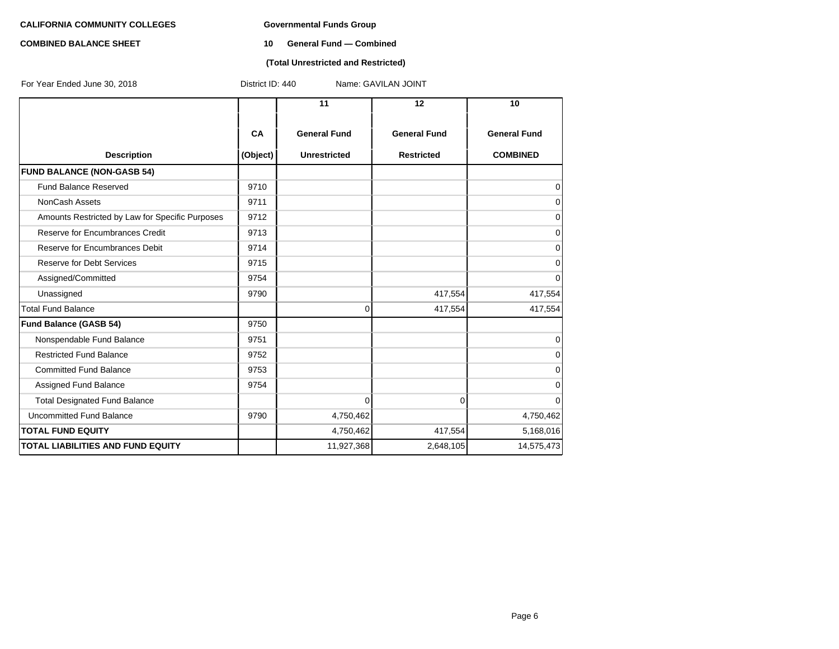### **COMBINED BALANCE SHEET 10 General Fund — Combined**

## **(Total Unrestricted and Restricted)**

| For Year Ended June 30, 2018                    | District ID: 440 |                     | Name: GAVILAN JOINT |                     |
|-------------------------------------------------|------------------|---------------------|---------------------|---------------------|
|                                                 |                  | 11                  | 12                  | 10                  |
|                                                 | <b>CA</b>        | <b>General Fund</b> | <b>General Fund</b> | <b>General Fund</b> |
| <b>Description</b>                              | (Object)         | <b>Unrestricted</b> | <b>Restricted</b>   | <b>COMBINED</b>     |
| <b>FUND BALANCE (NON-GASB 54)</b>               |                  |                     |                     |                     |
| <b>Fund Balance Reserved</b>                    | 9710             |                     |                     | 0                   |
| <b>NonCash Assets</b>                           | 9711             |                     |                     | 0                   |
| Amounts Restricted by Law for Specific Purposes | 9712             |                     |                     | $\mathbf 0$         |
| Reserve for Encumbrances Credit                 | 9713             |                     |                     | $\mathbf 0$         |
| Reserve for Encumbrances Debit                  | 9714             |                     |                     | $\mathbf 0$         |
| Reserve for Debt Services                       | 9715             |                     |                     | $\mathbf 0$         |
| Assigned/Committed                              | 9754             |                     |                     | $\mathbf 0$         |
| Unassigned                                      | 9790             |                     | 417,554             | 417,554             |
| <b>Total Fund Balance</b>                       |                  | 0                   | 417,554             | 417,554             |
| <b>Fund Balance (GASB 54)</b>                   | 9750             |                     |                     |                     |
| Nonspendable Fund Balance                       | 9751             |                     |                     | $\mathbf 0$         |
| <b>Restricted Fund Balance</b>                  | 9752             |                     |                     | $\Omega$            |
| <b>Committed Fund Balance</b>                   | 9753             |                     |                     | $\mathbf 0$         |
| Assigned Fund Balance                           | 9754             |                     |                     | $\mathbf 0$         |
| <b>Total Designated Fund Balance</b>            |                  | $\overline{0}$      | $\overline{0}$      | $\mathbf 0$         |
| Uncommitted Fund Balance                        | 9790             | 4,750,462           |                     | 4,750,462           |
| <b>TOTAL FUND EQUITY</b>                        |                  | 4,750,462           | 417,554             | 5,168,016           |
| <b>TOTAL LIABILITIES AND FUND EQUITY</b>        |                  | 11,927,368          | 2,648,105           | 14,575,473          |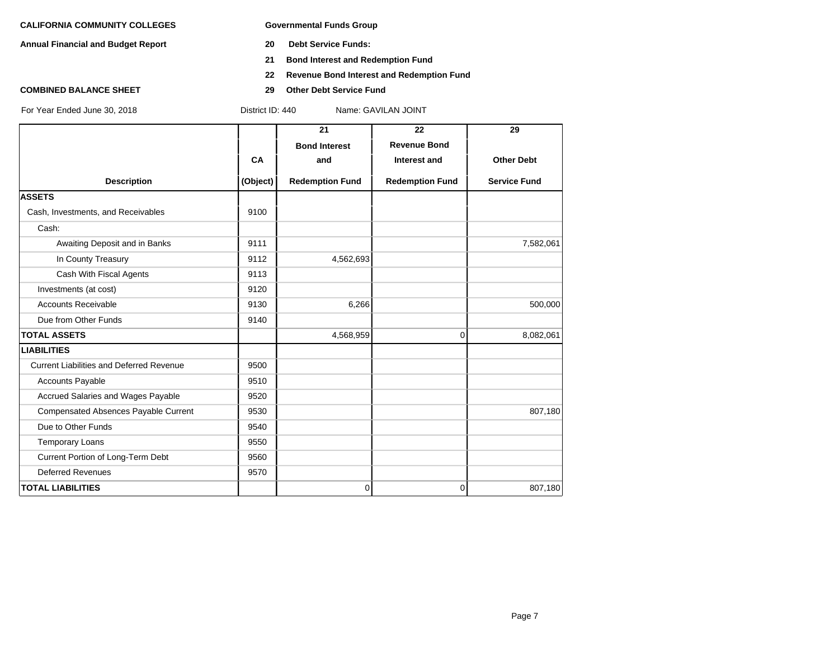**Annual Financial and Budget Report 20 Debt Service Funds:**

- 
- **21 Bond Interest and Redemption Fund**
- **22 Revenue Bond Interest and Redemption Fund**
- **COMBINED BALANCE SHEET 29 Other Debt Service Fund**

|                                                 |           | 21                     | 22                     | 29                  |
|-------------------------------------------------|-----------|------------------------|------------------------|---------------------|
|                                                 |           | <b>Bond Interest</b>   | <b>Revenue Bond</b>    |                     |
|                                                 | <b>CA</b> | and                    | Interest and           | <b>Other Debt</b>   |
| <b>Description</b>                              | (Object)  | <b>Redemption Fund</b> | <b>Redemption Fund</b> | <b>Service Fund</b> |
| <b>ASSETS</b>                                   |           |                        |                        |                     |
| Cash, Investments, and Receivables              | 9100      |                        |                        |                     |
| Cash:                                           |           |                        |                        |                     |
| Awaiting Deposit and in Banks                   | 9111      |                        |                        | 7,582,061           |
| In County Treasury                              | 9112      | 4,562,693              |                        |                     |
| Cash With Fiscal Agents                         | 9113      |                        |                        |                     |
| Investments (at cost)                           | 9120      |                        |                        |                     |
| <b>Accounts Receivable</b>                      | 9130      | 6,266                  |                        | 500,000             |
| Due from Other Funds                            | 9140      |                        |                        |                     |
| <b>TOTAL ASSETS</b>                             |           | 4,568,959              | 0                      | 8,082,061           |
| <b>LIABILITIES</b>                              |           |                        |                        |                     |
| <b>Current Liabilities and Deferred Revenue</b> | 9500      |                        |                        |                     |
| <b>Accounts Payable</b>                         | 9510      |                        |                        |                     |
| Accrued Salaries and Wages Payable              | 9520      |                        |                        |                     |
| Compensated Absences Payable Current            | 9530      |                        |                        | 807,180             |
| Due to Other Funds                              | 9540      |                        |                        |                     |
| <b>Temporary Loans</b>                          | 9550      |                        |                        |                     |
| Current Portion of Long-Term Debt               | 9560      |                        |                        |                     |
| <b>Deferred Revenues</b>                        | 9570      |                        |                        |                     |
| <b>TOTAL LIABILITIES</b>                        |           | 0                      | 0                      | 807,180             |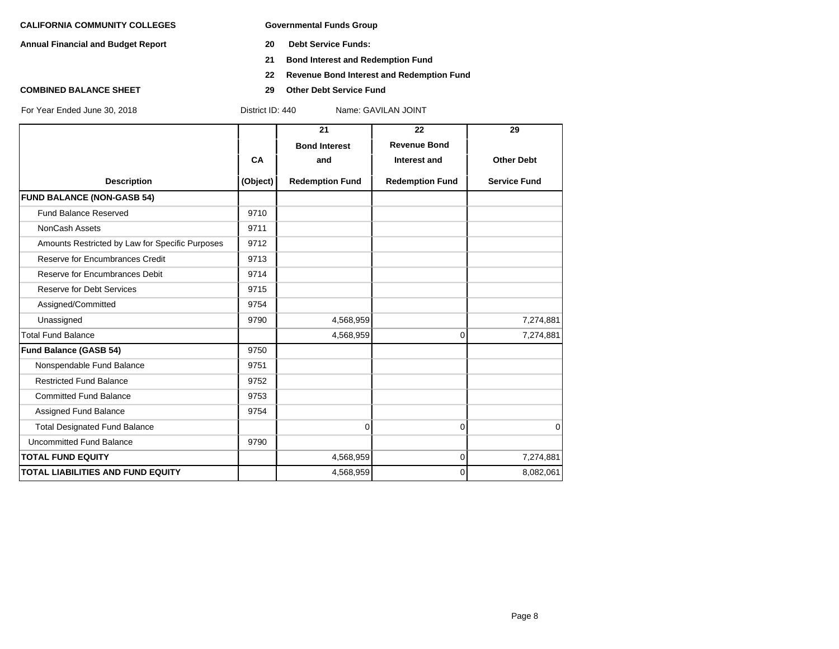**Annual Financial and Budget Report 20 Debt Service Funds:**

- 
- **21 Bond Interest and Redemption Fund**
- **22 Revenue Bond Interest and Redemption Fund**
- **COMBINED BALANCE SHEET 29 Other Debt Service Fund**

|                                                 |           | 21                     | 22                     | 29                  |
|-------------------------------------------------|-----------|------------------------|------------------------|---------------------|
|                                                 |           | <b>Bond Interest</b>   | <b>Revenue Bond</b>    |                     |
|                                                 | <b>CA</b> | and                    | Interest and           | <b>Other Debt</b>   |
| <b>Description</b>                              | (Object)  | <b>Redemption Fund</b> | <b>Redemption Fund</b> | <b>Service Fund</b> |
| <b>FUND BALANCE (NON-GASB 54)</b>               |           |                        |                        |                     |
| <b>Fund Balance Reserved</b>                    | 9710      |                        |                        |                     |
| NonCash Assets                                  | 9711      |                        |                        |                     |
| Amounts Restricted by Law for Specific Purposes | 9712      |                        |                        |                     |
| Reserve for Encumbrances Credit                 | 9713      |                        |                        |                     |
| Reserve for Encumbrances Debit                  | 9714      |                        |                        |                     |
| <b>Reserve for Debt Services</b>                | 9715      |                        |                        |                     |
| Assigned/Committed                              | 9754      |                        |                        |                     |
| Unassigned                                      | 9790      | 4,568,959              |                        | 7,274,881           |
| <b>Total Fund Balance</b>                       |           | 4,568,959              | 0                      | 7,274,881           |
| Fund Balance (GASB 54)                          | 9750      |                        |                        |                     |
| Nonspendable Fund Balance                       | 9751      |                        |                        |                     |
| <b>Restricted Fund Balance</b>                  | 9752      |                        |                        |                     |
| <b>Committed Fund Balance</b>                   | 9753      |                        |                        |                     |
| Assigned Fund Balance                           | 9754      |                        |                        |                     |
| <b>Total Designated Fund Balance</b>            |           | $\Omega$               | $\Omega$               | $\mathbf 0$         |
| <b>Uncommitted Fund Balance</b>                 | 9790      |                        |                        |                     |
| <b>TOTAL FUND EQUITY</b>                        |           | 4,568,959              | 0                      | 7,274,881           |
| <b>TOTAL LIABILITIES AND FUND EQUITY</b>        |           | 4,568,959              | 0                      | 8,082,061           |
|                                                 |           |                        |                        |                     |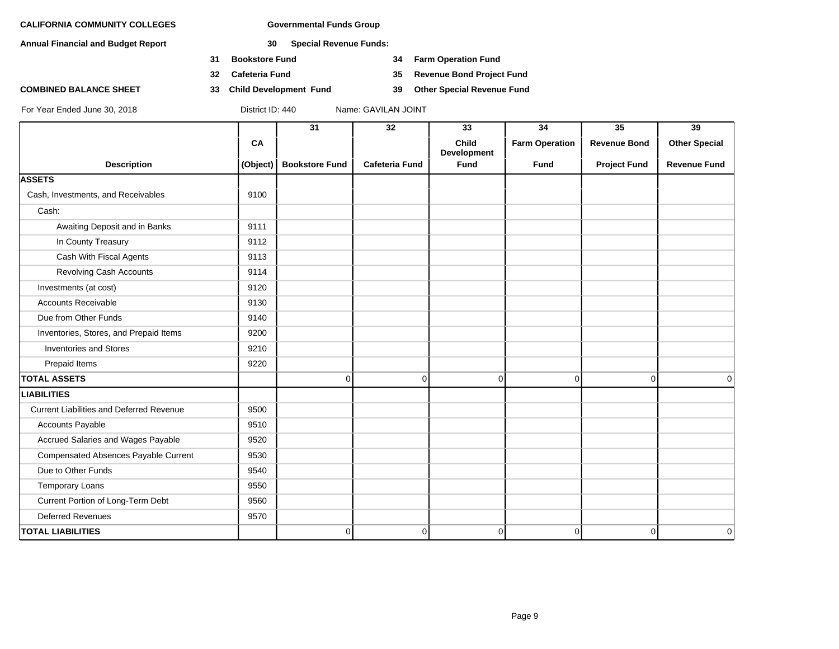**Annual Financial and Budget Report 30 Special Revenue Funds:**

- **31 Bookstore Fund 34 Farm Operation Fund**
- 
- **COMBINED BALANCE SHEET 33 Child Development Fund 39 Other Special Revenue Fund**

**32 Cafeteria Fund 35 Revenue Bond Project Fund**

|                                                 |          | 31                    | 32                    | 33                          | 34                    | 35                  | 39                   |
|-------------------------------------------------|----------|-----------------------|-----------------------|-----------------------------|-----------------------|---------------------|----------------------|
|                                                 | CA       |                       |                       | <b>Child</b><br>Development | <b>Farm Operation</b> | <b>Revenue Bond</b> | <b>Other Special</b> |
| <b>Description</b>                              | (Object) | <b>Bookstore Fund</b> | <b>Cafeteria Fund</b> | Fund                        | Fund                  | <b>Project Fund</b> | <b>Revenue Fund</b>  |
| <b>ASSETS</b>                                   |          |                       |                       |                             |                       |                     |                      |
| Cash, Investments, and Receivables              | 9100     |                       |                       |                             |                       |                     |                      |
| Cash:                                           |          |                       |                       |                             |                       |                     |                      |
| Awaiting Deposit and in Banks                   | 9111     |                       |                       |                             |                       |                     |                      |
| In County Treasury                              | 9112     |                       |                       |                             |                       |                     |                      |
| Cash With Fiscal Agents                         | 9113     |                       |                       |                             |                       |                     |                      |
| <b>Revolving Cash Accounts</b>                  | 9114     |                       |                       |                             |                       |                     |                      |
| Investments (at cost)                           | 9120     |                       |                       |                             |                       |                     |                      |
| <b>Accounts Receivable</b>                      | 9130     |                       |                       |                             |                       |                     |                      |
| Due from Other Funds                            | 9140     |                       |                       |                             |                       |                     |                      |
| Inventories, Stores, and Prepaid Items          | 9200     |                       |                       |                             |                       |                     |                      |
| <b>Inventories and Stores</b>                   | 9210     |                       |                       |                             |                       |                     |                      |
| Prepaid Items                                   | 9220     |                       |                       |                             |                       |                     |                      |
| <b>TOTAL ASSETS</b>                             |          | 0                     | $\overline{0}$        | 0                           | $\overline{0}$        | $\overline{0}$      | 0                    |
| <b>LIABILITIES</b>                              |          |                       |                       |                             |                       |                     |                      |
| <b>Current Liabilities and Deferred Revenue</b> | 9500     |                       |                       |                             |                       |                     |                      |
| Accounts Payable                                | 9510     |                       |                       |                             |                       |                     |                      |
| Accrued Salaries and Wages Payable              | 9520     |                       |                       |                             |                       |                     |                      |
| Compensated Absences Payable Current            | 9530     |                       |                       |                             |                       |                     |                      |
| Due to Other Funds                              | 9540     |                       |                       |                             |                       |                     |                      |
| <b>Temporary Loans</b>                          | 9550     |                       |                       |                             |                       |                     |                      |
| Current Portion of Long-Term Debt               | 9560     |                       |                       |                             |                       |                     |                      |
| <b>Deferred Revenues</b>                        | 9570     |                       |                       |                             |                       |                     |                      |
| <b>TOTAL LIABILITIES</b>                        |          | 0                     | $\overline{0}$        | 0                           | 0                     | 0                   | 0                    |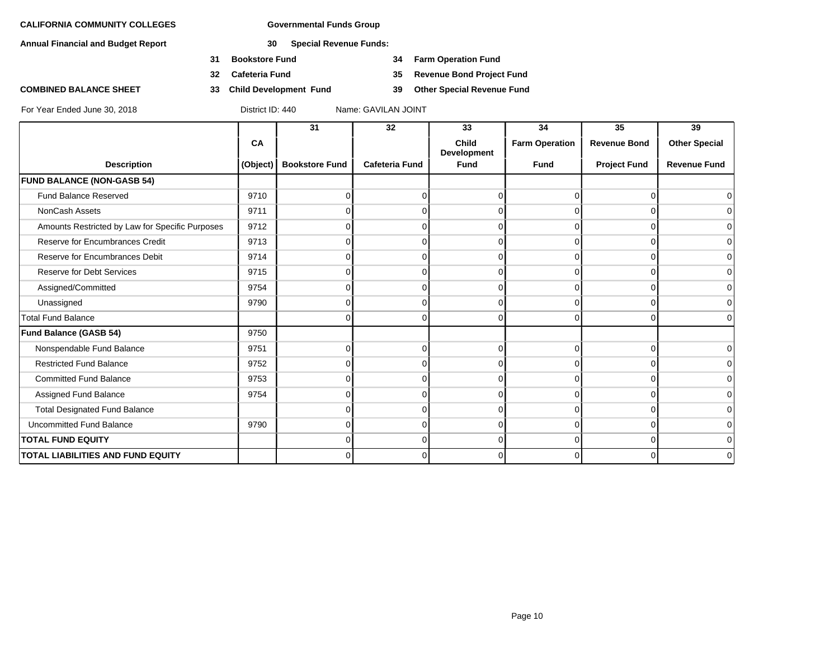**Annual Financial and Budget Report 30 Special Revenue Funds:**

- **31 Bookstore Fund 34 Farm Operation Fund**
- 
- **COMBINED BALANCE SHEET 33 Child Development Fund 39 Other Special Revenue Fund**

**32 Cafeteria Fund 35 Revenue Bond Project Fund**

|                                                 |          | 31                    | 32                    | 33                   | 34                    | 35                  | 39                   |
|-------------------------------------------------|----------|-----------------------|-----------------------|----------------------|-----------------------|---------------------|----------------------|
|                                                 | CA       |                       |                       | Child<br>Development | <b>Farm Operation</b> | <b>Revenue Bond</b> | <b>Other Special</b> |
| <b>Description</b>                              | (Object) | <b>Bookstore Fund</b> | <b>Cafeteria Fund</b> | <b>Fund</b>          | <b>Fund</b>           | <b>Project Fund</b> | <b>Revenue Fund</b>  |
| <b>FUND BALANCE (NON-GASB 54)</b>               |          |                       |                       |                      |                       |                     |                      |
| Fund Balance Reserved                           | 9710     | 0                     | $\Omega$              | $\Omega$             | $\Omega$              | 0                   | $\Omega$             |
| NonCash Assets                                  | 9711     | 0                     |                       |                      | $\Omega$              | $\Omega$            | 0                    |
| Amounts Restricted by Law for Specific Purposes | 9712     | n                     |                       |                      | 0                     | 0                   | $\overline{0}$       |
| Reserve for Encumbrances Credit                 | 9713     | 0                     | 0                     | $\Omega$             | $\Omega$              | $\Omega$            | $\overline{0}$       |
| Reserve for Encumbrances Debit                  | 9714     | $\Omega$              | $\Omega$              | $\Omega$             | $\Omega$              | $\Omega$            | $\overline{0}$       |
| Reserve for Debt Services                       | 9715     | $\Omega$              | 0                     | $\Omega$             | $\Omega$              | 0                   | 0                    |
| Assigned/Committed                              | 9754     | $\Omega$              | $\Omega$              | $\Omega$             | $\Omega$              | $\Omega$            | $\overline{0}$       |
| Unassigned                                      | 9790     | $\overline{0}$        | 0                     | $\Omega$             | $\overline{0}$        | $\Omega$            | $\overline{0}$       |
| <b>Total Fund Balance</b>                       |          | $\Omega$              | 0                     | $\Omega$             | $\Omega$              | $\Omega$            | $\Omega$             |
| <b>Fund Balance (GASB 54)</b>                   | 9750     |                       |                       |                      |                       |                     |                      |
| Nonspendable Fund Balance                       | 9751     | $\overline{0}$        | 0                     | $\Omega$             | $\overline{0}$        | $\mathbf 0$         | $\overline{0}$       |
| <b>Restricted Fund Balance</b>                  | 9752     | 0                     | $\Omega$              | $\Omega$             | $\Omega$              | $\Omega$            | $\overline{0}$       |
| <b>Committed Fund Balance</b>                   | 9753     | $\Omega$              | $\Omega$              | $\Omega$             | $\Omega$              | $\Omega$            | $\overline{0}$       |
| Assigned Fund Balance                           | 9754     | 0                     | O                     | $\Omega$             | $\Omega$              | $\Omega$            | $\overline{0}$       |
| <b>Total Designated Fund Balance</b>            |          | 0                     | O                     | $\Omega$             | $\Omega$              | 0                   | $\overline{0}$       |
| <b>Uncommitted Fund Balance</b>                 | 9790     | 0                     | $\Omega$              | $\Omega$             | $\Omega$              | $\Omega$            | $\overline{0}$       |
| <b>TOTAL FUND EQUITY</b>                        |          | 0                     | 0                     | $\Omega$             | $\Omega$              | $\Omega$            | $\overline{0}$       |
| <b>TOTAL LIABILITIES AND FUND EQUITY</b>        |          | 0                     | $\Omega$              | $\Omega$             | $\Omega$              | $\Omega$            | $\overline{0}$       |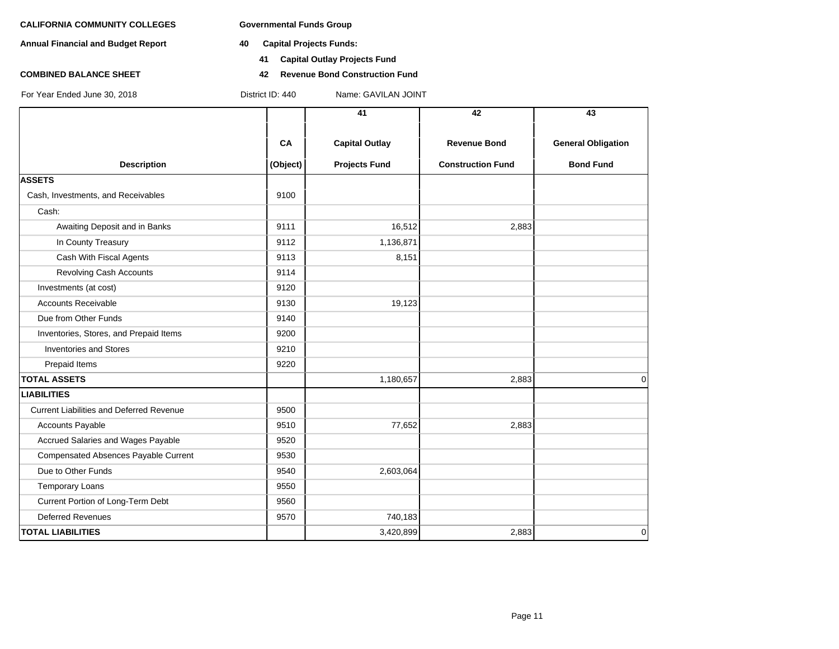**Annual Financial and Budget Report 40 Capital Projects Funds:**

- - **41 Capital Outlay Projects Fund**
- **COMBINED BALANCE SHEET 42 Revenue Bond Construction Fund**

|                                                 |           | 41                    | 42                       | 43                        |
|-------------------------------------------------|-----------|-----------------------|--------------------------|---------------------------|
|                                                 | <b>CA</b> | <b>Capital Outlay</b> | <b>Revenue Bond</b>      | <b>General Obligation</b> |
| <b>Description</b>                              | (Object)  | <b>Projects Fund</b>  | <b>Construction Fund</b> | <b>Bond Fund</b>          |
| <b>ASSETS</b>                                   |           |                       |                          |                           |
| Cash, Investments, and Receivables              | 9100      |                       |                          |                           |
| Cash:                                           |           |                       |                          |                           |
| Awaiting Deposit and in Banks                   | 9111      | 16,512                | 2,883                    |                           |
| In County Treasury                              | 9112      | 1,136,871             |                          |                           |
| Cash With Fiscal Agents                         | 9113      | 8,151                 |                          |                           |
| Revolving Cash Accounts                         | 9114      |                       |                          |                           |
| Investments (at cost)                           | 9120      |                       |                          |                           |
| <b>Accounts Receivable</b>                      | 9130      | 19,123                |                          |                           |
| Due from Other Funds                            | 9140      |                       |                          |                           |
| Inventories, Stores, and Prepaid Items          | 9200      |                       |                          |                           |
| <b>Inventories and Stores</b>                   | 9210      |                       |                          |                           |
| Prepaid Items                                   | 9220      |                       |                          |                           |
| <b>TOTAL ASSETS</b>                             |           | 1,180,657             | 2,883                    | 0                         |
| <b>LIABILITIES</b>                              |           |                       |                          |                           |
| <b>Current Liabilities and Deferred Revenue</b> | 9500      |                       |                          |                           |
| Accounts Payable                                | 9510      | 77,652                | 2,883                    |                           |
| Accrued Salaries and Wages Payable              | 9520      |                       |                          |                           |
| Compensated Absences Payable Current            | 9530      |                       |                          |                           |
| Due to Other Funds                              | 9540      | 2,603,064             |                          |                           |
| <b>Temporary Loans</b>                          | 9550      |                       |                          |                           |
| Current Portion of Long-Term Debt               | 9560      |                       |                          |                           |
| <b>Deferred Revenues</b>                        | 9570      | 740,183               |                          |                           |
| <b>TOTAL LIABILITIES</b>                        |           | 3,420,899             | 2,883                    | 0                         |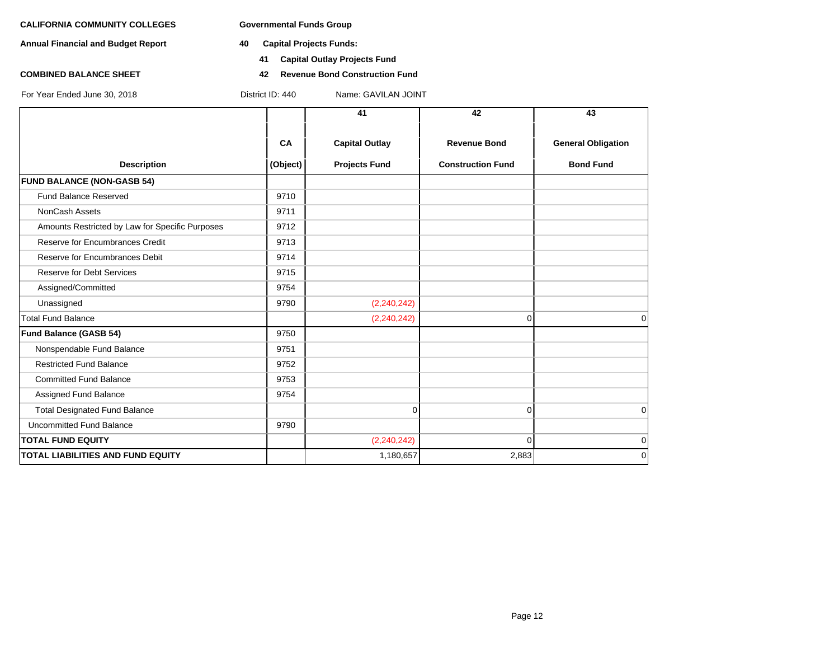**Annual Financial and Budget Report 40 Capital Projects Funds:**

- - **41 Capital Outlay Projects Fund**
- **COMBINED BALANCE SHEET 42 Revenue Bond Construction Fund**

|                                                 |          | 41                    | 42                       | 43                        |
|-------------------------------------------------|----------|-----------------------|--------------------------|---------------------------|
|                                                 | CA       | <b>Capital Outlay</b> | <b>Revenue Bond</b>      | <b>General Obligation</b> |
| <b>Description</b>                              | (Object) | <b>Projects Fund</b>  | <b>Construction Fund</b> | <b>Bond Fund</b>          |
| <b>FUND BALANCE (NON-GASB 54)</b>               |          |                       |                          |                           |
| Fund Balance Reserved                           | 9710     |                       |                          |                           |
| <b>NonCash Assets</b>                           | 9711     |                       |                          |                           |
| Amounts Restricted by Law for Specific Purposes | 9712     |                       |                          |                           |
| Reserve for Encumbrances Credit                 | 9713     |                       |                          |                           |
| Reserve for Encumbrances Debit                  | 9714     |                       |                          |                           |
| Reserve for Debt Services                       | 9715     |                       |                          |                           |
| Assigned/Committed                              | 9754     |                       |                          |                           |
| Unassigned                                      | 9790     | (2, 240, 242)         |                          |                           |
| <b>Total Fund Balance</b>                       |          | (2, 240, 242)         | 0                        | $\Omega$                  |
| Fund Balance (GASB 54)                          | 9750     |                       |                          |                           |
| Nonspendable Fund Balance                       | 9751     |                       |                          |                           |
| <b>Restricted Fund Balance</b>                  | 9752     |                       |                          |                           |
| <b>Committed Fund Balance</b>                   | 9753     |                       |                          |                           |
| Assigned Fund Balance                           | 9754     |                       |                          |                           |
| <b>Total Designated Fund Balance</b>            |          | 0                     | $\Omega$                 | 0                         |
| <b>Uncommitted Fund Balance</b>                 | 9790     |                       |                          |                           |
| <b>TOTAL FUND EQUITY</b>                        |          | (2, 240, 242)         | $\Omega$                 | 0                         |
| <b>TOTAL LIABILITIES AND FUND EQUITY</b>        |          | 1,180,657             | 2,883                    | $\Omega$                  |
|                                                 |          |                       |                          |                           |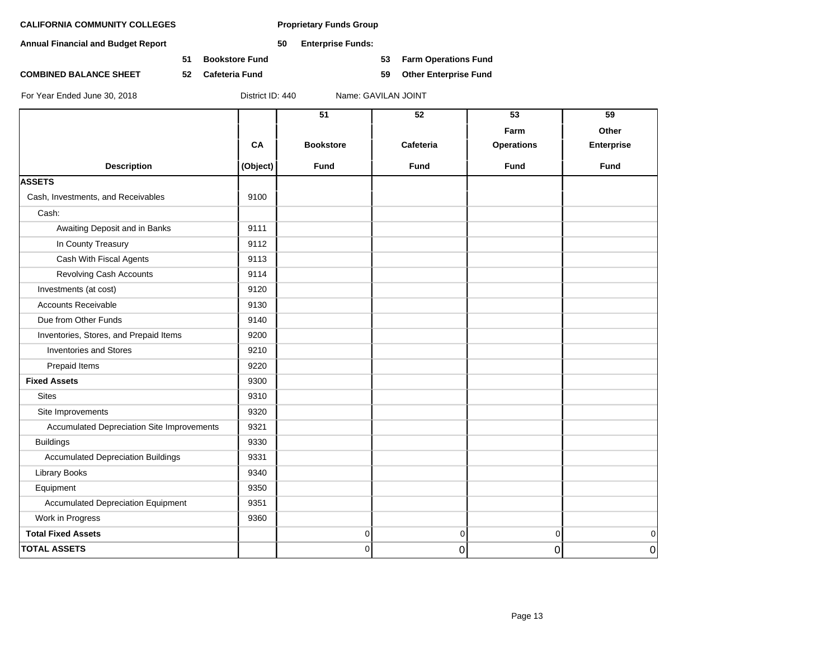**Annual Financial and Budget Report 50 Enterprise Funds:**

**51 Bookstore Fund 53 Farm Operations Fund**

**COMBINED BALANCE SHEET 52 Cafeteria Fund 59 Other Enterprise Fund**

|                                            |          | $\overline{51}$  | $\overline{52}$ | 53                | 59                |
|--------------------------------------------|----------|------------------|-----------------|-------------------|-------------------|
|                                            |          |                  |                 | Farm              | Other             |
|                                            | CA       | <b>Bookstore</b> | Cafeteria       | <b>Operations</b> | <b>Enterprise</b> |
|                                            |          |                  |                 |                   |                   |
| <b>Description</b>                         | (Object) | Fund             | <b>Fund</b>     | <b>Fund</b>       | <b>Fund</b>       |
| <b>ASSETS</b>                              |          |                  |                 |                   |                   |
| Cash, Investments, and Receivables         | 9100     |                  |                 |                   |                   |
| Cash:                                      |          |                  |                 |                   |                   |
| Awaiting Deposit and in Banks              | 9111     |                  |                 |                   |                   |
| In County Treasury                         | 9112     |                  |                 |                   |                   |
| Cash With Fiscal Agents                    | 9113     |                  |                 |                   |                   |
| <b>Revolving Cash Accounts</b>             | 9114     |                  |                 |                   |                   |
| Investments (at cost)                      | 9120     |                  |                 |                   |                   |
| <b>Accounts Receivable</b>                 | 9130     |                  |                 |                   |                   |
| Due from Other Funds                       | 9140     |                  |                 |                   |                   |
| Inventories, Stores, and Prepaid Items     | 9200     |                  |                 |                   |                   |
| <b>Inventories and Stores</b>              | 9210     |                  |                 |                   |                   |
| Prepaid Items                              | 9220     |                  |                 |                   |                   |
| <b>Fixed Assets</b>                        | 9300     |                  |                 |                   |                   |
| <b>Sites</b>                               | 9310     |                  |                 |                   |                   |
| Site Improvements                          | 9320     |                  |                 |                   |                   |
| Accumulated Depreciation Site Improvements | 9321     |                  |                 |                   |                   |
| <b>Buildings</b>                           | 9330     |                  |                 |                   |                   |
| <b>Accumulated Depreciation Buildings</b>  | 9331     |                  |                 |                   |                   |
| Library Books                              | 9340     |                  |                 |                   |                   |
| Equipment                                  | 9350     |                  |                 |                   |                   |
| <b>Accumulated Depreciation Equipment</b>  | 9351     |                  |                 |                   |                   |
| Work in Progress                           | 9360     |                  |                 |                   |                   |
| <b>Total Fixed Assets</b>                  |          | 0                | $\pmb{0}$       | $\overline{0}$    | $\overline{0}$    |
| <b>TOTAL ASSETS</b>                        |          | 0                | 0               | 0                 | $\overline{0}$    |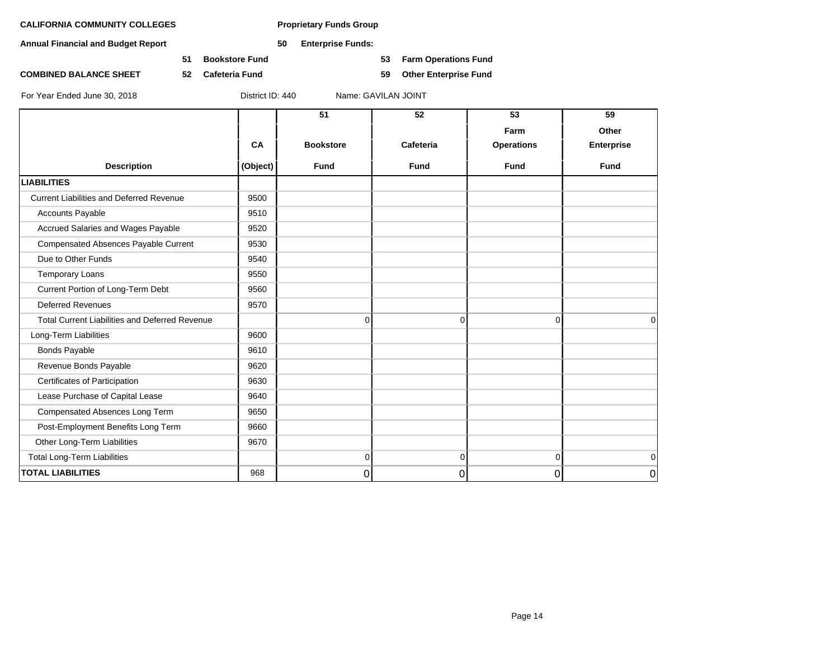**Annual Financial and Budget Report 50 Enterprise Funds:**

**51 Bookstore Fund 53 Farm Operations Fund**

**COMBINED BALANCE SHEET 52 Cafeteria Fund 59 Other Enterprise Fund**

|                                                       |          | $\overline{51}$  | 52             | 53                | 59          |
|-------------------------------------------------------|----------|------------------|----------------|-------------------|-------------|
|                                                       |          |                  |                | Farm              | Other       |
|                                                       | CA       | <b>Bookstore</b> | Cafeteria      | <b>Operations</b> | Enterprise  |
| <b>Description</b>                                    | (Object) | <b>Fund</b>      | <b>Fund</b>    | <b>Fund</b>       | <b>Fund</b> |
| <b>LIABILITIES</b>                                    |          |                  |                |                   |             |
| <b>Current Liabilities and Deferred Revenue</b>       | 9500     |                  |                |                   |             |
| <b>Accounts Payable</b>                               | 9510     |                  |                |                   |             |
| Accrued Salaries and Wages Payable                    | 9520     |                  |                |                   |             |
| <b>Compensated Absences Payable Current</b>           | 9530     |                  |                |                   |             |
| Due to Other Funds                                    | 9540     |                  |                |                   |             |
| <b>Temporary Loans</b>                                | 9550     |                  |                |                   |             |
| Current Portion of Long-Term Debt                     | 9560     |                  |                |                   |             |
| <b>Deferred Revenues</b>                              | 9570     |                  |                |                   |             |
| <b>Total Current Liabilities and Deferred Revenue</b> |          | 0                | $\mathbf 0$    | $\overline{0}$    | $\Omega$    |
| Long-Term Liabilities                                 | 9600     |                  |                |                   |             |
| <b>Bonds Payable</b>                                  | 9610     |                  |                |                   |             |
| Revenue Bonds Payable                                 | 9620     |                  |                |                   |             |
| Certificates of Participation                         | 9630     |                  |                |                   |             |
| Lease Purchase of Capital Lease                       | 9640     |                  |                |                   |             |
| Compensated Absences Long Term                        | 9650     |                  |                |                   |             |
| Post-Employment Benefits Long Term                    | 9660     |                  |                |                   |             |
| Other Long-Term Liabilities                           | 9670     |                  |                |                   |             |
| Total Long-Term Liabilities                           |          | $\overline{0}$   | $\overline{0}$ | $\overline{0}$    | $\mathbf 0$ |
| <b>TOTAL LIABILITIES</b>                              | 968      | 0                | 0              | 0                 | 0           |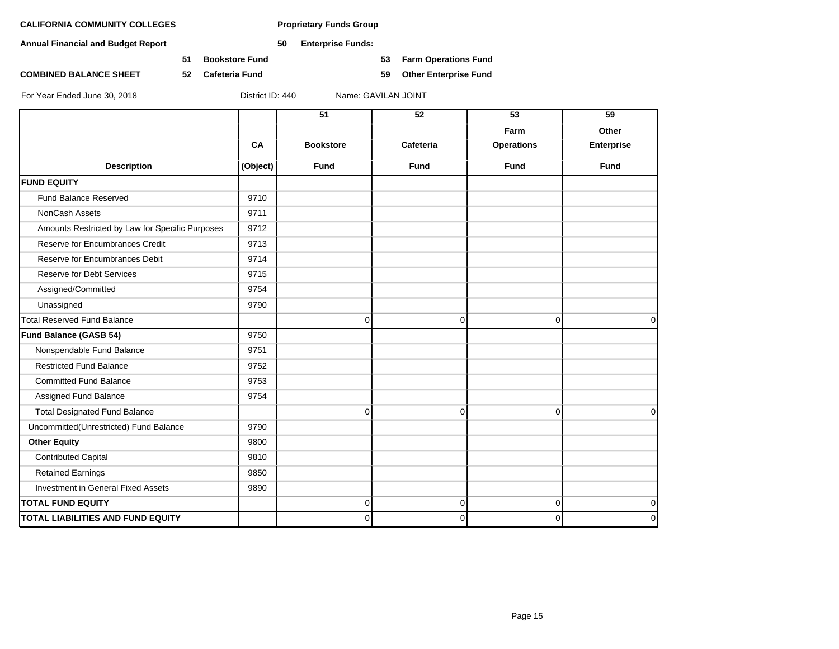**Annual Financial and Budget Report 50 Enterprise Funds:**

**51 Bookstore Fund 53 Farm Operations Fund**

**COMBINED BALANCE SHEET 52 Cafeteria Fund 59 Other Enterprise Fund**

|                                                 |          | 51               | 52          | 53                | 59                |
|-------------------------------------------------|----------|------------------|-------------|-------------------|-------------------|
|                                                 |          |                  |             | Farm              | Other             |
|                                                 | CA       | <b>Bookstore</b> | Cafeteria   | <b>Operations</b> | <b>Enterprise</b> |
| <b>Description</b>                              | (Object) | <b>Fund</b>      | <b>Fund</b> | <b>Fund</b>       | Fund              |
| <b>FUND EQUITY</b>                              |          |                  |             |                   |                   |
| Fund Balance Reserved                           | 9710     |                  |             |                   |                   |
| NonCash Assets                                  | 9711     |                  |             |                   |                   |
| Amounts Restricted by Law for Specific Purposes | 9712     |                  |             |                   |                   |
| Reserve for Encumbrances Credit                 | 9713     |                  |             |                   |                   |
| Reserve for Encumbrances Debit                  | 9714     |                  |             |                   |                   |
| <b>Reserve for Debt Services</b>                | 9715     |                  |             |                   |                   |
| Assigned/Committed                              | 9754     |                  |             |                   |                   |
| Unassigned                                      | 9790     |                  |             |                   |                   |
| <b>Total Reserved Fund Balance</b>              |          | 0                | $\mathbf 0$ | $\overline{0}$    | 0                 |
| Fund Balance (GASB 54)                          | 9750     |                  |             |                   |                   |
| Nonspendable Fund Balance                       | 9751     |                  |             |                   |                   |
| <b>Restricted Fund Balance</b>                  | 9752     |                  |             |                   |                   |
| <b>Committed Fund Balance</b>                   | 9753     |                  |             |                   |                   |
| Assigned Fund Balance                           | 9754     |                  |             |                   |                   |
| <b>Total Designated Fund Balance</b>            |          | 0                | $\mathbf 0$ | $\Omega$          | $\mathbf 0$       |
| Uncommitted(Unrestricted) Fund Balance          | 9790     |                  |             |                   |                   |
| <b>Other Equity</b>                             | 9800     |                  |             |                   |                   |
| <b>Contributed Capital</b>                      | 9810     |                  |             |                   |                   |
| <b>Retained Earnings</b>                        | 9850     |                  |             |                   |                   |
| Investment in General Fixed Assets              | 9890     |                  |             |                   |                   |
| <b>TOTAL FUND EQUITY</b>                        |          | 0                | $\mathbf 0$ | $\overline{0}$    | $\mathbf 0$       |
| TOTAL LIABILITIES AND FUND EQUITY               |          | 0                | $\mathbf 0$ | $\Omega$          | $\mathbf 0$       |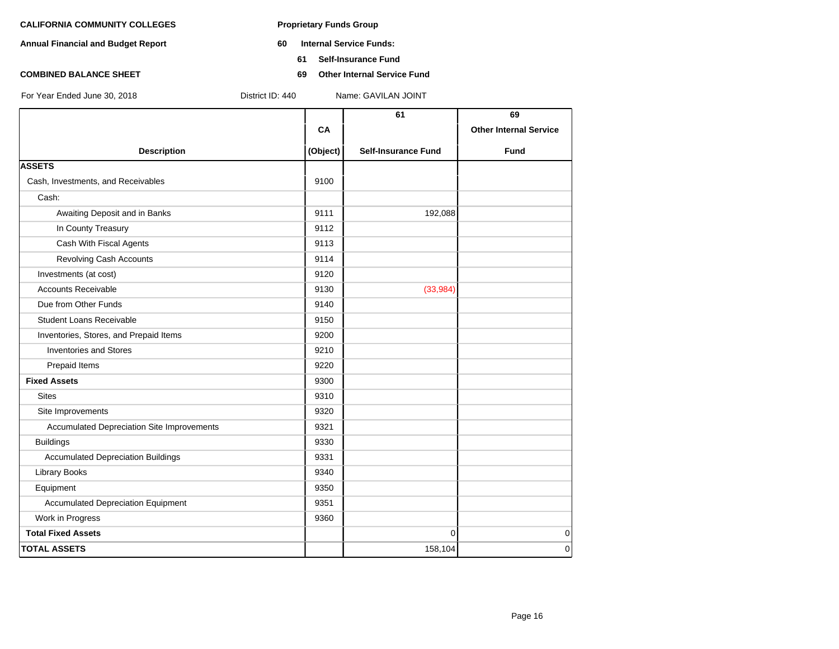- **Annual Financial and Budget Report 60 Internal Service Funds:**
	- **61 Self-Insurance Fund**
- **COMBINED BALANCE SHEET 69 Other Internal Service Fund**

|                                            |          | 61                         | 69                            |
|--------------------------------------------|----------|----------------------------|-------------------------------|
|                                            | CA       |                            | <b>Other Internal Service</b> |
| <b>Description</b>                         | (Object) | <b>Self-Insurance Fund</b> | <b>Fund</b>                   |
| <b>ASSETS</b>                              |          |                            |                               |
| Cash, Investments, and Receivables         | 9100     |                            |                               |
| Cash:                                      |          |                            |                               |
| Awaiting Deposit and in Banks              | 9111     | 192,088                    |                               |
| In County Treasury                         | 9112     |                            |                               |
| Cash With Fiscal Agents                    | 9113     |                            |                               |
| <b>Revolving Cash Accounts</b>             | 9114     |                            |                               |
| Investments (at cost)                      | 9120     |                            |                               |
| <b>Accounts Receivable</b>                 | 9130     | (33,984)                   |                               |
| Due from Other Funds                       | 9140     |                            |                               |
| <b>Student Loans Receivable</b>            | 9150     |                            |                               |
| Inventories, Stores, and Prepaid Items     | 9200     |                            |                               |
| <b>Inventories and Stores</b>              | 9210     |                            |                               |
| Prepaid Items                              | 9220     |                            |                               |
| <b>Fixed Assets</b>                        | 9300     |                            |                               |
| <b>Sites</b>                               | 9310     |                            |                               |
| Site Improvements                          | 9320     |                            |                               |
| Accumulated Depreciation Site Improvements | 9321     |                            |                               |
| <b>Buildings</b>                           | 9330     |                            |                               |
| <b>Accumulated Depreciation Buildings</b>  | 9331     |                            |                               |
| <b>Library Books</b>                       | 9340     |                            |                               |
| Equipment                                  | 9350     |                            |                               |
| <b>Accumulated Depreciation Equipment</b>  | 9351     |                            |                               |
| Work in Progress                           | 9360     |                            |                               |
| <b>Total Fixed Assets</b>                  |          | $\mathbf{0}$               | $\mathbf 0$                   |
| <b>TOTAL ASSETS</b>                        |          | 158,104                    | $\mathbf 0$                   |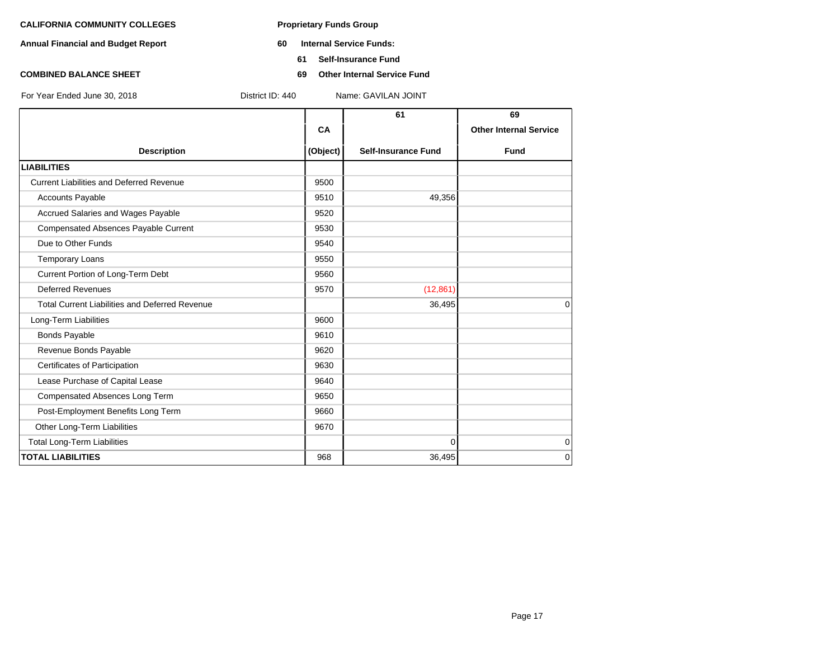- **Annual Financial and Budget Report 60 Internal Service Funds:**
	- **61 Self-Insurance Fund**
- **COMBINED BALANCE SHEET 69 Other Internal Service Fund**

|  | Ear Voor Endad June 20, 2018 |  |  |
|--|------------------------------|--|--|

|                                                       |          | 61                         | 69                            |
|-------------------------------------------------------|----------|----------------------------|-------------------------------|
|                                                       | CA       |                            | <b>Other Internal Service</b> |
| <b>Description</b>                                    | (Object) | <b>Self-Insurance Fund</b> | <b>Fund</b>                   |
| <b>LIABILITIES</b>                                    |          |                            |                               |
| <b>Current Liabilities and Deferred Revenue</b>       | 9500     |                            |                               |
| <b>Accounts Payable</b>                               | 9510     | 49,356                     |                               |
| Accrued Salaries and Wages Payable                    | 9520     |                            |                               |
| Compensated Absences Payable Current                  | 9530     |                            |                               |
| Due to Other Funds                                    | 9540     |                            |                               |
| <b>Temporary Loans</b>                                | 9550     |                            |                               |
| Current Portion of Long-Term Debt                     | 9560     |                            |                               |
| <b>Deferred Revenues</b>                              | 9570     | (12, 861)                  |                               |
| <b>Total Current Liabilities and Deferred Revenue</b> |          | 36,495                     | $\Omega$                      |
| Long-Term Liabilities                                 | 9600     |                            |                               |
| <b>Bonds Payable</b>                                  | 9610     |                            |                               |
| Revenue Bonds Payable                                 | 9620     |                            |                               |
| Certificates of Participation                         | 9630     |                            |                               |
| Lease Purchase of Capital Lease                       | 9640     |                            |                               |
| Compensated Absences Long Term                        | 9650     |                            |                               |
| Post-Employment Benefits Long Term                    | 9660     |                            |                               |
| Other Long-Term Liabilities                           | 9670     |                            |                               |
| <b>Total Long-Term Liabilities</b>                    |          | $\Omega$                   | $\mathbf 0$                   |
| <b>TOTAL LIABILITIES</b>                              | 968      | 36,495                     | 0                             |
|                                                       |          |                            |                               |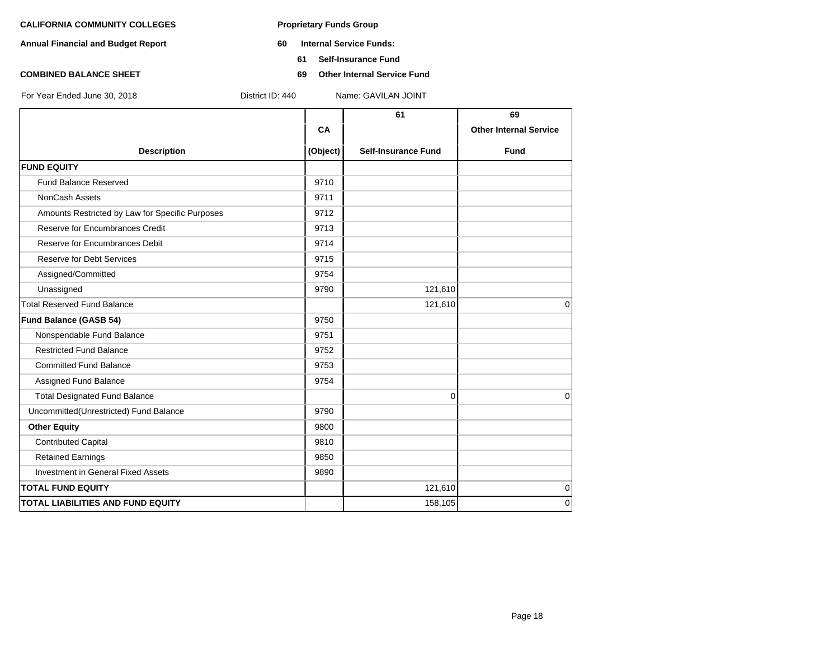- **Annual Financial and Budget Report 60 Internal Service Funds:**
	- **61 Self-Insurance Fund**
- **COMBINED BALANCE SHEET 69 Other Internal Service Fund**

|                                                 |          | 61                         | 69                            |
|-------------------------------------------------|----------|----------------------------|-------------------------------|
|                                                 | CA       |                            | <b>Other Internal Service</b> |
| <b>Description</b>                              | (Object) | <b>Self-Insurance Fund</b> | Fund                          |
| <b>FUND EQUITY</b>                              |          |                            |                               |
| <b>Fund Balance Reserved</b>                    | 9710     |                            |                               |
| NonCash Assets                                  | 9711     |                            |                               |
| Amounts Restricted by Law for Specific Purposes | 9712     |                            |                               |
| <b>Reserve for Encumbrances Credit</b>          | 9713     |                            |                               |
| Reserve for Encumbrances Debit                  | 9714     |                            |                               |
| <b>Reserve for Debt Services</b>                | 9715     |                            |                               |
| Assigned/Committed                              | 9754     |                            |                               |
| Unassigned                                      | 9790     | 121,610                    |                               |
| <b>Total Reserved Fund Balance</b>              |          | 121,610                    | $\Omega$                      |
| Fund Balance (GASB 54)                          | 9750     |                            |                               |
| Nonspendable Fund Balance                       | 9751     |                            |                               |
| <b>Restricted Fund Balance</b>                  | 9752     |                            |                               |
| <b>Committed Fund Balance</b>                   | 9753     |                            |                               |
| Assigned Fund Balance                           | 9754     |                            |                               |
| <b>Total Designated Fund Balance</b>            |          | 0                          | $\Omega$                      |
| Uncommitted(Unrestricted) Fund Balance          | 9790     |                            |                               |
| <b>Other Equity</b>                             | 9800     |                            |                               |
| <b>Contributed Capital</b>                      | 9810     |                            |                               |
| <b>Retained Earnings</b>                        | 9850     |                            |                               |
| <b>Investment in General Fixed Assets</b>       | 9890     |                            |                               |
| <b>TOTAL FUND EQUITY</b>                        |          | 121,610                    | 0                             |
| <b>TOTAL LIABILITIES AND FUND EQUITY</b>        |          | 158,105                    | $\Omega$                      |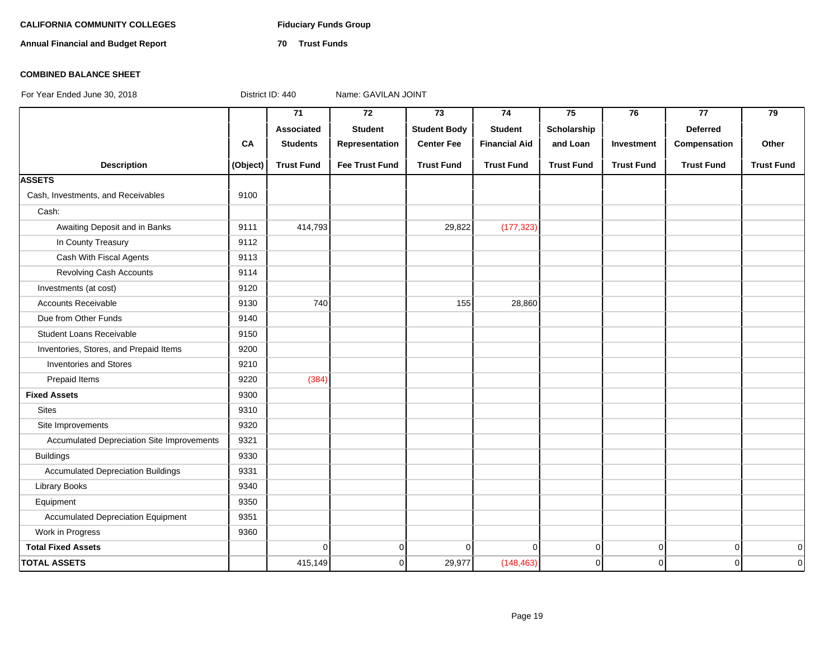# CALIFORNIA COMMUNITY COLLEGES Fiduciary Funds Group

**Annual Financial and Budget Report 70 Trust Funds**

### **COMBINED BALANCE SHEET**

|                                            |          | $\overline{71}$   | $\overline{72}$       | $\overline{73}$     | 74                   | 75                | 76                | 77                | 79                |
|--------------------------------------------|----------|-------------------|-----------------------|---------------------|----------------------|-------------------|-------------------|-------------------|-------------------|
|                                            |          | Associated        | <b>Student</b>        | <b>Student Body</b> | <b>Student</b>       | Scholarship       |                   | <b>Deferred</b>   |                   |
|                                            | CA       | <b>Students</b>   | Representation        | <b>Center Fee</b>   | <b>Financial Aid</b> | and Loan          | Investment        | Compensation      | Other             |
| <b>Description</b>                         | (Object) | <b>Trust Fund</b> | <b>Fee Trust Fund</b> | <b>Trust Fund</b>   | <b>Trust Fund</b>    | <b>Trust Fund</b> | <b>Trust Fund</b> | <b>Trust Fund</b> | <b>Trust Fund</b> |
| <b>ASSETS</b>                              |          |                   |                       |                     |                      |                   |                   |                   |                   |
| Cash, Investments, and Receivables         | 9100     |                   |                       |                     |                      |                   |                   |                   |                   |
| Cash:                                      |          |                   |                       |                     |                      |                   |                   |                   |                   |
| Awaiting Deposit and in Banks              | 9111     | 414,793           |                       | 29,822              | (177, 323)           |                   |                   |                   |                   |
| In County Treasury                         | 9112     |                   |                       |                     |                      |                   |                   |                   |                   |
| Cash With Fiscal Agents                    | 9113     |                   |                       |                     |                      |                   |                   |                   |                   |
| Revolving Cash Accounts                    | 9114     |                   |                       |                     |                      |                   |                   |                   |                   |
| Investments (at cost)                      | 9120     |                   |                       |                     |                      |                   |                   |                   |                   |
| <b>Accounts Receivable</b>                 | 9130     | 740               |                       | 155                 | 28,860               |                   |                   |                   |                   |
| Due from Other Funds                       | 9140     |                   |                       |                     |                      |                   |                   |                   |                   |
| <b>Student Loans Receivable</b>            | 9150     |                   |                       |                     |                      |                   |                   |                   |                   |
| Inventories, Stores, and Prepaid Items     | 9200     |                   |                       |                     |                      |                   |                   |                   |                   |
| <b>Inventories and Stores</b>              | 9210     |                   |                       |                     |                      |                   |                   |                   |                   |
| Prepaid Items                              | 9220     | (384)             |                       |                     |                      |                   |                   |                   |                   |
| <b>Fixed Assets</b>                        | 9300     |                   |                       |                     |                      |                   |                   |                   |                   |
| <b>Sites</b>                               | 9310     |                   |                       |                     |                      |                   |                   |                   |                   |
| Site Improvements                          | 9320     |                   |                       |                     |                      |                   |                   |                   |                   |
| Accumulated Depreciation Site Improvements | 9321     |                   |                       |                     |                      |                   |                   |                   |                   |
| <b>Buildings</b>                           | 9330     |                   |                       |                     |                      |                   |                   |                   |                   |
| <b>Accumulated Depreciation Buildings</b>  | 9331     |                   |                       |                     |                      |                   |                   |                   |                   |
| Library Books                              | 9340     |                   |                       |                     |                      |                   |                   |                   |                   |
| Equipment                                  | 9350     |                   |                       |                     |                      |                   |                   |                   |                   |
| <b>Accumulated Depreciation Equipment</b>  | 9351     |                   |                       |                     |                      |                   |                   |                   |                   |
| Work in Progress                           | 9360     |                   |                       |                     |                      |                   |                   |                   |                   |
| <b>Total Fixed Assets</b>                  |          | $\mathbf 0$       | $\overline{0}$        | $\Omega$            | $\Omega$             | $\overline{0}$    | $\overline{0}$    | $\boldsymbol{0}$  | $\mathbf 0$       |
| <b>TOTAL ASSETS</b>                        |          | 415,149           | $\mathbf 0$           | 29,977              | (148, 463)           | $\overline{0}$    | $\overline{0}$    | $\pmb{0}$         | $\pmb{0}$         |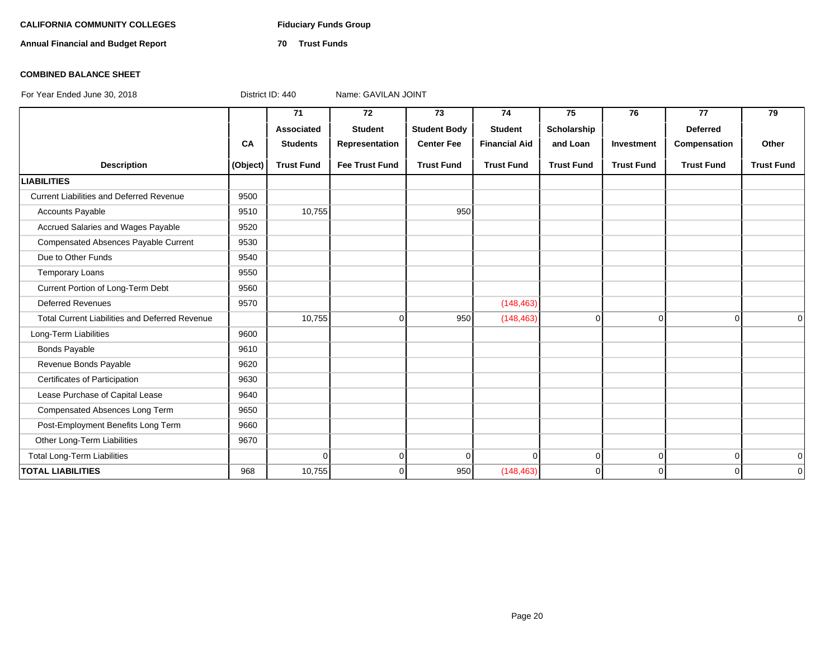# CALIFORNIA COMMUNITY COLLEGES Fiduciary Funds Group

**Annual Financial and Budget Report 70 Trust Funds**

### **COMBINED BALANCE SHEET**

|                                                       |          | 71                | 72                    | 73                  | 74                   | 75                | 76                | 77                | 79                |
|-------------------------------------------------------|----------|-------------------|-----------------------|---------------------|----------------------|-------------------|-------------------|-------------------|-------------------|
|                                                       |          | <b>Associated</b> | <b>Student</b>        | <b>Student Body</b> | <b>Student</b>       | Scholarship       |                   | <b>Deferred</b>   |                   |
|                                                       | CA       | <b>Students</b>   | Representation        | <b>Center Fee</b>   | <b>Financial Aid</b> | and Loan          | Investment        | Compensation      | Other             |
| <b>Description</b>                                    | (Object) | <b>Trust Fund</b> | <b>Fee Trust Fund</b> | <b>Trust Fund</b>   | <b>Trust Fund</b>    | <b>Trust Fund</b> | <b>Trust Fund</b> | <b>Trust Fund</b> | <b>Trust Fund</b> |
| <b>LIABILITIES</b>                                    |          |                   |                       |                     |                      |                   |                   |                   |                   |
| <b>Current Liabilities and Deferred Revenue</b>       | 9500     |                   |                       |                     |                      |                   |                   |                   |                   |
| <b>Accounts Payable</b>                               | 9510     | 10,755            |                       | 950                 |                      |                   |                   |                   |                   |
| Accrued Salaries and Wages Payable                    | 9520     |                   |                       |                     |                      |                   |                   |                   |                   |
| Compensated Absences Payable Current                  | 9530     |                   |                       |                     |                      |                   |                   |                   |                   |
| Due to Other Funds                                    | 9540     |                   |                       |                     |                      |                   |                   |                   |                   |
| <b>Temporary Loans</b>                                | 9550     |                   |                       |                     |                      |                   |                   |                   |                   |
| Current Portion of Long-Term Debt                     | 9560     |                   |                       |                     |                      |                   |                   |                   |                   |
| <b>Deferred Revenues</b>                              | 9570     |                   |                       |                     | (148, 463)           |                   |                   |                   |                   |
| <b>Total Current Liabilities and Deferred Revenue</b> |          | 10,755            | $\Omega$              | 950                 | (148, 463)           | $\overline{0}$    | $\Omega$          | $\Omega$          | $\Omega$          |
| Long-Term Liabilities                                 | 9600     |                   |                       |                     |                      |                   |                   |                   |                   |
| <b>Bonds Payable</b>                                  | 9610     |                   |                       |                     |                      |                   |                   |                   |                   |
| Revenue Bonds Payable                                 | 9620     |                   |                       |                     |                      |                   |                   |                   |                   |
| Certificates of Participation                         | 9630     |                   |                       |                     |                      |                   |                   |                   |                   |
| Lease Purchase of Capital Lease                       | 9640     |                   |                       |                     |                      |                   |                   |                   |                   |
| Compensated Absences Long Term                        | 9650     |                   |                       |                     |                      |                   |                   |                   |                   |
| Post-Employment Benefits Long Term                    | 9660     |                   |                       |                     |                      |                   |                   |                   |                   |
| Other Long-Term Liabilities                           | 9670     |                   |                       |                     |                      |                   |                   |                   |                   |
| <b>Total Long-Term Liabilities</b>                    |          | $\Omega$          | $\overline{0}$        | $\Omega$            | $\Omega$             | $\overline{0}$    | $\overline{0}$    | $\overline{0}$    | $\overline{0}$    |
| <b>TOTAL LIABILITIES</b>                              | 968      | 10,755            | $\Omega$              | 950                 | (148, 463)           | $\overline{0}$    | $\Omega$          | $\Omega$          | $\overline{0}$    |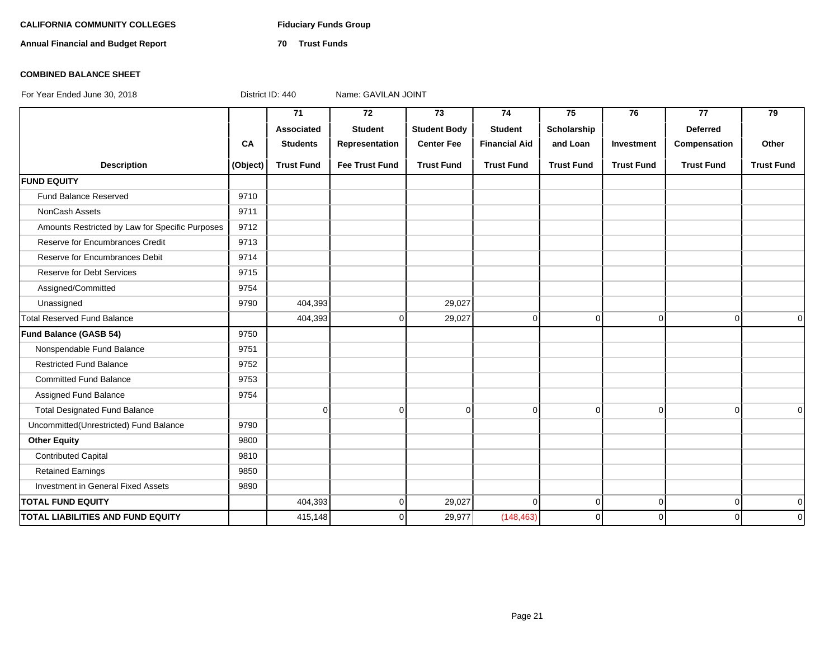# CALIFORNIA COMMUNITY COLLEGES Fiduciary Funds Group

**Annual Financial and Budget Report 70 Trust Funds**

# **COMBINED BALANCE SHEET**

|                                                 |           | 71                | 72                    | 73                  | 74                   | 75                | 76                | 77                | 79                |
|-------------------------------------------------|-----------|-------------------|-----------------------|---------------------|----------------------|-------------------|-------------------|-------------------|-------------------|
|                                                 |           | Associated        | <b>Student</b>        | <b>Student Body</b> | <b>Student</b>       | Scholarship       |                   | <b>Deferred</b>   |                   |
|                                                 | <b>CA</b> | <b>Students</b>   | Representation        | <b>Center Fee</b>   | <b>Financial Aid</b> | and Loan          | Investment        | Compensation      | Other             |
| <b>Description</b>                              | (Object)  | <b>Trust Fund</b> | <b>Fee Trust Fund</b> | <b>Trust Fund</b>   | <b>Trust Fund</b>    | <b>Trust Fund</b> | <b>Trust Fund</b> | <b>Trust Fund</b> | <b>Trust Fund</b> |
| <b>FUND EQUITY</b>                              |           |                   |                       |                     |                      |                   |                   |                   |                   |
| Fund Balance Reserved                           | 9710      |                   |                       |                     |                      |                   |                   |                   |                   |
| NonCash Assets                                  | 9711      |                   |                       |                     |                      |                   |                   |                   |                   |
| Amounts Restricted by Law for Specific Purposes | 9712      |                   |                       |                     |                      |                   |                   |                   |                   |
| Reserve for Encumbrances Credit                 | 9713      |                   |                       |                     |                      |                   |                   |                   |                   |
| Reserve for Encumbrances Debit                  | 9714      |                   |                       |                     |                      |                   |                   |                   |                   |
| <b>Reserve for Debt Services</b>                | 9715      |                   |                       |                     |                      |                   |                   |                   |                   |
| Assigned/Committed                              | 9754      |                   |                       |                     |                      |                   |                   |                   |                   |
| Unassigned                                      | 9790      | 404,393           |                       | 29,027              |                      |                   |                   |                   |                   |
| <b>Total Reserved Fund Balance</b>              |           | 404,393           | $\overline{0}$        | 29,027              | 0                    | 0                 | $\overline{0}$    | $\overline{0}$    | $\overline{0}$    |
| Fund Balance (GASB 54)                          | 9750      |                   |                       |                     |                      |                   |                   |                   |                   |
| Nonspendable Fund Balance                       | 9751      |                   |                       |                     |                      |                   |                   |                   |                   |
| <b>Restricted Fund Balance</b>                  | 9752      |                   |                       |                     |                      |                   |                   |                   |                   |
| <b>Committed Fund Balance</b>                   | 9753      |                   |                       |                     |                      |                   |                   |                   |                   |
| Assigned Fund Balance                           | 9754      |                   |                       |                     |                      |                   |                   |                   |                   |
| <b>Total Designated Fund Balance</b>            |           | $\mathbf 0$       | $\overline{0}$        | $\overline{0}$      | 0                    | $\mathbf 0$       | $\overline{0}$    | $\overline{0}$    | $\Omega$          |
| Uncommitted(Unrestricted) Fund Balance          | 9790      |                   |                       |                     |                      |                   |                   |                   |                   |
| <b>Other Equity</b>                             | 9800      |                   |                       |                     |                      |                   |                   |                   |                   |
| <b>Contributed Capital</b>                      | 9810      |                   |                       |                     |                      |                   |                   |                   |                   |
| <b>Retained Earnings</b>                        | 9850      |                   |                       |                     |                      |                   |                   |                   |                   |
| Investment in General Fixed Assets              | 9890      |                   |                       |                     |                      |                   |                   |                   |                   |
| <b>TOTAL FUND EQUITY</b>                        |           | 404,393           | $\overline{0}$        | 29,027              | $\Omega$             | $\mathbf 0$       | $\overline{0}$    | $\overline{0}$    | 0                 |
| <b>TOTAL LIABILITIES AND FUND EQUITY</b>        |           | 415,148           | $\overline{0}$        | 29,977              | (148, 463)           | 0                 | 0                 | $\Omega$          | $\mathbf 0$       |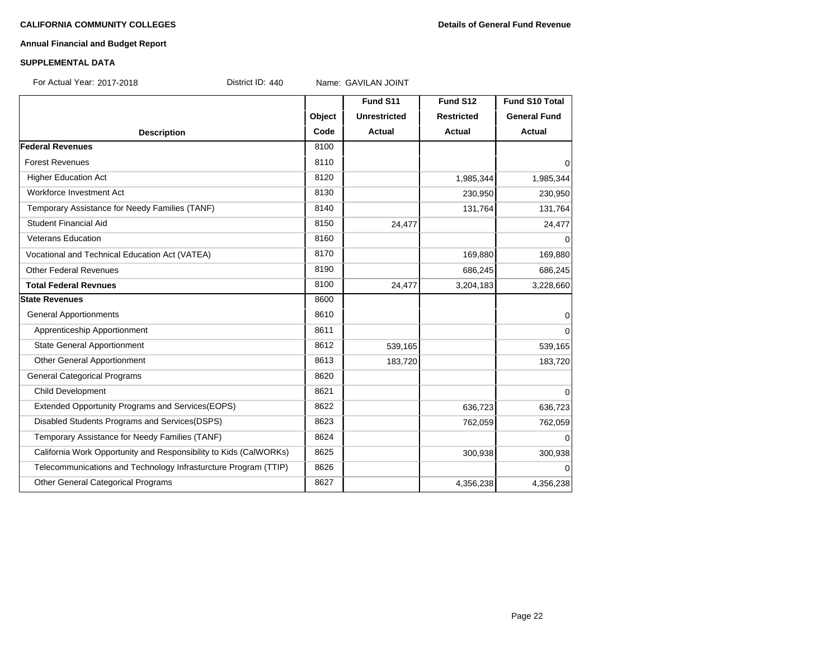### **Annual Financial and Budget Report**

### **SUPPLEMENTAL DATA**

For Actual Year: 2017-2018 District ID: 440 Name: GAVILAN JOINT

**Fund S11 Fund S12 Fund S10 Total Object Unrestricted Restricted General Fund Description Code Actual Actual Actual Federal Revenues** 8100 Forest Revenues and the set of the set of the set of the set of the set of the set of the set of the set of the set of the set of the set of the set of the set of the set of the set of the set of the set of the set of the Higher Education Act 1,985,344 1,985,344 1,985,344 1,985,344 1,985,344 1,985,344 1,985,344 1,985,344 1,985,344 Workforce Investment Act 230,950 230,950 230,950 230,950 230,950 230,950 230,950 230,950 230,950 230,950 230,950 230,950 230,950 230,950 230,950 230,950 230,950 230,950 230,950 230,950 230,950 230,950 230,950 230,950 230,9 Temporary Assistance for Needy Families (TANF) 8140 131,764 131,764 131,764 131,764 Student Financial Aid 24.477 24.477 Veterans Education and and the state of the state of the state of the state of the state of the state of the state of the state of the state of the state of the state of the state of the state of the state of the state of Vocational and Technical Education Act (VATEA) 169,880 169,880 169,880 169,880 169,880 Other Federal Revenues 8190 **686,245** 686,245 **686,245** 686,245 **686,245** 686,245 **686,245 Total Federal Revnues** 8100 **8100** 24,477 3,204,183 3,228,660 **State Revenues** 8600 General Apportionments and the set of the set of the set of the set of the set of the set of the set of the set of the set of the set of the set of the set of the set of the set of the set of the set of the set of the set Apprenticeship Apportionment and the control of the set of the set of the set of the set of the set of the set o State General Apportionment 1990 10 16 16 16 16 17 16 17 16 17 16 17 17 18 19 19 19 19 19 19 19 19 19 19 19 19 1 Other General Apportionment 183,720 183,720 183,720 183,720 183,720 General Categorical Programs 8620 Child Development 8621 0 Extended Opportunity Programs and Services(EOPS) 8622 636,723 636,723 636,723 Disabled Students Programs and Services(DSPS) 8623 8623 762,059 762,059 762,059 Temporary Assistance for Needy Families (TANF) 8624 | 8624 | CONSERVERTED ASSISTANCE OF THE OCCUPATION OF THE O California Work Opportunity and Responsibility to Kids (CalWORKs) 8625 300,938 300,938 300,938 Telecommunications and Technology Infrasturcture Program (TTIP) 8626 0 Other General Categorical Programs 8627 4,356,238 4,356,238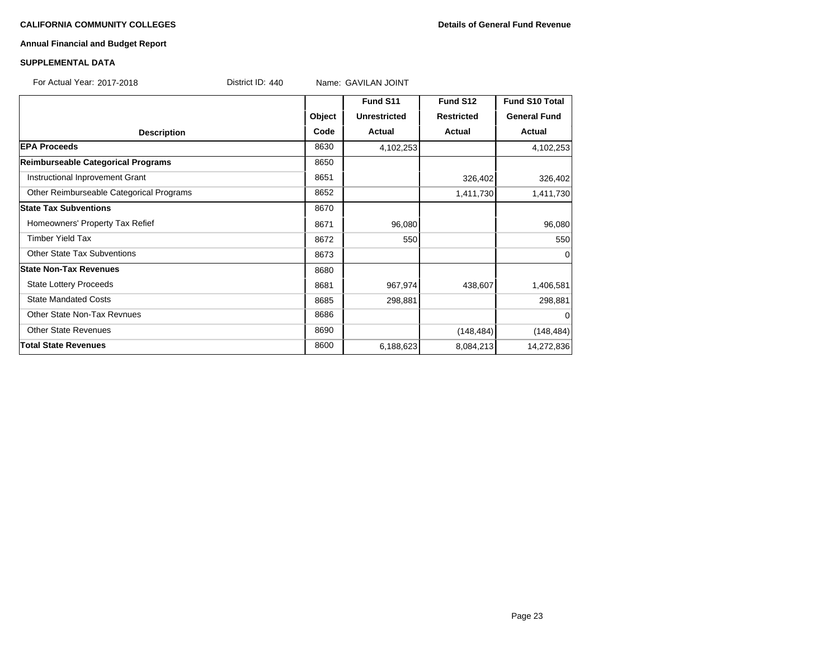### **CALIFORNIA COMMUNITY COLLEGES Details of General Fund Revenue**

# **Annual Financial and Budget Report**

### **SUPPLEMENTAL DATA**

For Actual Year: 2017-2018 Contract ID: 440 Name: GAVILAN JOINT

|                                          |        | Fund S11            | Fund S12          | <b>Fund S10 Total</b> |
|------------------------------------------|--------|---------------------|-------------------|-----------------------|
|                                          | Object | <b>Unrestricted</b> | <b>Restricted</b> | <b>General Fund</b>   |
| <b>Description</b>                       | Code   | Actual              | Actual            | Actual                |
| <b>EPA Proceeds</b>                      | 8630   | 4,102,253           |                   | 4,102,253             |
| Reimburseable Categorical Programs       | 8650   |                     |                   |                       |
| Instructional Inprovement Grant          | 8651   |                     | 326,402           | 326,402               |
| Other Reimburseable Categorical Programs | 8652   |                     | 1,411,730         | 1,411,730             |
| <b>State Tax Subventions</b>             | 8670   |                     |                   |                       |
| Homeowners' Property Tax Refief          | 8671   | 96,080              |                   | 96,080                |
| <b>Timber Yield Tax</b>                  | 8672   | 550                 |                   | 550                   |
| <b>Other State Tax Subventions</b>       | 8673   |                     |                   | 0                     |
| <b>State Non-Tax Revenues</b>            | 8680   |                     |                   |                       |
| <b>State Lottery Proceeds</b>            | 8681   | 967,974             | 438,607           | 1,406,581             |
| <b>State Mandated Costs</b>              | 8685   | 298,881             |                   | 298,881               |
| Other State Non-Tax Revnues              | 8686   |                     |                   | $\Omega$              |
| <b>Other State Revenues</b>              | 8690   |                     | (148, 484)        | (148, 484)            |
| <b>Total State Revenues</b>              | 8600   | 6,188,623           | 8,084,213         | 14,272,836            |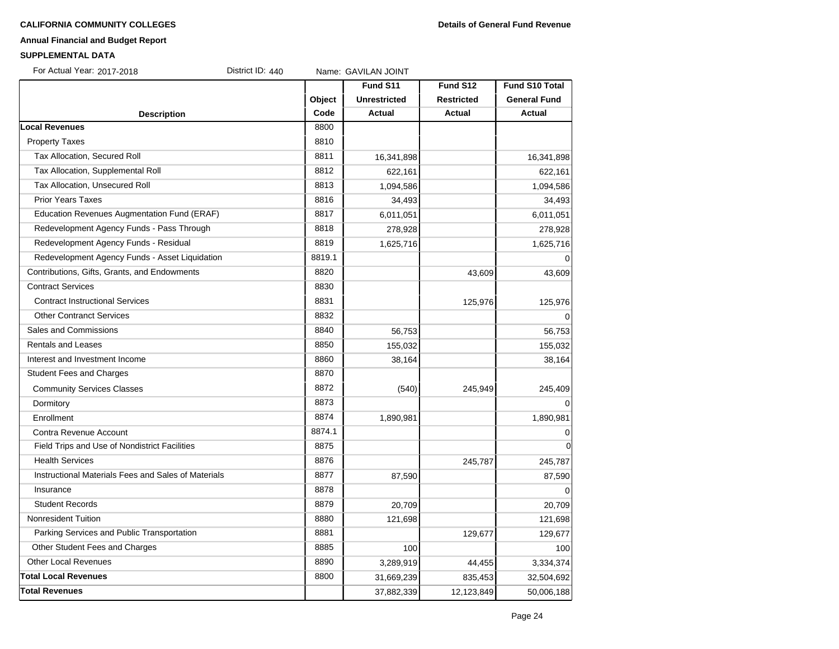### **CALIFORNIA COMMUNITY COLLEGES Details of General Fund Revenue**

# **Annual Financial and Budget Report**

### **SUPPLEMENTAL DATA**

For Actual Year: 2017-2018 District ID: 440 Name: GAVILAN JOINT

|                                                     |        | Fund S11            | Fund S12          | <b>Fund S10 Total</b> |
|-----------------------------------------------------|--------|---------------------|-------------------|-----------------------|
|                                                     | Object | <b>Unrestricted</b> | <b>Restricted</b> | <b>General Fund</b>   |
| <b>Description</b>                                  | Code   | <b>Actual</b>       | <b>Actual</b>     | <b>Actual</b>         |
| <b>Local Revenues</b>                               | 8800   |                     |                   |                       |
| <b>Property Taxes</b>                               | 8810   |                     |                   |                       |
| Tax Allocation, Secured Roll                        | 8811   | 16,341,898          |                   | 16,341,898            |
| Tax Allocation, Supplemental Roll                   | 8812   | 622,161             |                   | 622,161               |
| Tax Allocation, Unsecured Roll                      | 8813   | 1,094,586           |                   | 1,094,586             |
| <b>Prior Years Taxes</b>                            | 8816   | 34,493              |                   | 34,493                |
| Education Revenues Augmentation Fund (ERAF)         | 8817   | 6,011,051           |                   | 6,011,051             |
| Redevelopment Agency Funds - Pass Through           | 8818   | 278,928             |                   | 278,928               |
| Redevelopment Agency Funds - Residual               | 8819   | 1,625,716           |                   | 1,625,716             |
| Redevelopment Agency Funds - Asset Liquidation      | 8819.1 |                     |                   |                       |
| Contributions, Gifts, Grants, and Endowments        | 8820   |                     | 43,609            | 43,609                |
| <b>Contract Services</b>                            | 8830   |                     |                   |                       |
| <b>Contract Instructional Services</b>              | 8831   |                     | 125,976           | 125,976               |
| <b>Other Contranct Services</b>                     | 8832   |                     |                   | 0                     |
| Sales and Commissions                               | 8840   | 56,753              |                   | 56,753                |
| <b>Rentals and Leases</b>                           | 8850   | 155,032             |                   | 155,032               |
| Interest and Investment Income                      | 8860   | 38,164              |                   | 38,164                |
| <b>Student Fees and Charges</b>                     | 8870   |                     |                   |                       |
| <b>Community Services Classes</b>                   | 8872   | (540)               | 245,949           | 245,409               |
| Dormitory                                           | 8873   |                     |                   | $\Omega$              |
| Enrollment                                          | 8874   | 1,890,981           |                   | 1,890,981             |
| Contra Revenue Account                              | 8874.1 |                     |                   | $\mathbf 0$           |
| Field Trips and Use of Nondistrict Facilities       | 8875   |                     |                   | $\overline{0}$        |
| <b>Health Services</b>                              | 8876   |                     | 245,787           | 245,787               |
| Instructional Materials Fees and Sales of Materials | 8877   | 87,590              |                   | 87,590                |
| Insurance                                           | 8878   |                     |                   |                       |
| <b>Student Records</b>                              | 8879   | 20,709              |                   | 20,709                |
| <b>Nonresident Tuition</b>                          | 8880   | 121,698             |                   | 121,698               |
| Parking Services and Public Transportation          | 8881   |                     | 129,677           | 129,677               |
| Other Student Fees and Charges                      | 8885   | 100                 |                   | 100                   |
| <b>Other Local Revenues</b>                         | 8890   | 3,289,919           | 44,455            | 3,334,374             |
| <b>Total Local Revenues</b>                         | 8800   | 31,669,239          | 835,453           | 32,504,692            |
| <b>Total Revenues</b>                               |        | 37,882,339          | 12,123,849        | 50,006,188            |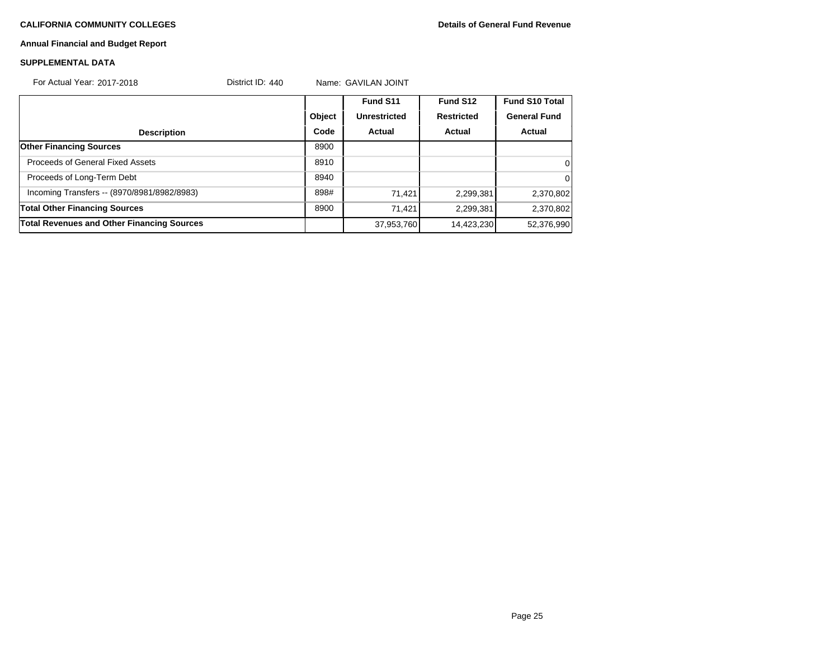# **Annual Financial and Budget Report**

### **SUPPLEMENTAL DATA**

| For Actual Year: 2017-2018                        | District ID: $440$ |        | Name: GAVILAN JOINT |                   |                       |  |
|---------------------------------------------------|--------------------|--------|---------------------|-------------------|-----------------------|--|
|                                                   |                    |        | Fund S11            | Fund S12          | <b>Fund S10 Total</b> |  |
|                                                   |                    | Object | <b>Unrestricted</b> | <b>Restricted</b> | <b>General Fund</b>   |  |
| <b>Description</b>                                |                    | Code   | Actual              | Actual            | Actual                |  |
| <b>Other Financing Sources</b>                    |                    | 8900   |                     |                   |                       |  |
| Proceeds of General Fixed Assets                  |                    | 8910   |                     |                   | 0                     |  |
| Proceeds of Long-Term Debt                        |                    | 8940   |                     |                   | $\Omega$              |  |
| Incoming Transfers -- (8970/8981/8982/8983)       |                    | 898#   | 71,421              | 2,299,381         | 2,370,802             |  |
| <b>Total Other Financing Sources</b>              |                    | 8900   | 71,421              | 2,299,381         | 2,370,802             |  |
| <b>Total Revenues and Other Financing Sources</b> |                    |        | 37,953,760          | 14,423,230        | 52,376,990            |  |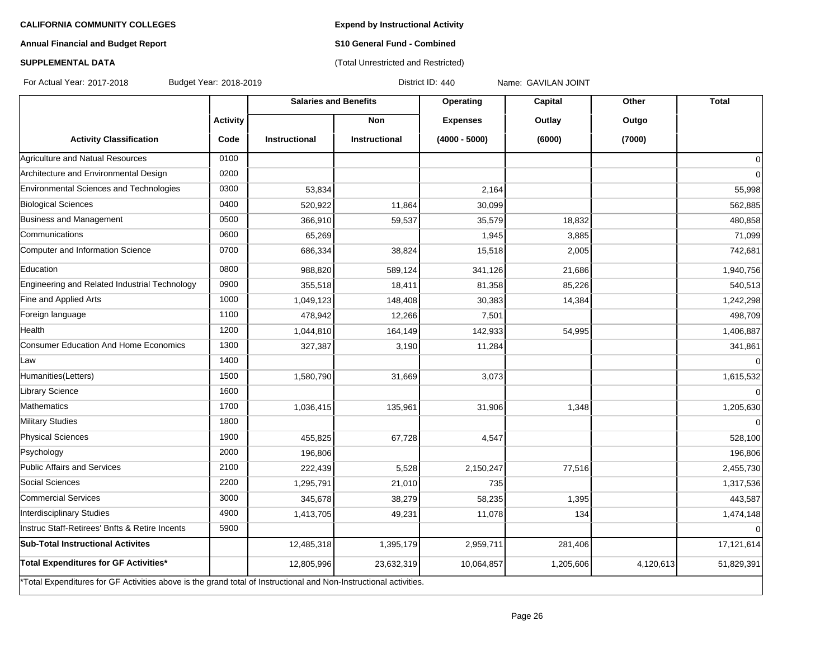**Expend by Instructional Activity**

# **Annual Financial and Budget Report**

# **S10 General Fund - Combined** (Total Unrestricted and Restricted)

# **SUPPLEMENTAL DATA**

For Actual Year: 2017-2018 Budget Year: 2018-2019 District ID: 440 Name: GAVILAN JOINT

|                                                                                                                   |                 | <b>Salaries and Benefits</b> |                      | Operating       | Capital   | Other     | <b>Total</b>   |
|-------------------------------------------------------------------------------------------------------------------|-----------------|------------------------------|----------------------|-----------------|-----------|-----------|----------------|
|                                                                                                                   | <b>Activity</b> |                              | <b>Non</b>           | <b>Expenses</b> | Outlay    | Outgo     |                |
| <b>Activity Classification</b>                                                                                    | Code            | <b>Instructional</b>         | <b>Instructional</b> | $(4000 - 5000)$ | (6000)    | (7000)    |                |
| Agriculture and Natual Resources                                                                                  | 0100            |                              |                      |                 |           |           | $\overline{0}$ |
| Architecture and Environmental Design                                                                             | 0200            |                              |                      |                 |           |           | $\overline{0}$ |
| Environmental Sciences and Technologies                                                                           | 0300            | 53,834                       |                      | 2,164           |           |           | 55,998         |
| <b>Biological Sciences</b>                                                                                        | 0400            | 520,922                      | 11,864               | 30,099          |           |           | 562,885        |
| Business and Management                                                                                           | 0500            | 366,910                      | 59,537               | 35,579          | 18,832    |           | 480,858        |
| Communications                                                                                                    | 0600            | 65,269                       |                      | 1,945           | 3,885     |           | 71,099         |
| Computer and Information Science                                                                                  | 0700            | 686,334                      | 38,824               | 15,518          | 2,005     |           | 742,681        |
| Education                                                                                                         | 0800            | 988,820                      | 589,124              | 341,126         | 21,686    |           | 1,940,756      |
| Engineering and Related Industrial Technology                                                                     | 0900            | 355,518                      | 18,411               | 81,358          | 85,226    |           | 540,513        |
| Fine and Applied Arts                                                                                             | 1000            | 1,049,123                    | 148,408              | 30,383          | 14,384    |           | 1,242,298      |
| Foreign language                                                                                                  | 1100            | 478,942                      | 12,266               | 7,501           |           |           | 498,709        |
| Health                                                                                                            | 1200            | 1,044,810                    | 164,149              | 142,933         | 54,995    |           | 1,406,887      |
| Consumer Education And Home Economics                                                                             | 1300            | 327,387                      | 3,190                | 11,284          |           |           | 341,861        |
| Law                                                                                                               | 1400            |                              |                      |                 |           |           | $\overline{0}$ |
| Humanities(Letters)                                                                                               | 1500            | 1,580,790                    | 31,669               | 3,073           |           |           | 1,615,532      |
| Library Science                                                                                                   | 1600            |                              |                      |                 |           |           | $\overline{0}$ |
| Mathematics                                                                                                       | 1700            | 1,036,415                    | 135,961              | 31,906          | 1,348     |           | 1,205,630      |
| <b>Military Studies</b>                                                                                           | 1800            |                              |                      |                 |           |           | $\Omega$       |
| <b>Physical Sciences</b>                                                                                          | 1900            | 455,825                      | 67,728               | 4,547           |           |           | 528,100        |
| Psychology                                                                                                        | 2000            | 196,806                      |                      |                 |           |           | 196,806        |
| Public Affairs and Services                                                                                       | 2100            | 222,439                      | 5,528                | 2,150,247       | 77,516    |           | 2,455,730      |
| Social Sciences                                                                                                   | 2200            | 1,295,791                    | 21,010               | 735             |           |           | 1,317,536      |
| Commercial Services                                                                                               | 3000            | 345,678                      | 38,279               | 58,235          | 1,395     |           | 443,587        |
| Interdisciplinary Studies                                                                                         | 4900            | 1,413,705                    | 49,231               | 11,078          | 134       |           | 1,474,148      |
| Instruc Staff-Retirees' Bnfts & Retire Incents                                                                    | 5900            |                              |                      |                 |           |           | $\overline{0}$ |
| <b>Sub-Total Instructional Activites</b>                                                                          |                 | 12,485,318                   | 1,395,179            | 2,959,711       | 281,406   |           | 17,121,614     |
| Total Expenditures for GF Activities*                                                                             |                 | 12,805,996                   | 23,632,319           | 10,064,857      | 1,205,606 | 4,120,613 | 51,829,391     |
| *Total Expenditures for GF Activities above is the grand total of Instructional and Non-Instructional activities. |                 |                              |                      |                 |           |           |                |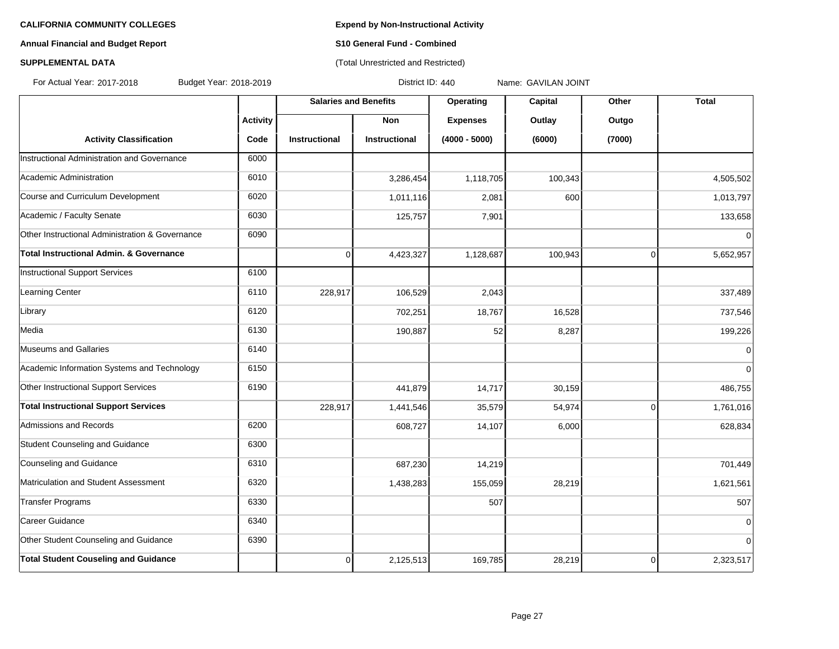# **Annual Financial and Budget Report S10 General Fund - Combined**

# **SUPPLEMENTAL DATA CONSERVATION CONSERVATION** (Total Unrestricted and Restricted)

For Actual Year: 2017-2018 Budget Year: 2018-2019 District ID: 440 Name: GAVILAN JOINT

|                                                 |                 | <b>Salaries and Benefits</b> |                      | Operating       | Capital | Other          | <b>Total</b> |
|-------------------------------------------------|-----------------|------------------------------|----------------------|-----------------|---------|----------------|--------------|
|                                                 | <b>Activity</b> |                              | <b>Non</b>           | <b>Expenses</b> | Outlay  | Outgo          |              |
| <b>Activity Classification</b>                  | Code            | <b>Instructional</b>         | <b>Instructional</b> | $(4000 - 5000)$ | (6000)  | (7000)         |              |
| Instructional Administration and Governance     | 6000            |                              |                      |                 |         |                |              |
| Academic Administration                         | 6010            |                              | 3,286,454            | 1,118,705       | 100,343 |                | 4,505,502    |
| Course and Curriculum Development               | 6020            |                              | 1,011,116            | 2,081           | 600     |                | 1,013,797    |
| Academic / Faculty Senate                       | 6030            |                              | 125,757              | 7,901           |         |                | 133,658      |
| Other Instructional Administration & Governance | 6090            |                              |                      |                 |         |                | $\Omega$     |
| Total Instructional Admin. & Governance         |                 | $\mathbf 0$                  | 4,423,327            | 1,128,687       | 100,943 | $\overline{0}$ | 5,652,957    |
| Instructional Support Services                  | 6100            |                              |                      |                 |         |                |              |
| Learning Center                                 | 6110            | 228,917                      | 106,529              | 2,043           |         |                | 337,489      |
| Library                                         | 6120            |                              | 702,251              | 18,767          | 16,528  |                | 737,546      |
| Media                                           | 6130            |                              | 190,887              | 52              | 8,287   |                | 199,226      |
| Museums and Gallaries                           | 6140            |                              |                      |                 |         |                | $\mathbf 0$  |
| Academic Information Systems and Technology     | 6150            |                              |                      |                 |         |                | $\Omega$     |
| Other Instructional Support Services            | 6190            |                              | 441,879              | 14,717          | 30,159  |                | 486,755      |
| <b>Total Instructional Support Services</b>     |                 | 228,917                      | 1,441,546            | 35,579          | 54,974  | $\overline{0}$ | 1,761,016    |
| Admissions and Records                          | 6200            |                              | 608,727              | 14,107          | 6,000   |                | 628,834      |
| Student Counseling and Guidance                 | 6300            |                              |                      |                 |         |                |              |
| Counseling and Guidance                         | 6310            |                              | 687,230              | 14,219          |         |                | 701,449      |
| Matriculation and Student Assessment            | 6320            |                              | 1,438,283            | 155,059         | 28,219  |                | 1,621,561    |
| Transfer Programs                               | 6330            |                              |                      | 507             |         |                | 507          |
| Career Guidance                                 | 6340            |                              |                      |                 |         |                | $\mathbf 0$  |
| Other Student Counseling and Guidance           | 6390            |                              |                      |                 |         |                | 0            |
| <b>Total Student Couseling and Guidance</b>     |                 | 0                            | 2,125,513            | 169,785         | 28,219  | 0              | 2,323,517    |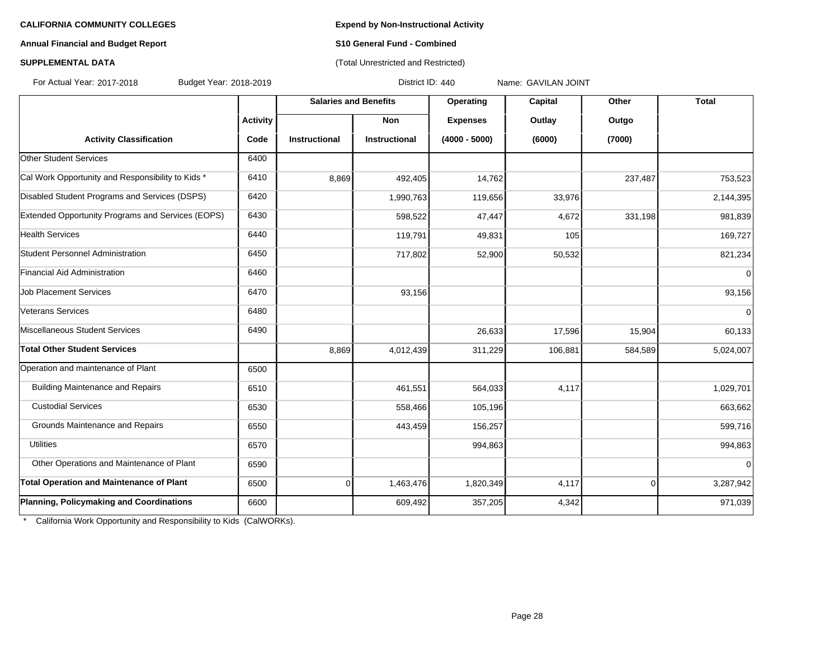## **Annual Financial and Budget Report S10 General Fund - Combined**

# **SUPPLEMENTAL DATA** (Total Unrestricted and Restricted)

For Actual Year: 2017-2018 Budget Year: 2018-2019 District ID: 440 Name: GAVILAN JOINT

|                                                   |                 | <b>Salaries and Benefits</b> |               | Operating       | Capital | Other          | <b>Total</b> |
|---------------------------------------------------|-----------------|------------------------------|---------------|-----------------|---------|----------------|--------------|
|                                                   | <b>Activity</b> |                              | <b>Non</b>    | <b>Expenses</b> | Outlay  | Outgo          |              |
| <b>Activity Classification</b>                    | Code            | Instructional                | Instructional | $(4000 - 5000)$ | (6000)  | (7000)         |              |
| Other Student Services                            | 6400            |                              |               |                 |         |                |              |
| Cal Work Opportunity and Responsibility to Kids * | 6410            | 8,869                        | 492,405       | 14,762          |         | 237,487        | 753,523      |
| Disabled Student Programs and Services (DSPS)     | 6420            |                              | 1,990,763     | 119,656         | 33,976  |                | 2,144,395    |
| Extended Opportunity Programs and Services (EOPS) | 6430            |                              | 598,522       | 47,447          | 4,672   | 331,198        | 981,839      |
| <b>Health Services</b>                            | 6440            |                              | 119,791       | 49,831          | 105     |                | 169,727      |
| Student Personnel Administration                  | 6450            |                              | 717,802       | 52,900          | 50,532  |                | 821,234      |
| Financial Aid Administration                      | 6460            |                              |               |                 |         |                | $\mathbf 0$  |
| <b>Job Placement Services</b>                     | 6470            |                              | 93,156        |                 |         |                | 93,156       |
| Veterans Services                                 | 6480            |                              |               |                 |         |                | $\mathbf 0$  |
| Miscellaneous Student Services                    | 6490            |                              |               | 26,633          | 17,596  | 15,904         | 60,133       |
| <b>Total Other Student Services</b>               |                 | 8,869                        | 4,012,439     | 311,229         | 106,881 | 584,589        | 5,024,007    |
| Operation and maintenance of Plant                | 6500            |                              |               |                 |         |                |              |
| <b>Building Maintenance and Repairs</b>           | 6510            |                              | 461,551       | 564,033         | 4,117   |                | 1,029,701    |
| <b>Custodial Services</b>                         | 6530            |                              | 558,466       | 105,196         |         |                | 663,662      |
| Grounds Maintenance and Repairs                   | 6550            |                              | 443,459       | 156,257         |         |                | 599,716      |
| <b>Utilities</b>                                  | 6570            |                              |               | 994,863         |         |                | 994,863      |
| Other Operations and Maintenance of Plant         | 6590            |                              |               |                 |         |                | $\mathbf 0$  |
| <b>Total Operation and Maintenance of Plant</b>   | 6500            | 0                            | 1,463,476     | 1,820,349       | 4,117   | $\overline{0}$ | 3,287,942    |
| Planning, Policymaking and Coordinations          | 6600            |                              | 609,492       | 357,205         | 4,342   |                | 971,039      |

\* California Work Opportunity and Responsibility to Kids (CalWORKs).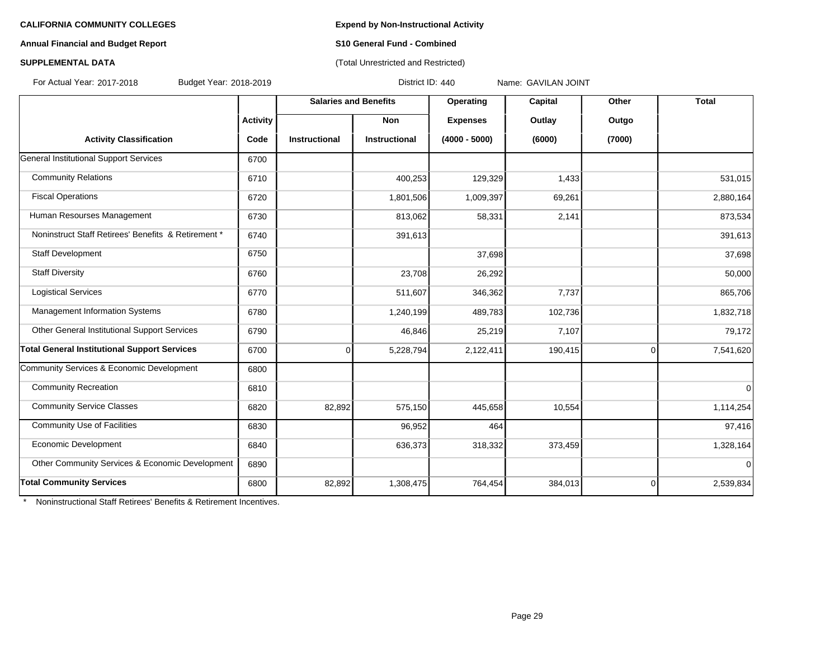## **Annual Financial and Budget Report S10 General Fund - Combined**

# **SUPPLEMENTAL DATA CONSERVATION CONSERVATION** (Total Unrestricted and Restricted)

For Actual Year: 2017-2018 Budget Year: 2018-2019 District ID: 440 Name: GAVILAN JOINT

|                                                     |                 | <b>Salaries and Benefits</b> |                      | Operating       | Capital | Other          | <b>Total</b> |
|-----------------------------------------------------|-----------------|------------------------------|----------------------|-----------------|---------|----------------|--------------|
|                                                     | <b>Activity</b> |                              | <b>Non</b>           | <b>Expenses</b> | Outlay  | Outgo          |              |
| <b>Activity Classification</b>                      | Code            | <b>Instructional</b>         | <b>Instructional</b> | $(4000 - 5000)$ | (6000)  | (7000)         |              |
| General Institutional Support Services              | 6700            |                              |                      |                 |         |                |              |
| <b>Community Relations</b>                          | 6710            |                              | 400,253              | 129,329         | 1,433   |                | 531,015      |
| <b>Fiscal Operations</b>                            | 6720            |                              | 1,801,506            | 1,009,397       | 69,261  |                | 2,880,164    |
| Human Resourses Management                          | 6730            |                              | 813,062              | 58,331          | 2,141   |                | 873,534      |
| Noninstruct Staff Retirees' Benefits & Retirement * | 6740            |                              | 391,613              |                 |         |                | 391,613      |
| <b>Staff Development</b>                            | 6750            |                              |                      | 37,698          |         |                | 37,698       |
| <b>Staff Diversity</b>                              | 6760            |                              | 23,708               | 26,292          |         |                | 50,000       |
| <b>Logistical Services</b>                          | 6770            |                              | 511,607              | 346,362         | 7,737   |                | 865,706      |
| Management Information Systems                      | 6780            |                              | 1,240,199            | 489,783         | 102,736 |                | 1,832,718    |
| Other General Institutional Support Services        | 6790            |                              | 46,846               | 25,219          | 7,107   |                | 79,172       |
| <b>Total General Institutional Support Services</b> | 6700            | 0                            | 5,228,794            | 2,122,411       | 190,415 | $\overline{0}$ | 7,541,620    |
| Community Services & Economic Development           | 6800            |                              |                      |                 |         |                |              |
| <b>Community Recreation</b>                         | 6810            |                              |                      |                 |         |                | $\mathbf 0$  |
| <b>Community Service Classes</b>                    | 6820            | 82,892                       | 575,150              | 445,658         | 10,554  |                | 1,114,254    |
| <b>Community Use of Facilities</b>                  | 6830            |                              | 96,952               | 464             |         |                | 97,416       |
| Economic Development                                | 6840            |                              | 636,373              | 318,332         | 373,459 |                | 1,328,164    |
| Other Community Services & Economic Development     | 6890            |                              |                      |                 |         |                | $\mathbf 0$  |
| <b>Total Community Services</b>                     | 6800            | 82,892                       | 1,308,475            | 764,454         | 384,013 | $\overline{0}$ | 2,539,834    |

\* Noninstructional Staff Retirees' Benefits & Retirement Incentives.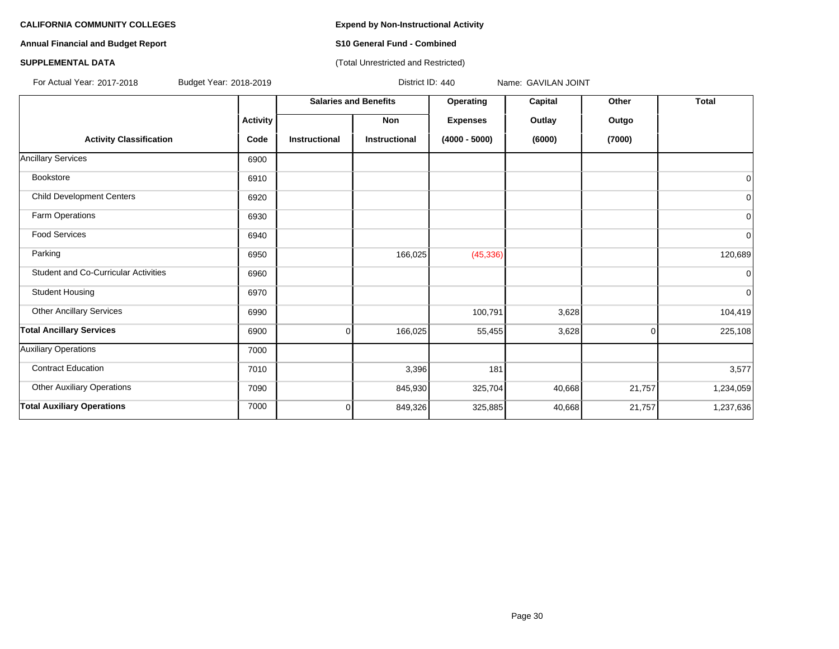**Annual Financial and Budget Report S10 General Fund - Combined**

## **SUPPLEMENTAL DATA CONSERVATION CONSERVATION** (Total Unrestricted and Restricted)

For Actual Year: 2017-2018 Budget Year: 2018-2019 District ID: 440 Name: GAVILAN JOINT

|                                             |                 |                      | <b>Salaries and Benefits</b> | Operating       | Capital | Other    | <b>Total</b> |
|---------------------------------------------|-----------------|----------------------|------------------------------|-----------------|---------|----------|--------------|
|                                             | <b>Activity</b> |                      | <b>Non</b>                   | <b>Expenses</b> | Outlay  | Outgo    |              |
| <b>Activity Classification</b>              | Code            | <b>Instructional</b> | <b>Instructional</b>         | $(4000 - 5000)$ | (6000)  | (7000)   |              |
| <b>Ancillary Services</b>                   | 6900            |                      |                              |                 |         |          |              |
| Bookstore                                   | 6910            |                      |                              |                 |         |          | $\mathbf 0$  |
| <b>Child Development Centers</b>            | 6920            |                      |                              |                 |         |          | 0            |
| Farm Operations                             | 6930            |                      |                              |                 |         |          | 0            |
| <b>Food Services</b>                        | 6940            |                      |                              |                 |         |          | 0            |
| Parking                                     | 6950            |                      | 166,025                      | (45, 336)       |         |          | 120,689      |
| <b>Student and Co-Curricular Activities</b> | 6960            |                      |                              |                 |         |          | $\Omega$     |
| <b>Student Housing</b>                      | 6970            |                      |                              |                 |         |          | 0            |
| <b>Other Ancillary Services</b>             | 6990            |                      |                              | 100,791         | 3,628   |          | 104,419      |
| <b>Total Ancillary Services</b>             | 6900            | $\Omega$             | 166,025                      | 55,455          | 3,628   | $\Omega$ | 225,108      |
| Auxiliary Operations                        | 7000            |                      |                              |                 |         |          |              |
| <b>Contract Education</b>                   | 7010            |                      | 3,396                        | 181             |         |          | 3,577        |
| <b>Other Auxiliary Operations</b>           | 7090            |                      | 845,930                      | 325,704         | 40,668  | 21,757   | 1,234,059    |
| <b>Total Auxiliary Operations</b>           | 7000            | $\overline{0}$       | 849,326                      | 325,885         | 40,668  | 21,757   | 1,237,636    |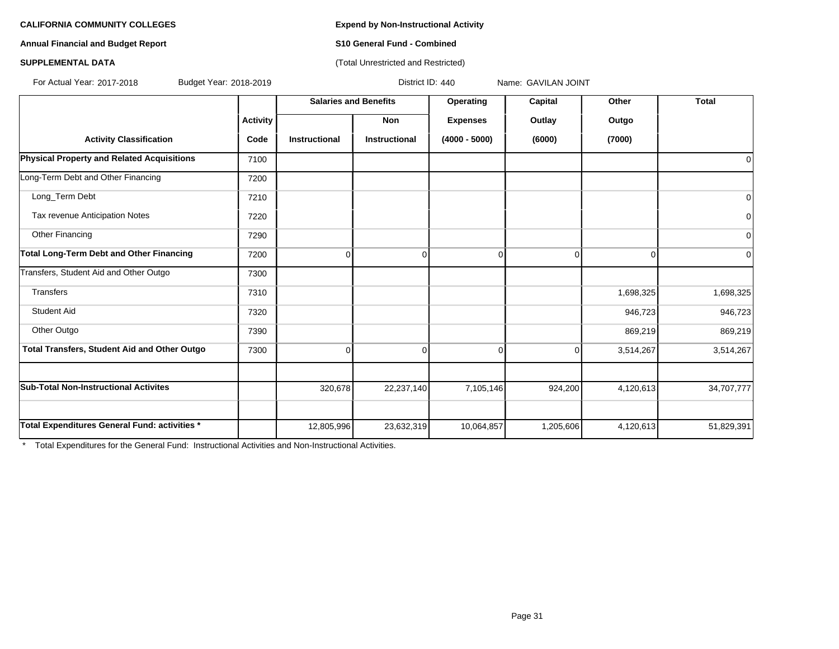**Annual Financial and Budget Report S10 General Fund - Combined**

## **SUPPLEMENTAL DATA CONSERVATION CONSERVATION** (Total Unrestricted and Restricted)

For Actual Year: 2017-2018 Budget Year: 2018-2019 District ID: 440 Name: GAVILAN JOINT

|                                                   |                 | <b>Salaries and Benefits</b> |                      | Operating       | Capital   | Other     | <b>Total</b> |
|---------------------------------------------------|-----------------|------------------------------|----------------------|-----------------|-----------|-----------|--------------|
|                                                   | <b>Activity</b> |                              | Non                  | <b>Expenses</b> | Outlay    | Outgo     |              |
| <b>Activity Classification</b>                    | Code            | Instructional                | <b>Instructional</b> | $(4000 - 5000)$ | (6000)    | (7000)    |              |
| <b>Physical Property and Related Acquisitions</b> | 7100            |                              |                      |                 |           |           | 0            |
| Long-Term Debt and Other Financing                | 7200            |                              |                      |                 |           |           |              |
| Long Term Debt                                    | 7210            |                              |                      |                 |           |           | $\mathbf 0$  |
| Tax revenue Anticipation Notes                    | 7220            |                              |                      |                 |           |           | 0            |
| Other Financing                                   | 7290            |                              |                      |                 |           |           | $\mathbf 0$  |
| <b>Total Long-Term Debt and Other Financing</b>   | 7200            | 0                            | $\Omega$             | 0               | $\Omega$  | $\Omega$  | 0            |
| Transfers, Student Aid and Other Outgo            | 7300            |                              |                      |                 |           |           |              |
| Transfers                                         | 7310            |                              |                      |                 |           | 1,698,325 | 1,698,325    |
| <b>Student Aid</b>                                | 7320            |                              |                      |                 |           | 946,723   | 946,723      |
| Other Outgo                                       | 7390            |                              |                      |                 |           | 869,219   | 869,219      |
| Total Transfers, Student Aid and Other Outgo      | 7300            | $\Omega$                     | $\Omega$             | 0               | $\Omega$  | 3,514,267 | 3,514,267    |
|                                                   |                 |                              |                      |                 |           |           |              |
| <b>Sub-Total Non-Instructional Activites</b>      |                 | 320,678                      | 22,237,140           | 7,105,146       | 924,200   | 4,120,613 | 34,707,777   |
|                                                   |                 |                              |                      |                 |           |           |              |
| Total Expenditures General Fund: activities *     |                 | 12,805,996                   | 23,632,319           | 10,064,857      | 1,205,606 | 4,120,613 | 51,829,391   |

\* Total Expenditures for the General Fund: Instructional Activities and Non-Instructional Activities.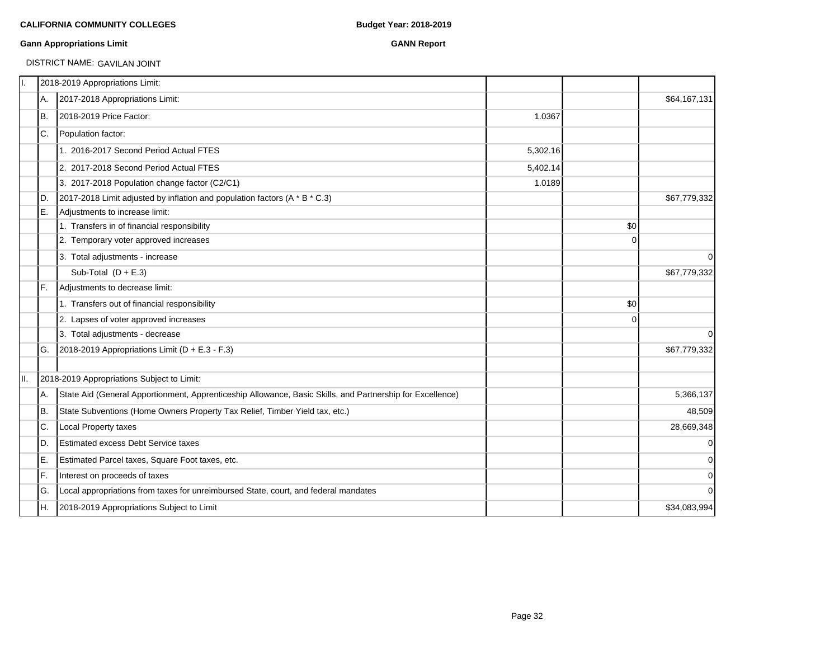### **Gann Appropriations Limit GANN Report**

DISTRICT NAME: GAVILAN JOINT

| Π.   |     | 2018-2019 Appropriations Limit:                                                                           |          |             |              |
|------|-----|-----------------------------------------------------------------------------------------------------------|----------|-------------|--------------|
|      | A.  | 2017-2018 Appropriations Limit:                                                                           |          |             | \$64,167,131 |
|      | IB. | 2018-2019 Price Factor:                                                                                   | 1.0367   |             |              |
|      | IC. | Population factor:                                                                                        |          |             |              |
|      |     | 1. 2016-2017 Second Period Actual FTES                                                                    | 5,302.16 |             |              |
|      |     | 2. 2017-2018 Second Period Actual FTES                                                                    | 5,402.14 |             |              |
|      |     | 3. 2017-2018 Population change factor (C2/C1)                                                             | 1.0189   |             |              |
|      | ID. | 2017-2018 Limit adjusted by inflation and population factors (A * B * C.3)                                |          |             | \$67,779,332 |
|      | IE. | Adjustments to increase limit:                                                                            |          |             |              |
|      |     | 1. Transfers in of financial responsibility                                                               |          | \$0         |              |
|      |     | 2. Temporary voter approved increases                                                                     |          | $\Omega$    |              |
|      |     | 3. Total adjustments - increase                                                                           |          |             | $\mathbf 0$  |
|      |     | Sub-Total $(D + E.3)$                                                                                     |          |             | \$67,779,332 |
|      | IF. | Adjustments to decrease limit:                                                                            |          |             |              |
|      |     | 1. Transfers out of financial responsibility                                                              |          | \$0         |              |
|      |     | 2. Lapses of voter approved increases                                                                     |          | $\mathbf 0$ |              |
|      |     | 3. Total adjustments - decrease                                                                           |          |             | $\mathbf 0$  |
|      | IG. | 2018-2019 Appropriations Limit (D + E.3 - F.3)                                                            |          |             | \$67,779,332 |
| III. |     | 2018-2019 Appropriations Subject to Limit:                                                                |          |             |              |
|      | IA. | State Aid (General Apportionment, Apprenticeship Allowance, Basic Skills, and Partnership for Excellence) |          |             | 5,366,137    |
|      | IB. | State Subventions (Home Owners Property Tax Relief, Timber Yield tax, etc.)                               |          |             | 48,509       |
|      | C.  | Local Property taxes                                                                                      |          |             | 28,669,348   |
|      | ID. | <b>Estimated excess Debt Service taxes</b>                                                                |          |             | $\pmb{0}$    |
|      | E.  | Estimated Parcel taxes, Square Foot taxes, etc.                                                           |          |             | $\mathbf 0$  |
|      | IF. | Interest on proceeds of taxes                                                                             |          |             | $\mathbf 0$  |
|      | IG. | Local appropriations from taxes for unreimbursed State, court, and federal mandates                       |          |             | 0            |
|      | IH. | 2018-2019 Appropriations Subject to Limit                                                                 |          |             | \$34,083,994 |
|      |     |                                                                                                           |          |             |              |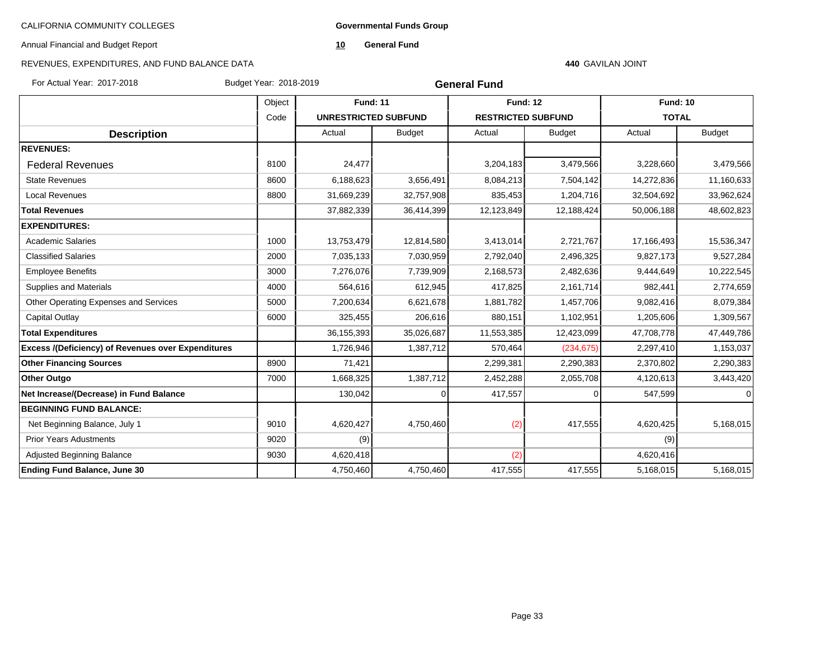**Governmental Funds Group**

Annual Financial and Budget Report

**10 General Fund**

# REVENUES, EXPENDITURES, AND FUND BALANCE DATA

### **440** GAVILAN JOINT

For Actual Year: 2017-2018 Budget Year: 2018-2019

| <b>General Fund</b> |  |
|---------------------|--|
|---------------------|--|

|                                                           | Object |                             | <b>Fund: 11</b> |                           | <b>Fund: 12</b> |              | <b>Fund: 10</b> |  |
|-----------------------------------------------------------|--------|-----------------------------|-----------------|---------------------------|-----------------|--------------|-----------------|--|
|                                                           | Code   | <b>UNRESTRICTED SUBFUND</b> |                 | <b>RESTRICTED SUBFUND</b> |                 | <b>TOTAL</b> |                 |  |
| <b>Description</b>                                        |        | Actual                      | <b>Budget</b>   | Actual                    | <b>Budget</b>   | Actual       | <b>Budget</b>   |  |
| <b>REVENUES:</b>                                          |        |                             |                 |                           |                 |              |                 |  |
| <b>Federal Revenues</b>                                   | 8100   | 24,477                      |                 | 3,204,183                 | 3,479,566       | 3,228,660    | 3,479,566       |  |
| <b>State Revenues</b>                                     | 8600   | 6,188,623                   | 3,656,491       | 8,084,213                 | 7,504,142       | 14,272,836   | 11,160,633      |  |
| <b>Local Revenues</b>                                     | 8800   | 31,669,239                  | 32,757,908      | 835,453                   | 1,204,716       | 32,504,692   | 33,962,624      |  |
| <b>Total Revenues</b>                                     |        | 37,882,339                  | 36,414,399      | 12,123,849                | 12,188,424      | 50,006,188   | 48,602,823      |  |
| <b>EXPENDITURES:</b>                                      |        |                             |                 |                           |                 |              |                 |  |
| <b>Academic Salaries</b>                                  | 1000   | 13,753,479                  | 12,814,580      | 3,413,014                 | 2,721,767       | 17,166,493   | 15,536,347      |  |
| <b>Classified Salaries</b>                                | 2000   | 7,035,133                   | 7,030,959       | 2,792,040                 | 2,496,325       | 9,827,173    | 9,527,284       |  |
| <b>Employee Benefits</b>                                  | 3000   | 7,276,076                   | 7,739,909       | 2,168,573                 | 2,482,636       | 9,444,649    | 10,222,545      |  |
| Supplies and Materials                                    | 4000   | 564,616                     | 612,945         | 417,825                   | 2,161,714       | 982,441      | 2,774,659       |  |
| Other Operating Expenses and Services                     | 5000   | 7,200,634                   | 6,621,678       | 1,881,782                 | 1,457,706       | 9,082,416    | 8,079,384       |  |
| Capital Outlay                                            | 6000   | 325,455                     | 206,616         | 880,151                   | 1,102,951       | 1,205,606    | 1,309,567       |  |
| <b>Total Expenditures</b>                                 |        | 36,155,393                  | 35,026,687      | 11,553,385                | 12,423,099      | 47,708,778   | 47,449,786      |  |
| <b>Excess /(Deficiency) of Revenues over Expenditures</b> |        | 1,726,946                   | 1,387,712       | 570,464                   | (234, 675)      | 2,297,410    | 1,153,037       |  |
| <b>Other Financing Sources</b>                            | 8900   | 71,421                      |                 | 2,299,381                 | 2,290,383       | 2,370,802    | 2,290,383       |  |
| <b>Other Outgo</b>                                        | 7000   | 1,668,325                   | 1,387,712       | 2,452,288                 | 2,055,708       | 4,120,613    | 3,443,420       |  |
| Net Increase/(Decrease) in Fund Balance                   |        | 130,042                     |                 | 417,557                   | $\Omega$        | 547,599      |                 |  |
| <b>BEGINNING FUND BALANCE:</b>                            |        |                             |                 |                           |                 |              |                 |  |
| Net Beginning Balance, July 1                             | 9010   | 4,620,427                   | 4,750,460       | (2)                       | 417,555         | 4,620,425    | 5,168,015       |  |
| <b>Prior Years Adustments</b>                             | 9020   | (9)                         |                 |                           |                 | (9)          |                 |  |
| <b>Adjusted Beginning Balance</b>                         | 9030   | 4,620,418                   |                 | (2)                       |                 | 4,620,416    |                 |  |
| Ending Fund Balance, June 30                              |        | 4,750,460                   | 4,750,460       | 417,555                   | 417,555         | 5,168,015    | 5,168,015       |  |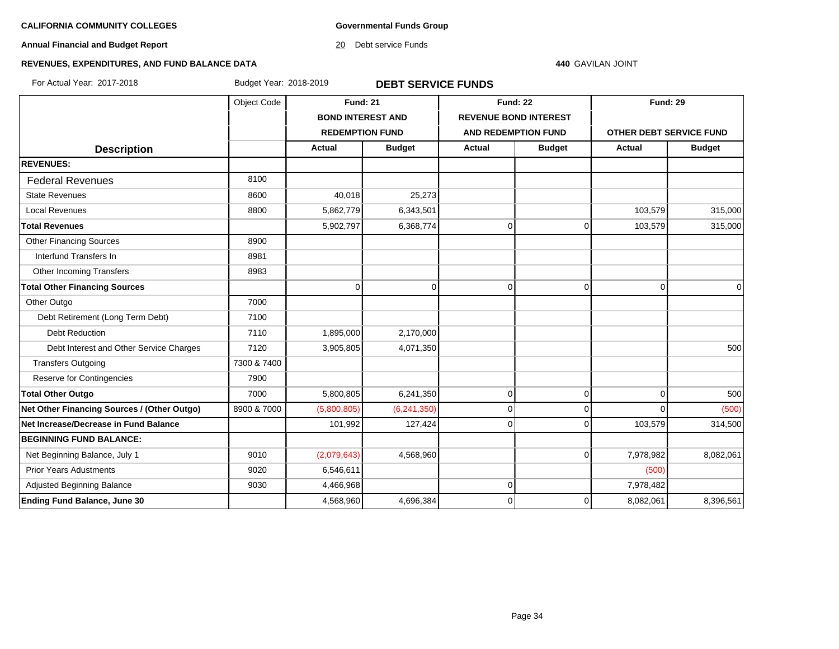**Governmental Funds Group**

**Annual Financial and Budget Report**

20 Debt service Funds

### **440** GAVILAN JOINT

# **REVENUES, EXPENDITURES, AND FUND BALANCE DATA**

For Actual Year: 2017-2018 Budget Year: 2018-2019 **DEBT SERVICE FUNDS**

|                                             | Object Code | <b>Fund: 21</b>          |               | <b>Fund: 22</b>              |                | <b>Fund: 29</b>         |               |
|---------------------------------------------|-------------|--------------------------|---------------|------------------------------|----------------|-------------------------|---------------|
|                                             |             | <b>BOND INTEREST AND</b> |               | <b>REVENUE BOND INTEREST</b> |                |                         |               |
|                                             |             | <b>REDEMPTION FUND</b>   |               | <b>AND REDEMPTION FUND</b>   |                | OTHER DEBT SERVICE FUND |               |
| <b>Description</b>                          |             | <b>Actual</b>            | <b>Budget</b> | <b>Actual</b>                | <b>Budget</b>  | <b>Actual</b>           | <b>Budget</b> |
| <b>REVENUES:</b>                            |             |                          |               |                              |                |                         |               |
| <b>Federal Revenues</b>                     | 8100        |                          |               |                              |                |                         |               |
| <b>State Revenues</b>                       | 8600        | 40,018                   | 25,273        |                              |                |                         |               |
| <b>Local Revenues</b>                       | 8800        | 5,862,779                | 6,343,501     |                              |                | 103,579                 | 315,000       |
| <b>Total Revenues</b>                       |             | 5,902,797                | 6,368,774     | $\Omega$                     | $\Omega$       | 103,579                 | 315,000       |
| <b>Other Financing Sources</b>              | 8900        |                          |               |                              |                |                         |               |
| Interfund Transfers In                      | 8981        |                          |               |                              |                |                         |               |
| Other Incoming Transfers                    | 8983        |                          |               |                              |                |                         |               |
| <b>Total Other Financing Sources</b>        |             | $\Omega$                 | $\Omega$      | $\Omega$                     | $\Omega$       | $\Omega$                | 0             |
| Other Outgo                                 | 7000        |                          |               |                              |                |                         |               |
| Debt Retirement (Long Term Debt)            | 7100        |                          |               |                              |                |                         |               |
| <b>Debt Reduction</b>                       | 7110        | 1,895,000                | 2,170,000     |                              |                |                         |               |
| Debt Interest and Other Service Charges     | 7120        | 3,905,805                | 4,071,350     |                              |                |                         | 500           |
| <b>Transfers Outgoing</b>                   | 7300 & 7400 |                          |               |                              |                |                         |               |
| Reserve for Contingencies                   | 7900        |                          |               |                              |                |                         |               |
| <b>Total Other Outgo</b>                    | 7000        | 5,800,805                | 6,241,350     | $\overline{0}$               | $\overline{0}$ | $\mathbf 0$             | 500           |
| Net Other Financing Sources / (Other Outgo) | 8900 & 7000 | (5,800,805)              | (6,241,350)   | $\overline{0}$               | $\Omega$       | $\Omega$                | (500)         |
| Net Increase/Decrease in Fund Balance       |             | 101,992                  | 127,424       | 0                            | $\Omega$       | 103,579                 | 314,500       |
| <b>BEGINNING FUND BALANCE:</b>              |             |                          |               |                              |                |                         |               |
| Net Beginning Balance, July 1               | 9010        | (2,079,643)              | 4,568,960     |                              | $\overline{0}$ | 7,978,982               | 8,082,061     |
| <b>Prior Years Adustments</b>               | 9020        | 6,546,611                |               |                              |                | (500)                   |               |
| Adjusted Beginning Balance                  | 9030        | 4,466,968                |               | $\Omega$                     |                | 7,978,482               |               |
| <b>Ending Fund Balance, June 30</b>         |             | 4,568,960                | 4,696,384     | $\Omega$                     | $\Omega$       | 8,082,061               | 8,396,561     |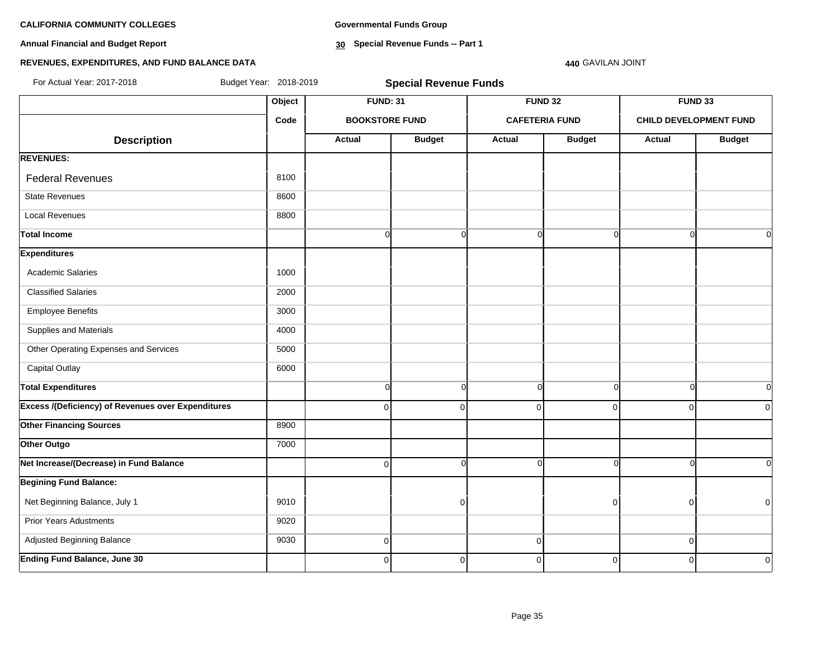**Annual Financial and Budget Report**

**Governmental Funds Group**

**30 Special Revenue Funds -- Part 1**

### **440** GAVILAN JOINT

| For Actual Year: 2017-2018                                | Budget Year: 2018-2019 |                       | <b>Special Revenue Funds</b> |                |                       |          |                               |  |  |  |
|-----------------------------------------------------------|------------------------|-----------------------|------------------------------|----------------|-----------------------|----------|-------------------------------|--|--|--|
|                                                           | Object                 | <b>FUND: 31</b>       |                              |                | <b>FUND 32</b>        |          | <b>FUND 33</b>                |  |  |  |
|                                                           | Code                   | <b>BOOKSTORE FUND</b> |                              |                | <b>CAFETERIA FUND</b> |          | <b>CHILD DEVELOPMENT FUND</b> |  |  |  |
| <b>Description</b>                                        |                        | Actual                | <b>Budget</b>                | Actual         | <b>Budget</b>         | Actual   | <b>Budget</b>                 |  |  |  |
| <b>REVENUES:</b>                                          |                        |                       |                              |                |                       |          |                               |  |  |  |
| <b>Federal Revenues</b>                                   | 8100                   |                       |                              |                |                       |          |                               |  |  |  |
| <b>State Revenues</b>                                     | 8600                   |                       |                              |                |                       |          |                               |  |  |  |
| <b>Local Revenues</b>                                     | 8800                   |                       |                              |                |                       |          |                               |  |  |  |
| <b>Total Income</b>                                       |                        | $\overline{0}$        | $\overline{0}$               | $\overline{0}$ | $\overline{0}$        |          | $\overline{0}$                |  |  |  |
| <b>Expenditures</b>                                       |                        |                       |                              |                |                       |          |                               |  |  |  |
| <b>Academic Salaries</b>                                  | 1000                   |                       |                              |                |                       |          |                               |  |  |  |
| <b>Classified Salaries</b>                                | 2000                   |                       |                              |                |                       |          |                               |  |  |  |
| <b>Employee Benefits</b>                                  | 3000                   |                       |                              |                |                       |          |                               |  |  |  |
| Supplies and Materials                                    | 4000                   |                       |                              |                |                       |          |                               |  |  |  |
| Other Operating Expenses and Services                     | 5000                   |                       |                              |                |                       |          |                               |  |  |  |
| <b>Capital Outlay</b>                                     | 6000                   |                       |                              |                |                       |          |                               |  |  |  |
| <b>Total Expenditures</b>                                 |                        | $\overline{0}$        | $\mathbf 0$                  | $\Omega$       | $\overline{0}$        |          | $\overline{0}$                |  |  |  |
| <b>Excess /(Deficiency) of Revenues over Expenditures</b> |                        | $\overline{0}$        | 0                            | $\Omega$       | $\Omega$              | $\Omega$ | $\overline{0}$                |  |  |  |
| <b>Other Financing Sources</b>                            | 8900                   |                       |                              |                |                       |          |                               |  |  |  |
| Other Outgo                                               | 7000                   |                       |                              |                |                       |          |                               |  |  |  |
| Net Increase/(Decrease) in Fund Balance                   |                        | $\overline{0}$        | $\Omega$                     | C              | $\Omega$              |          | $\Omega$                      |  |  |  |
| <b>Begining Fund Balance:</b>                             |                        |                       |                              |                |                       |          |                               |  |  |  |
| Net Beginning Balance, July 1                             | 9010                   |                       | $\Omega$                     |                | $\Omega$              | n        | $\overline{0}$                |  |  |  |
| <b>Prior Years Adustments</b>                             | 9020                   |                       |                              |                |                       |          |                               |  |  |  |
| Adjusted Beginning Balance                                | 9030                   | $\overline{0}$        |                              | $\overline{0}$ |                       | $\Omega$ |                               |  |  |  |
| <b>Ending Fund Balance, June 30</b>                       |                        | $\Omega$              | $\mathbf 0$                  | $\Omega$       | $\mathbf 0$           | $\Omega$ | $\Omega$                      |  |  |  |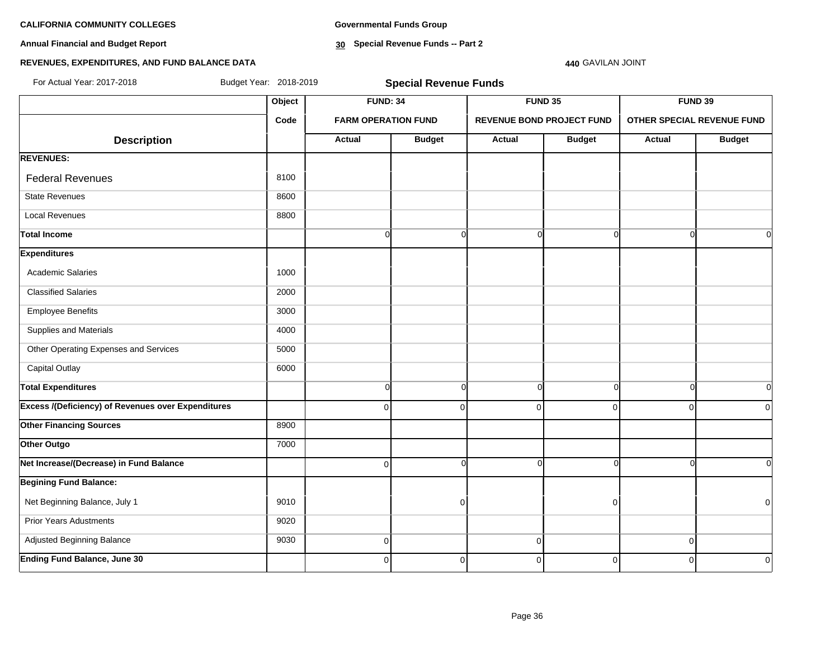**Annual Financial and Budget Report**

**Governmental Funds Group**

**30 Special Revenue Funds -- Part 2**

# **REVENUES, EXPENDITURES, AND FUND BALANCE DATA**

# **440** GAVILAN JOINT

| For Actual Year: 2017-2018                                | Budget Year: 2018-2019 |                            | <b>Special Revenue Funds</b>      |                                  |                |                                       |                |
|-----------------------------------------------------------|------------------------|----------------------------|-----------------------------------|----------------------------------|----------------|---------------------------------------|----------------|
|                                                           | Object                 |                            | <b>FUND: 34</b><br><b>FUND 35</b> |                                  |                | FUND 39<br>OTHER SPECIAL REVENUE FUND |                |
|                                                           | Code                   | <b>FARM OPERATION FUND</b> |                                   | <b>REVENUE BOND PROJECT FUND</b> |                |                                       |                |
| <b>Description</b>                                        |                        | <b>Actual</b>              | <b>Budget</b>                     | Actual                           | <b>Budget</b>  | Actual                                | <b>Budget</b>  |
| <b>REVENUES:</b>                                          |                        |                            |                                   |                                  |                |                                       |                |
| <b>Federal Revenues</b>                                   | 8100                   |                            |                                   |                                  |                |                                       |                |
| <b>State Revenues</b>                                     | 8600                   |                            |                                   |                                  |                |                                       |                |
| <b>Local Revenues</b>                                     | 8800                   |                            |                                   |                                  |                |                                       |                |
| <b>Total Income</b>                                       |                        | $\overline{0}$             | <sub>0</sub>                      | $\Omega$                         | $\Omega$       | n                                     | $\Omega$       |
| <b>Expenditures</b>                                       |                        |                            |                                   |                                  |                |                                       |                |
| <b>Academic Salaries</b>                                  | 1000                   |                            |                                   |                                  |                |                                       |                |
| <b>Classified Salaries</b>                                | 2000                   |                            |                                   |                                  |                |                                       |                |
| <b>Employee Benefits</b>                                  | 3000                   |                            |                                   |                                  |                |                                       |                |
| Supplies and Materials                                    | 4000                   |                            |                                   |                                  |                |                                       |                |
| Other Operating Expenses and Services                     | 5000                   |                            |                                   |                                  |                |                                       |                |
| Capital Outlay                                            | 6000                   |                            |                                   |                                  |                |                                       |                |
| <b>Total Expenditures</b>                                 |                        | $\overline{0}$             | $\overline{0}$                    | $\Omega$                         | $\Omega$       | $\Omega$                              | $\overline{0}$ |
| <b>Excess /(Deficiency) of Revenues over Expenditures</b> |                        | $\overline{0}$             | $\overline{0}$                    | $\Omega$                         | $\Omega$       | $\Omega$                              | $\Omega$       |
| <b>Other Financing Sources</b>                            | 8900                   |                            |                                   |                                  |                |                                       |                |
| Other Outgo                                               | 7000                   |                            |                                   |                                  |                |                                       |                |
| Net Increase/(Decrease) in Fund Balance                   |                        | $\mathbf 0$                | $\overline{0}$                    | ∩                                | $\Omega$       |                                       | $\Omega$       |
| <b>Begining Fund Balance:</b>                             |                        |                            |                                   |                                  |                |                                       |                |
| Net Beginning Balance, July 1                             | 9010                   |                            | 0                                 |                                  | $\Omega$       |                                       | $\Omega$       |
| <b>Prior Years Adustments</b>                             | 9020                   |                            |                                   |                                  |                |                                       |                |
| Adjusted Beginning Balance                                | 9030                   | $\mathbf 0$                |                                   | $\overline{0}$                   |                | $\mathbf 0$                           |                |
| <b>Ending Fund Balance, June 30</b>                       |                        | $\overline{0}$             | $\overline{0}$                    | $\Omega$                         | $\overline{0}$ | $\Omega$                              | $\Omega$       |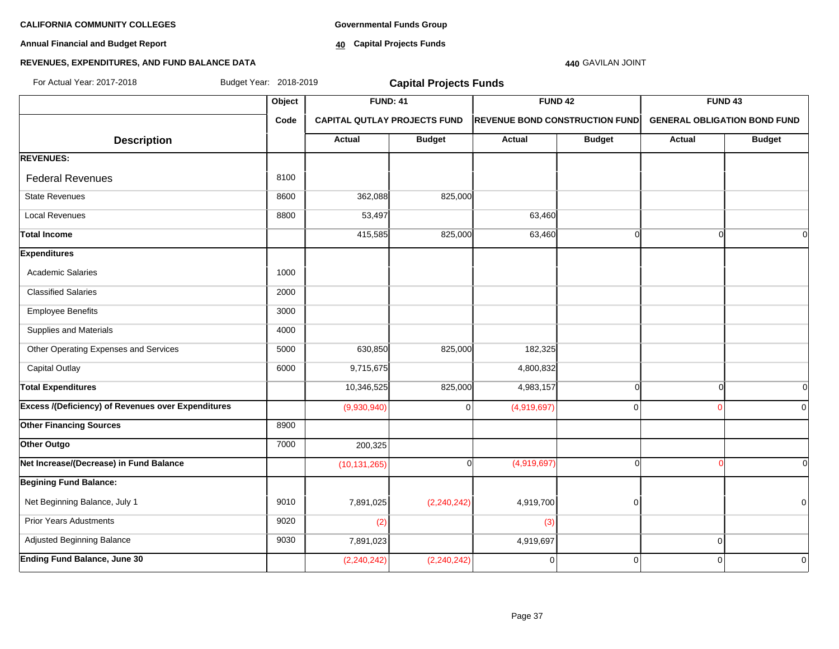**Annual Financial and Budget Report**

**Governmental Funds Group**

**40 Capital Projects Funds**

### **440** GAVILAN JOINT

| For Actual Year: 2017-2018                         | Budget Year: 2018-2019 |                                     | <b>Capital Projects Funds</b> |                                       |               |                                     |               |
|----------------------------------------------------|------------------------|-------------------------------------|-------------------------------|---------------------------------------|---------------|-------------------------------------|---------------|
|                                                    | Object                 | <b>FUND: 41</b>                     |                               | <b>FUND 42</b>                        |               | FUND <sub>43</sub>                  |               |
|                                                    | Code                   | <b>CAPITAL QUTLAY PROJECTS FUND</b> |                               | <b>REVENUE BOND CONSTRUCTION FUND</b> |               | <b>GENERAL OBLIGATION BOND FUND</b> |               |
| <b>Description</b>                                 |                        | Actual                              | <b>Budget</b>                 | <b>Actual</b>                         | <b>Budget</b> | Actual                              | <b>Budget</b> |
| <b>REVENUES:</b>                                   |                        |                                     |                               |                                       |               |                                     |               |
| <b>Federal Revenues</b>                            | 8100                   |                                     |                               |                                       |               |                                     |               |
| <b>State Revenues</b>                              | 8600                   | 362,088                             | 825,000                       |                                       |               |                                     |               |
| <b>Local Revenues</b>                              | 8800                   | 53,497                              |                               | 63,460                                |               |                                     |               |
| <b>Total Income</b>                                |                        | 415,585                             | 825,000                       | 63,460                                | $\Omega$      | $\Omega$                            |               |
| <b>Expenditures</b>                                |                        |                                     |                               |                                       |               |                                     |               |
| <b>Academic Salaries</b>                           | 1000                   |                                     |                               |                                       |               |                                     |               |
| <b>Classified Salaries</b>                         | 2000                   |                                     |                               |                                       |               |                                     |               |
| <b>Employee Benefits</b>                           | 3000                   |                                     |                               |                                       |               |                                     |               |
| Supplies and Materials                             | 4000                   |                                     |                               |                                       |               |                                     |               |
| Other Operating Expenses and Services              | 5000                   | 630,850                             | 825,000                       | 182,325                               |               |                                     |               |
| <b>Capital Outlay</b>                              | 6000                   | 9,715,675                           |                               | 4,800,832                             |               |                                     |               |
| <b>Total Expenditures</b>                          |                        | 10,346,525                          | 825,000                       | 4,983,157                             | $\Omega$      | $\cap$                              | 0             |
| Excess /(Deficiency) of Revenues over Expenditures |                        | (9,930,940)                         | $\Omega$                      | (4,919,697)                           | $\Omega$      |                                     | $\Omega$      |
| <b>Other Financing Sources</b>                     | 8900                   |                                     |                               |                                       |               |                                     |               |
| Other Outgo                                        | 7000                   | 200,325                             |                               |                                       |               |                                     |               |
| Net Increase/(Decrease) in Fund Balance            |                        | (10, 131, 265)                      | ∩                             | (4,919,697)                           | $\Omega$      |                                     | $\Omega$      |
| <b>Begining Fund Balance:</b>                      |                        |                                     |                               |                                       |               |                                     |               |
| Net Beginning Balance, July 1                      | 9010                   | 7,891,025                           | (2, 240, 242)                 | 4,919,700                             | $\mathbf 0$   |                                     | 0             |
| <b>Prior Years Adustments</b>                      | 9020                   | (2)                                 |                               | (3)                                   |               |                                     |               |
| Adjusted Beginning Balance                         | 9030                   | 7,891,023                           |                               | 4,919,697                             |               | $\mathbf 0$                         |               |
| <b>Ending Fund Balance, June 30</b>                |                        | (2, 240, 242)                       | (2, 240, 242)                 | $\mathbf 0$                           | 0             | 0                                   | 0             |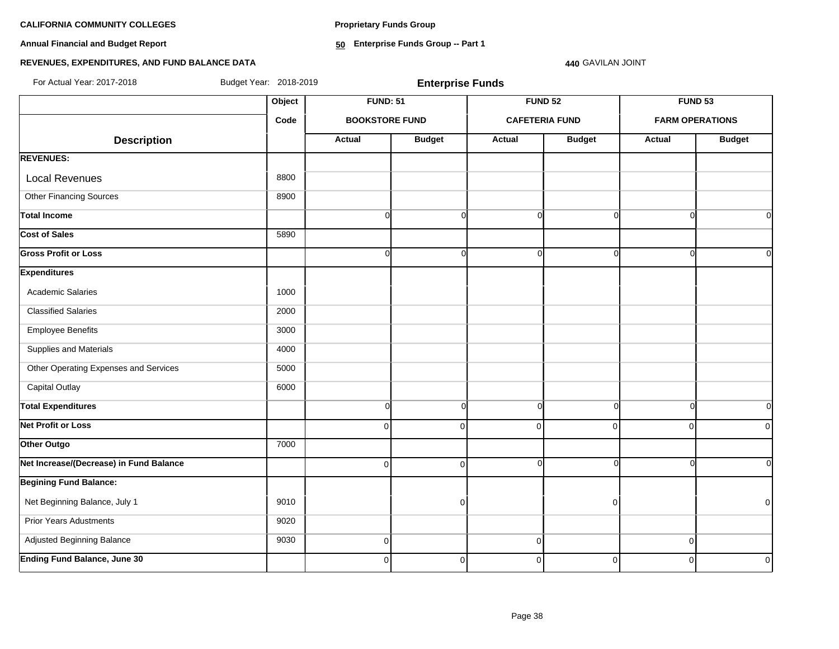**Proprietary Funds Group**

**Annual Financial and Budget Report**

**50 Enterprise Funds Group -- Part 1**

# **REVENUES, EXPENDITURES, AND FUND BALANCE DATA**

For Actual Year: 2017-2018 Budget Year: 2018-2019 **Enterprise Funds**

**440** GAVILAN JOINT

|                                         | Object | <b>FUND: 51</b>       |                | <b>FUND 52</b>        |                | <b>FUND 53</b>         |                |
|-----------------------------------------|--------|-----------------------|----------------|-----------------------|----------------|------------------------|----------------|
|                                         | Code   | <b>BOOKSTORE FUND</b> |                | <b>CAFETERIA FUND</b> |                | <b>FARM OPERATIONS</b> |                |
| <b>Description</b>                      |        | <b>Actual</b>         | <b>Budget</b>  | Actual                | <b>Budget</b>  | Actual                 | <b>Budget</b>  |
| <b>REVENUES:</b>                        |        |                       |                |                       |                |                        |                |
| <b>Local Revenues</b>                   | 8800   |                       |                |                       |                |                        |                |
| <b>Other Financing Sources</b>          | 8900   |                       |                |                       |                |                        |                |
| <b>Total Income</b>                     |        | $\overline{0}$        | $\overline{0}$ | $\Omega$              | $\Omega$       | $\Omega$               | $\Omega$       |
| <b>Cost of Sales</b>                    | 5890   |                       |                |                       |                |                        |                |
| <b>Gross Profit or Loss</b>             |        | $\overline{0}$        | $\overline{0}$ | $\Omega$              | $\Omega$       | $\cap$                 | $\overline{0}$ |
| <b>Expenditures</b>                     |        |                       |                |                       |                |                        |                |
| Academic Salaries                       | 1000   |                       |                |                       |                |                        |                |
| <b>Classified Salaries</b>              | 2000   |                       |                |                       |                |                        |                |
| <b>Employee Benefits</b>                | 3000   |                       |                |                       |                |                        |                |
| Supplies and Materials                  | 4000   |                       |                |                       |                |                        |                |
| Other Operating Expenses and Services   | 5000   |                       |                |                       |                |                        |                |
| <b>Capital Outlay</b>                   | 6000   |                       |                |                       |                |                        |                |
| <b>Total Expenditures</b>               |        | $\overline{0}$        | $\overline{0}$ | $\Omega$              | $\Omega$       | $\Omega$               | $\overline{0}$ |
| <b>Net Profit or Loss</b>               |        | $\overline{0}$        | $\overline{0}$ | 0                     | $\Omega$       | $\mathbf 0$            | $\overline{0}$ |
| Other Outgo                             | 7000   |                       |                |                       |                |                        |                |
| Net Increase/(Decrease) in Fund Balance |        | $\overline{0}$        | $\overline{0}$ | $\mathbf 0$           | $\Omega$       | $\Omega$               | $\overline{0}$ |
| <b>Begining Fund Balance:</b>           |        |                       |                |                       |                |                        |                |
| Net Beginning Balance, July 1           | 9010   |                       | $\Omega$       |                       | $\overline{0}$ |                        | $\overline{0}$ |
| <b>Prior Years Adustments</b>           | 9020   |                       |                |                       |                |                        |                |
| Adjusted Beginning Balance              | 9030   | $\overline{0}$        |                | $\mathbf 0$           |                | $\mathbf 0$            |                |
| <b>Ending Fund Balance, June 30</b>     |        | $\overline{0}$        | $\overline{0}$ | $\mathbf 0$           | $\Omega$       | $\Omega$               | $\overline{0}$ |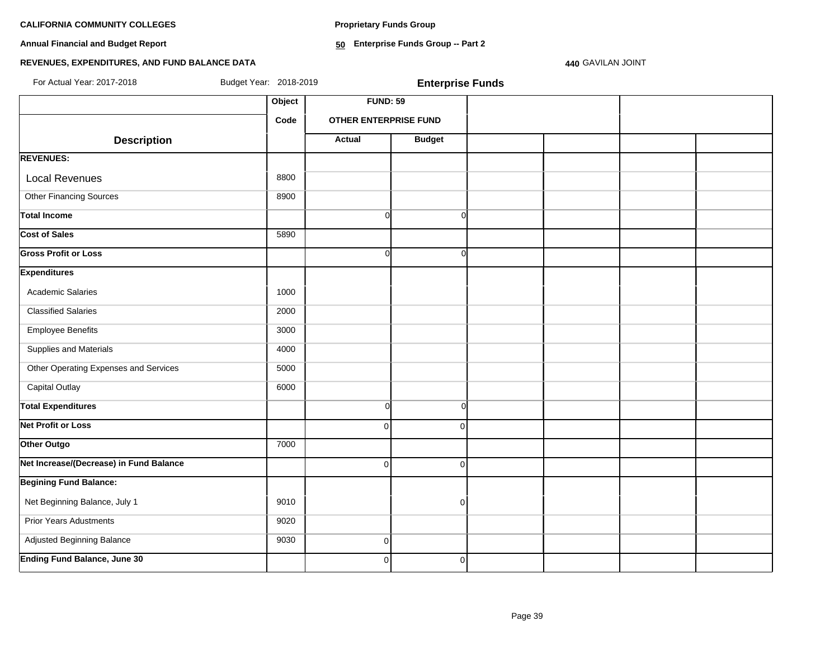**Proprietary Funds Group**

**Annual Financial and Budget Report**

**50 Enterprise Funds Group -- Part 2**

### **REVENUES, EXPENDITURES, AND FUND BALANCE DATA**

**440** GAVILAN JOINT

Object **FUND: 59 Code OTHER ENTERPRISE FUND Description Actual** Budget **REVENUES:** Local Revenues and all the state of the state of the state of the state of the state of the state of the state of the state of the state of the state of the state of the state of the state of the state of the state of the Other Financing Sources 8900 **Total Income** 0 0 **Cost of Sales** 5890 **Gross Profit or Loss** 0 0 **Expenditures** Academic Salaries 1000 Classified Salaries 2000 Employee Benefits 3000 Supplies and Materials 4000 Other Operating Expenses and Services **1000** 5000 Capital Outlay 6000 **Total Expenditures** Company of Company Company of Company Company of Company Company Company Company Company Company Company Company Company Company Company Company Company Company Company Company Company Company Company **Net Profit or Loss** 0 0 **Other Outgo** 7000 **Net Increase/(Decrease) in Fund Balance** 0 0 **Begining Fund Balance:** Net Beginning Balance, July 1 9010 0 Prior Years Adustments **9020**  Adjusted Beginning Balance 9030 0 For Actual Year: 2017-2018 Budget Year: 2018-2019 **Enterprise Funds**

**Ending Fund Balance, June 30** 0 0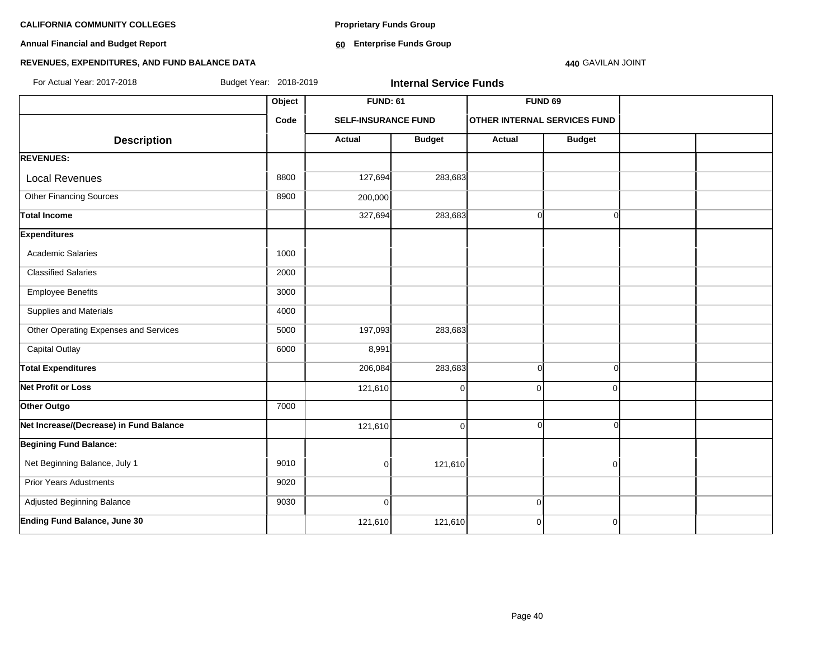**Annual Financial and Budget Report**

**Proprietary Funds Group**

**60 Enterprise Funds Group** 

### **440** GAVILAN JOINT

| For Actual Year: 2017-2018              | Budget Year: 2018-2019 | <b>Internal Service Funds</b> |                 |                                     |                    |  |
|-----------------------------------------|------------------------|-------------------------------|-----------------|-------------------------------------|--------------------|--|
|                                         | Object                 |                               | <b>FUND: 61</b> |                                     | FUND <sub>69</sub> |  |
|                                         | Code                   | <b>SELF-INSURANCE FUND</b>    |                 | <b>OTHER INTERNAL SERVICES FUND</b> |                    |  |
| <b>Description</b>                      |                        | Actual                        | <b>Budget</b>   | <b>Actual</b>                       | <b>Budget</b>      |  |
| <b>REVENUES:</b>                        |                        |                               |                 |                                     |                    |  |
| <b>Local Revenues</b>                   | 8800                   | 127,694                       | 283,683         |                                     |                    |  |
| <b>Other Financing Sources</b>          | 8900                   | 200,000                       |                 |                                     |                    |  |
| <b>Total Income</b>                     |                        | 327,694                       | 283,683         | $\Omega$                            | $\Omega$           |  |
| <b>Expenditures</b>                     |                        |                               |                 |                                     |                    |  |
| Academic Salaries                       | 1000                   |                               |                 |                                     |                    |  |
| <b>Classified Salaries</b>              | 2000                   |                               |                 |                                     |                    |  |
| <b>Employee Benefits</b>                | 3000                   |                               |                 |                                     |                    |  |
| Supplies and Materials                  | 4000                   |                               |                 |                                     |                    |  |
| Other Operating Expenses and Services   | 5000                   | 197,093                       | 283,683         |                                     |                    |  |
| <b>Capital Outlay</b>                   | 6000                   | 8,991                         |                 |                                     |                    |  |
| <b>Total Expenditures</b>               |                        | 206,084                       | 283,683         | $\Omega$                            | $\Omega$           |  |
| <b>Net Profit or Loss</b>               |                        | 121,610                       | $\Omega$        | $\Omega$                            | $\Omega$           |  |
| Other Outgo                             | 7000                   |                               |                 |                                     |                    |  |
| Net Increase/(Decrease) in Fund Balance |                        | 121,610                       | $\Omega$        | n                                   | ∩                  |  |
| <b>Begining Fund Balance:</b>           |                        |                               |                 |                                     |                    |  |
| Net Beginning Balance, July 1           | 9010                   | $\overline{0}$                | 121,610         |                                     | $\Omega$           |  |
| <b>Prior Years Adustments</b>           | 9020                   |                               |                 |                                     |                    |  |
| Adjusted Beginning Balance              | 9030                   | $\overline{0}$                |                 | $\mathbf 0$                         |                    |  |
| <b>Ending Fund Balance, June 30</b>     |                        | 121,610                       | 121,610         | $\mathbf 0$                         | $\mathbf 0$        |  |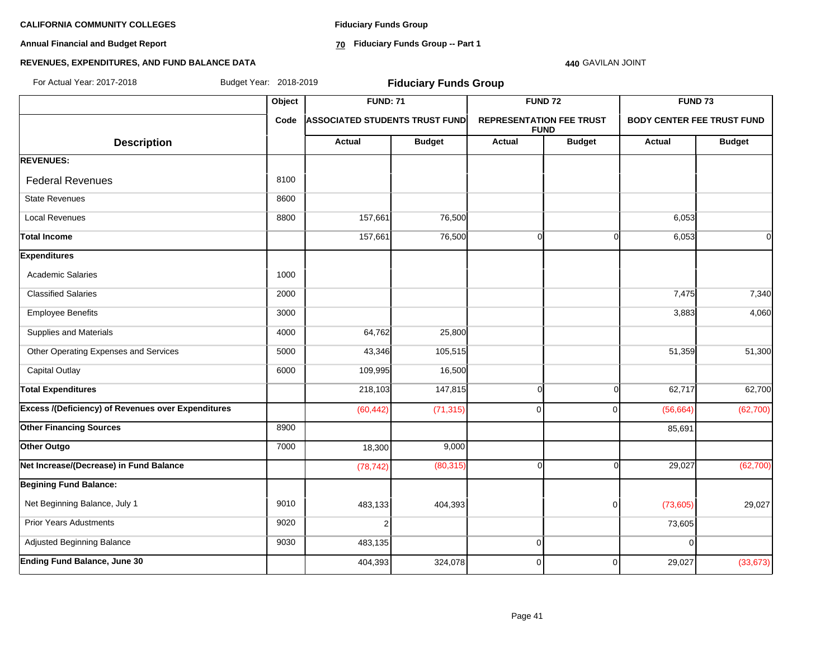**Annual Financial and Budget Report**

**Fiduciary Funds Group**

**70 Fiduciary Funds Group -- Part 1**

### **440** GAVILAN JOINT

| For Actual Year: 2017-2018                                |        | Budget Year: 2018-2019<br><b>Fiduciary Funds Group</b>           |               |                                                |                |                                   |               |  |  |
|-----------------------------------------------------------|--------|------------------------------------------------------------------|---------------|------------------------------------------------|----------------|-----------------------------------|---------------|--|--|
|                                                           | Object | <b>FUND: 71</b><br><b>ASSOCIATED STUDENTS TRUST FUND</b><br>Code |               |                                                | <b>FUND 72</b> | FUND <sub>73</sub>                |               |  |  |
|                                                           |        |                                                                  |               | <b>REPRESENTATION FEE TRUST</b><br><b>FUND</b> |                | <b>BODY CENTER FEE TRUST FUND</b> |               |  |  |
| <b>Description</b>                                        |        | Actual                                                           | <b>Budget</b> | <b>Actual</b>                                  | <b>Budget</b>  | <b>Actual</b>                     | <b>Budget</b> |  |  |
| <b>REVENUES:</b>                                          |        |                                                                  |               |                                                |                |                                   |               |  |  |
| <b>Federal Revenues</b>                                   | 8100   |                                                                  |               |                                                |                |                                   |               |  |  |
| <b>State Revenues</b>                                     | 8600   |                                                                  |               |                                                |                |                                   |               |  |  |
| <b>Local Revenues</b>                                     | 8800   | 157,661                                                          | 76,500        |                                                |                | 6,053                             |               |  |  |
| <b>Total Income</b>                                       |        | 157,661                                                          | 76,500        | $\Omega$                                       | $\Omega$       | 6,053                             | 0l            |  |  |
| <b>Expenditures</b>                                       |        |                                                                  |               |                                                |                |                                   |               |  |  |
| <b>Academic Salaries</b>                                  | 1000   |                                                                  |               |                                                |                |                                   |               |  |  |
| <b>Classified Salaries</b>                                | 2000   |                                                                  |               |                                                |                | 7,475                             | 7,340         |  |  |
| <b>Employee Benefits</b>                                  | 3000   |                                                                  |               |                                                |                | 3,883                             | 4,060         |  |  |
| Supplies and Materials                                    | 4000   | 64,762                                                           | 25,800        |                                                |                |                                   |               |  |  |
| Other Operating Expenses and Services                     | 5000   | 43,346                                                           | 105,515       |                                                |                | 51,359                            | 51,300        |  |  |
| <b>Capital Outlay</b>                                     | 6000   | 109,995                                                          | 16,500        |                                                |                |                                   |               |  |  |
| <b>Total Expenditures</b>                                 |        | 218,103                                                          | 147,815       | $\Omega$                                       | $\Omega$       | 62,717                            | 62,700        |  |  |
| <b>Excess /(Deficiency) of Revenues over Expenditures</b> |        | (60, 442)                                                        | (71, 315)     | $\Omega$                                       | $\Omega$       | (56, 664)                         | (62, 700)     |  |  |
| <b>Other Financing Sources</b>                            | 8900   |                                                                  |               |                                                |                | 85,691                            |               |  |  |
| Other Outgo                                               | 7000   | 18,300                                                           | 9,000         |                                                |                |                                   |               |  |  |
| Net Increase/(Decrease) in Fund Balance                   |        | (78, 742)                                                        | (80, 315)     | $\Omega$                                       | $\Omega$       | 29,027                            | (62, 700)     |  |  |
| <b>Begining Fund Balance:</b>                             |        |                                                                  |               |                                                |                |                                   |               |  |  |
| Net Beginning Balance, July 1                             | 9010   | 483,133                                                          | 404,393       |                                                | $\mathbf 0$    | (73,605)                          | 29,027        |  |  |
| <b>Prior Years Adustments</b>                             | 9020   | $\overline{2}$                                                   |               |                                                |                | 73,605                            |               |  |  |
| Adjusted Beginning Balance                                | 9030   | 483,135                                                          |               | $\mathbf 0$                                    |                | $\Omega$                          |               |  |  |
| <b>Ending Fund Balance, June 30</b>                       |        | 404,393                                                          | 324,078       | 0                                              | $\Omega$       | 29,027                            | (33, 673)     |  |  |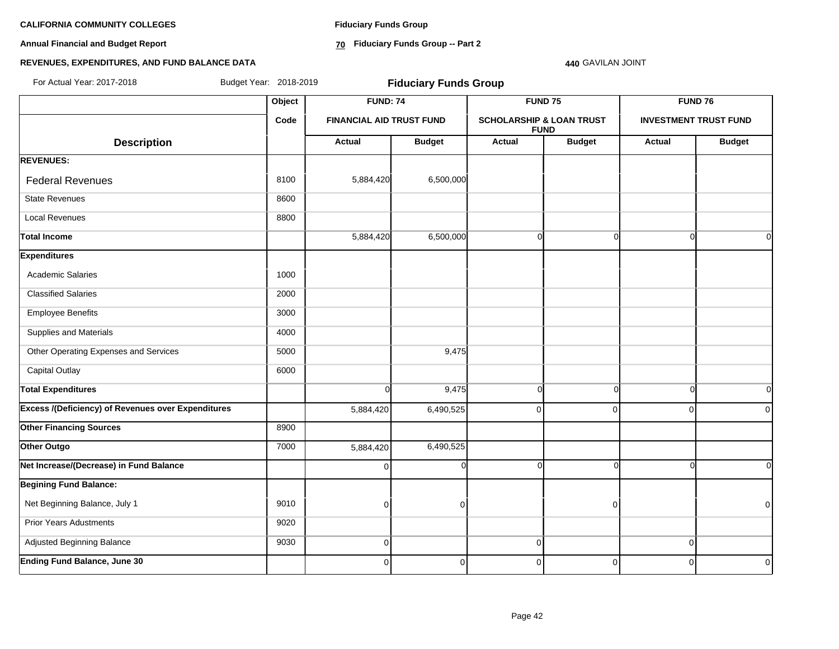**Annual Financial and Budget Report**

**Fiduciary Funds Group**

**70 Fiduciary Funds Group -- Part 2**

### **440** GAVILAN JOINT

| For Actual Year: 2017-2018                                |        | Budget Year: 2018-2019<br><b>Fiduciary Funds Group</b> |                |                                                    |                    |                              |               |
|-----------------------------------------------------------|--------|--------------------------------------------------------|----------------|----------------------------------------------------|--------------------|------------------------------|---------------|
|                                                           | Object | <b>FUND: 74</b>                                        |                |                                                    | FUND <sub>75</sub> | FUND 76                      |               |
|                                                           | Code   | <b>FINANCIAL AID TRUST FUND</b>                        |                | <b>SCHOLARSHIP &amp; LOAN TRUST</b><br><b>FUND</b> |                    | <b>INVESTMENT TRUST FUND</b> |               |
| <b>Description</b>                                        |        | Actual                                                 | <b>Budget</b>  | <b>Actual</b>                                      | <b>Budget</b>      | Actual                       | <b>Budget</b> |
| <b>REVENUES:</b>                                          |        |                                                        |                |                                                    |                    |                              |               |
| <b>Federal Revenues</b>                                   | 8100   | 5,884,420                                              | 6,500,000      |                                                    |                    |                              |               |
| <b>State Revenues</b>                                     | 8600   |                                                        |                |                                                    |                    |                              |               |
| <b>Local Revenues</b>                                     | 8800   |                                                        |                |                                                    |                    |                              |               |
| <b>Total Income</b>                                       |        | 5,884,420                                              | 6,500,000      | $\overline{0}$                                     | $\Omega$           | $\cap$                       | $\Omega$      |
| <b>Expenditures</b>                                       |        |                                                        |                |                                                    |                    |                              |               |
| <b>Academic Salaries</b>                                  | 1000   |                                                        |                |                                                    |                    |                              |               |
| <b>Classified Salaries</b>                                | 2000   |                                                        |                |                                                    |                    |                              |               |
| <b>Employee Benefits</b>                                  | 3000   |                                                        |                |                                                    |                    |                              |               |
| Supplies and Materials                                    | 4000   |                                                        |                |                                                    |                    |                              |               |
| Other Operating Expenses and Services                     | 5000   |                                                        | 9,475          |                                                    |                    |                              |               |
| <b>Capital Outlay</b>                                     | 6000   |                                                        |                |                                                    |                    |                              |               |
| <b>Total Expenditures</b>                                 |        | $\Omega$                                               | 9,475          | $\overline{0}$                                     | $\Omega$           | $\Omega$                     | <sub>0</sub>  |
| <b>Excess /(Deficiency) of Revenues over Expenditures</b> |        | 5,884,420                                              | 6,490,525      | $\Omega$                                           | U                  | $\Omega$                     | $\Omega$      |
| <b>Other Financing Sources</b>                            | 8900   |                                                        |                |                                                    |                    |                              |               |
| Other Outgo                                               | 7000   | 5,884,420                                              | 6,490,525      |                                                    |                    |                              |               |
| Net Increase/(Decrease) in Fund Balance                   |        | $\Omega$                                               | n              | $\Omega$                                           |                    |                              | $\Omega$      |
| <b>Begining Fund Balance:</b>                             |        |                                                        |                |                                                    |                    |                              |               |
| Net Beginning Balance, July 1                             | 9010   | $\Omega$                                               | O              |                                                    |                    |                              | $\mathbf 0$   |
| <b>Prior Years Adustments</b>                             | 9020   |                                                        |                |                                                    |                    |                              |               |
| Adjusted Beginning Balance                                | 9030   | $\overline{0}$                                         |                | $\overline{0}$                                     |                    | $\mathbf 0$                  |               |
| <b>Ending Fund Balance, June 30</b>                       |        | $\overline{0}$                                         | $\overline{0}$ | $\overline{0}$                                     | 0                  | $\mathbf 0$                  | 0             |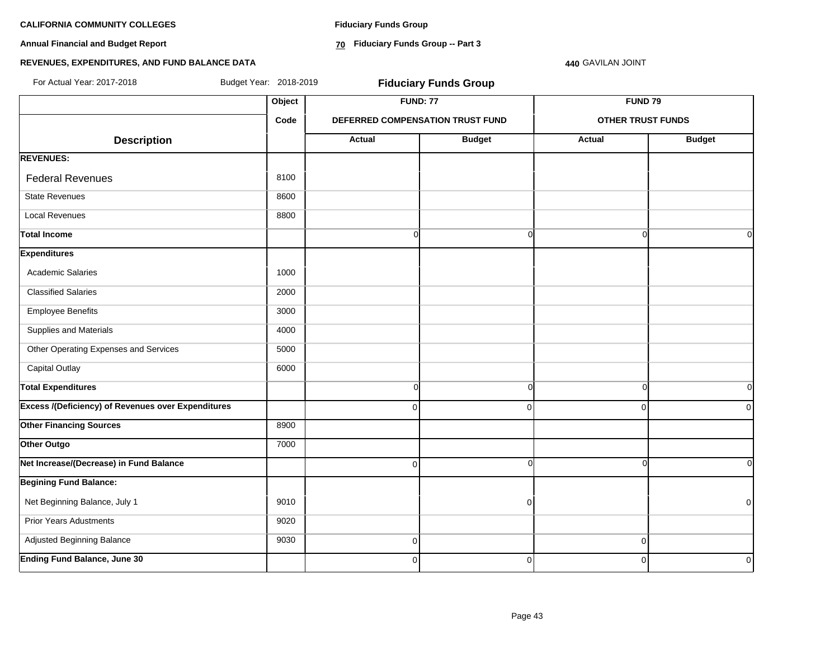**Annual Financial and Budget Report**

**Fiduciary Funds Group**

**70 Fiduciary Funds Group -- Part 3**

**440** GAVILAN JOINT

| For Actual Year: 2017-2018                                | Budget Year: 2018-2019 |                | <b>Fiduciary Funds Group</b>     |                          |               |  |
|-----------------------------------------------------------|------------------------|----------------|----------------------------------|--------------------------|---------------|--|
|                                                           |                        |                | <b>FUND: 77</b>                  | <b>FUND 79</b>           |               |  |
|                                                           | Code                   |                | DEFERRED COMPENSATION TRUST FUND | <b>OTHER TRUST FUNDS</b> |               |  |
| <b>Description</b>                                        |                        | <b>Actual</b>  | <b>Budget</b>                    | <b>Actual</b>            | <b>Budget</b> |  |
| <b>REVENUES:</b>                                          |                        |                |                                  |                          |               |  |
| <b>Federal Revenues</b>                                   | 8100                   |                |                                  |                          |               |  |
| <b>State Revenues</b>                                     | 8600                   |                |                                  |                          |               |  |
| <b>Local Revenues</b>                                     | 8800                   |                |                                  |                          |               |  |
| <b>Total Income</b>                                       |                        | $\overline{0}$ | $\overline{0}$                   | $\Omega$                 | 0I            |  |
| <b>Expenditures</b>                                       |                        |                |                                  |                          |               |  |
| <b>Academic Salaries</b>                                  | 1000                   |                |                                  |                          |               |  |
| <b>Classified Salaries</b>                                | 2000                   |                |                                  |                          |               |  |
| <b>Employee Benefits</b>                                  | 3000                   |                |                                  |                          |               |  |
| Supplies and Materials                                    | 4000                   |                |                                  |                          |               |  |
| Other Operating Expenses and Services                     | 5000                   |                |                                  |                          |               |  |
| <b>Capital Outlay</b>                                     | 6000                   |                |                                  |                          |               |  |
| <b>Total Expenditures</b>                                 |                        | 0              | $\overline{0}$                   | $\mathbf 0$              | 0l            |  |
| <b>Excess /(Deficiency) of Revenues over Expenditures</b> |                        | $\Omega$       | $\overline{0}$                   | $\mathbf 0$              | 0             |  |
| <b>Other Financing Sources</b>                            | 8900                   |                |                                  |                          |               |  |
| Other Outgo                                               | 7000                   |                |                                  |                          |               |  |
| Net Increase/(Decrease) in Fund Balance                   |                        | 0              | $\overline{0}$                   | $\Omega$                 | οI            |  |
| <b>Begining Fund Balance:</b>                             |                        |                |                                  |                          |               |  |
| Net Beginning Balance, July 1                             | 9010                   |                | $\overline{0}$                   |                          | $\mathbf 0$   |  |
| <b>Prior Years Adustments</b>                             | 9020                   |                |                                  |                          |               |  |
| Adjusted Beginning Balance                                | 9030                   | $\overline{0}$ |                                  | $\mathbf 0$              |               |  |
| <b>Ending Fund Balance, June 30</b>                       |                        | $\overline{0}$ | $\overline{0}$                   | $\mathbf 0$              | $\mathbf 0$   |  |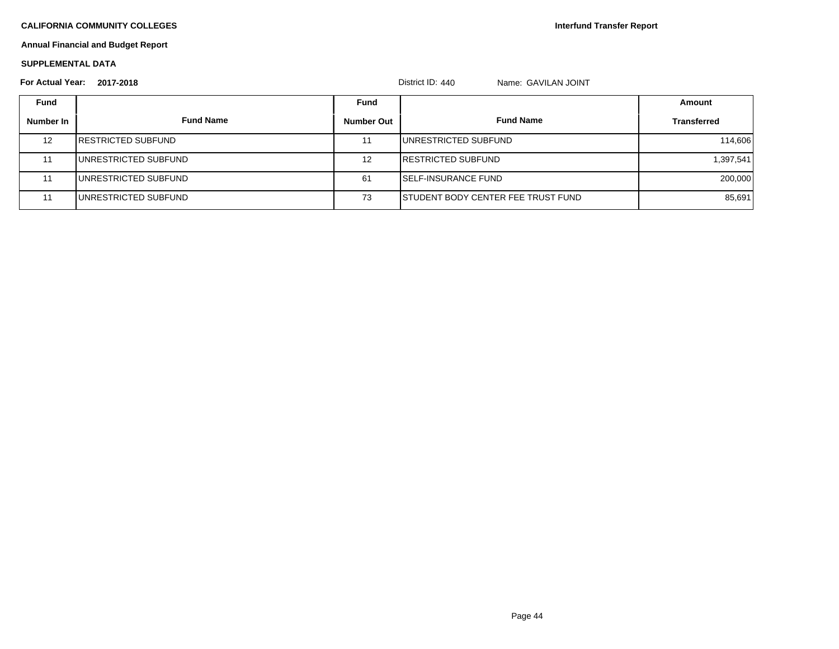**Interfund Transfer Report**

# **Annual Financial and Budget Report**

### **SUPPLEMENTAL DATA**

| <b>For Actual Year:</b> | 2017-2018                  |                   | District ID: 440<br>Name: GAVILAN JOINT    |                    |
|-------------------------|----------------------------|-------------------|--------------------------------------------|--------------------|
| <b>Fund</b>             |                            | Fund              |                                            | Amount             |
| Number In               | <b>Fund Name</b>           | <b>Number Out</b> | <b>Fund Name</b>                           | <b>Transferred</b> |
| 12                      | <b>IRESTRICTED SUBFUND</b> | 11                | <b>IUNRESTRICTED SUBFUND</b>               | 114,606            |
| 11                      | IUNRESTRICTED SUBFUND      | 12                | <b>IRESTRICTED SUBFUND</b>                 | 1,397,541          |
|                         | IUNRESTRICTED SUBFUND      | 61                | <b>ISELF-INSURANCE FUND</b>                | 200,000            |
|                         | IUNRESTRICTED SUBFUND      | 73                | <b>ISTUDENT BODY CENTER FEE TRUST FUND</b> | 85,691             |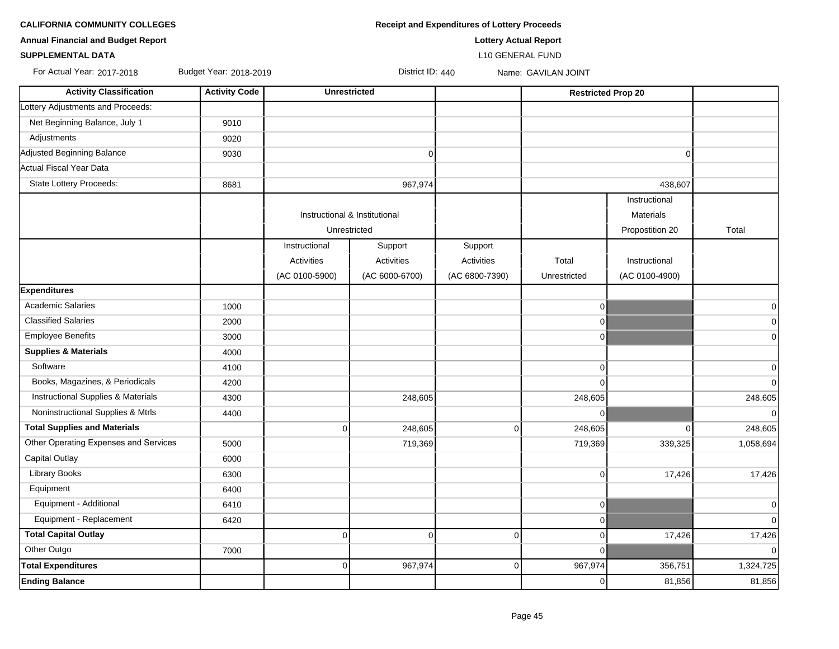| <b>CALIFORNIA COMMUNITY COLLEGES</b> | <b>Receipt and Expenditures of Lottery Proceeds</b> |
|--------------------------------------|-----------------------------------------------------|
|                                      |                                                     |

**SUPPLEMENTAL DATA** L10 GENERAL FUND

| <b>Annual Financial and Budget Report</b> |  | <b>Lottery Actual Report</b> |
|-------------------------------------------|--|------------------------------|

| For Actual Year: 2017-2018 | Budget Ye |
|----------------------------|-----------|
|                            |           |

ear: 2018-2019 **For Actual Year: 2018-2019** Bustrict ID: 440 Name: GAVILAN JOINT

| <b>Activity Classification</b>        | <b>Activity Code</b> | <b>Unrestricted</b>           |                |                | <b>Restricted Prop 20</b> |                  |                |
|---------------------------------------|----------------------|-------------------------------|----------------|----------------|---------------------------|------------------|----------------|
| Lottery Adjustments and Proceeds:     |                      |                               |                |                |                           |                  |                |
| Net Beginning Balance, July 1         | 9010                 |                               |                |                |                           |                  |                |
| Adjustments                           | 9020                 |                               |                |                |                           |                  |                |
| Adjusted Beginning Balance            | 9030                 |                               | $\overline{0}$ |                |                           | $\Omega$         |                |
| Actual Fiscal Year Data               |                      |                               |                |                |                           |                  |                |
| State Lottery Proceeds:               | 8681                 |                               | 967,974        |                |                           | 438,607          |                |
|                                       |                      |                               |                |                |                           | Instructional    |                |
|                                       |                      | Instructional & Institutional |                |                |                           | <b>Materials</b> |                |
|                                       |                      | Unrestricted                  |                |                |                           | Propostition 20  | Total          |
|                                       |                      | Instructional                 | Support        | Support        |                           |                  |                |
|                                       |                      | Activities                    | Activities     | Activities     | Total                     | Instructional    |                |
|                                       |                      | (AC 0100-5900)                | (AC 6000-6700) | (AC 6800-7390) | Unrestricted              | (AC 0100-4900)   |                |
| <b>Expenditures</b>                   |                      |                               |                |                |                           |                  |                |
| <b>Academic Salaries</b>              | 1000                 |                               |                |                | $\overline{0}$            |                  | $\pmb{0}$      |
| <b>Classified Salaries</b>            | 2000                 |                               |                |                | $\Omega$                  |                  | $\pmb{0}$      |
| <b>Employee Benefits</b>              | 3000                 |                               |                |                | $\overline{0}$            |                  | $\mathbf 0$    |
| <b>Supplies &amp; Materials</b>       | 4000                 |                               |                |                |                           |                  |                |
| Software                              | 4100                 |                               |                |                | $\Omega$                  |                  | $\overline{0}$ |
| Books, Magazines, & Periodicals       | 4200                 |                               |                |                | $\Omega$                  |                  | $\overline{0}$ |
| Instructional Supplies & Materials    | 4300                 |                               | 248,605        |                | 248,605                   |                  | 248,605        |
| Noninstructional Supplies & Mtrls     | 4400                 |                               |                |                | 0                         |                  | $\overline{0}$ |
| <b>Total Supplies and Materials</b>   |                      | 0                             | 248,605        | $\Omega$       | 248,605                   | $\mathbf 0$      | 248,605        |
| Other Operating Expenses and Services | 5000                 |                               | 719,369        |                | 719,369                   | 339,325          | 1,058,694      |
| <b>Capital Outlay</b>                 | 6000                 |                               |                |                |                           |                  |                |
| Library Books                         | 6300                 |                               |                |                | $\mathbf 0$               | 17,426           | 17,426         |
| Equipment                             | 6400                 |                               |                |                |                           |                  |                |
| Equipment - Additional                | 6410                 |                               |                |                | $\overline{0}$            |                  | $\mathbf 0$    |
| Equipment - Replacement               | 6420                 |                               |                |                | $\Omega$                  |                  | $\Omega$       |
| <b>Total Capital Outlay</b>           |                      | $\Omega$                      | 0              | $\Omega$       | $\Omega$                  | 17,426           | 17,426         |
| Other Outgo                           | 7000                 |                               |                |                | $\Omega$                  |                  | $\Omega$       |
| <b>Total Expenditures</b>             |                      | 0                             | 967,974        | $\Omega$       | 967,974                   | 356,751          | 1,324,725      |
| <b>Ending Balance</b>                 |                      |                               |                |                | $\Omega$                  | 81,856           | 81,856         |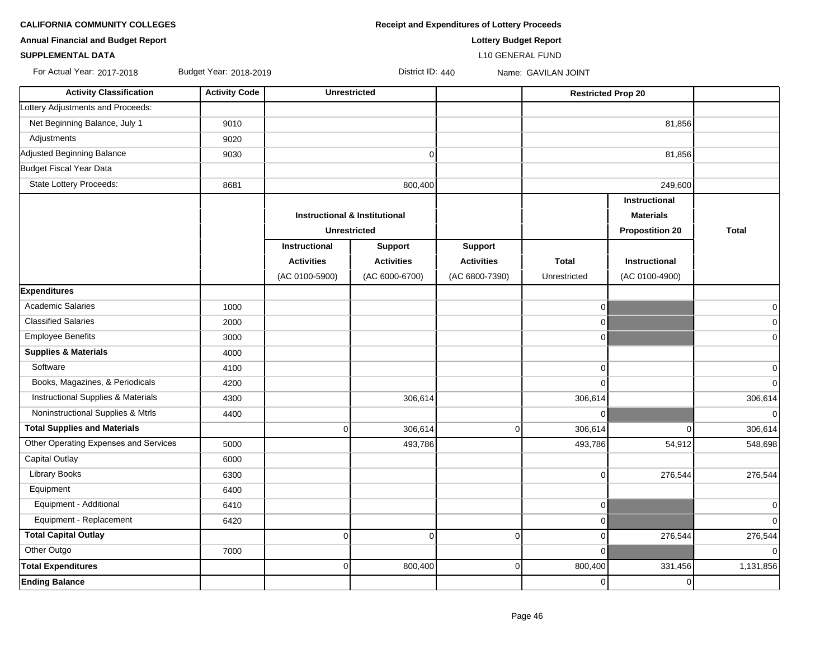**CALIFORNIA COMMUNITY COLLEGES Receipt and Expenditures of Lottery Proceeds** 

**Annual Financial and Budget Report Lottery Budget Report**

### **SUPPLEMENTAL DATA** L10 GENERAL FUND

For Actual Year: 2017-2018 Budget Year: 2018-2019 Contract Contract ID: 440 Name: GAVILAN JOINT

| <b>Activity Classification</b>        | <b>Activity Code</b> | <b>Unrestricted</b>                                             |                   |                   | <b>Restricted Prop 20</b> |                        |                |
|---------------------------------------|----------------------|-----------------------------------------------------------------|-------------------|-------------------|---------------------------|------------------------|----------------|
| Lottery Adjustments and Proceeds:     |                      |                                                                 |                   |                   |                           |                        |                |
| Net Beginning Balance, July 1         | 9010                 |                                                                 |                   |                   |                           | 81,856                 |                |
| Adjustments                           | 9020                 |                                                                 |                   |                   |                           |                        |                |
| Adjusted Beginning Balance            | 9030                 | $\mathbf 0$                                                     |                   |                   | 81,856                    |                        |                |
| Budget Fiscal Year Data               |                      |                                                                 |                   |                   |                           |                        |                |
| State Lottery Proceeds:               | 8681                 | 800,400                                                         |                   |                   | 249,600                   |                        |                |
|                                       |                      |                                                                 |                   |                   |                           | Instructional          |                |
|                                       |                      | <b>Instructional &amp; Institutional</b><br><b>Unrestricted</b> |                   |                   |                           | <b>Materials</b>       |                |
|                                       |                      |                                                                 |                   |                   |                           | <b>Propostition 20</b> | <b>Total</b>   |
|                                       |                      | Instructional                                                   | <b>Support</b>    | <b>Support</b>    |                           |                        |                |
|                                       |                      | <b>Activities</b>                                               | <b>Activities</b> | <b>Activities</b> | <b>Total</b>              | <b>Instructional</b>   |                |
|                                       |                      | (AC 0100-5900)                                                  | (AC 6000-6700)    | (AC 6800-7390)    | Unrestricted              | (AC 0100-4900)         |                |
| <b>Expenditures</b>                   |                      |                                                                 |                   |                   |                           |                        |                |
| <b>Academic Salaries</b>              | 1000                 |                                                                 |                   |                   | $\overline{0}$            |                        | 0              |
| <b>Classified Salaries</b>            | 2000                 |                                                                 |                   |                   | $\overline{0}$            |                        | $\overline{0}$ |
| <b>Employee Benefits</b>              | 3000                 |                                                                 |                   |                   | $\overline{0}$            |                        | $\overline{0}$ |
| <b>Supplies &amp; Materials</b>       | 4000                 |                                                                 |                   |                   |                           |                        |                |
| Software                              | 4100                 |                                                                 |                   |                   | $\overline{0}$            |                        | 0              |
| Books, Magazines, & Periodicals       | 4200                 |                                                                 |                   |                   | $\Omega$                  |                        | 0              |
| Instructional Supplies & Materials    | 4300                 |                                                                 | 306,614           |                   | 306,614                   |                        | 306,614        |
| Noninstructional Supplies & Mtrls     | 4400                 |                                                                 |                   |                   | $\overline{0}$            |                        | $\Omega$       |
| <b>Total Supplies and Materials</b>   |                      | $\overline{0}$                                                  | 306,614           | $\Omega$          | 306,614                   | $\Omega$               | 306,614        |
| Other Operating Expenses and Services | 5000                 |                                                                 | 493,786           |                   | 493,786                   | 54,912                 | 548,698        |
| <b>Capital Outlay</b>                 | 6000                 |                                                                 |                   |                   |                           |                        |                |
| <b>Library Books</b>                  | 6300                 |                                                                 |                   |                   | $\overline{0}$            | 276,544                | 276,544        |
| Equipment                             | 6400                 |                                                                 |                   |                   |                           |                        |                |
| Equipment - Additional                | 6410                 |                                                                 |                   |                   | $\overline{0}$            |                        | $\overline{0}$ |
| Equipment - Replacement               | 6420                 |                                                                 |                   |                   | $\overline{0}$            |                        | $\Omega$       |
| <b>Total Capital Outlay</b>           |                      | $\mathbf 0$                                                     | $\Omega$          | 0                 | $\overline{0}$            | 276,544                | 276,544        |
| Other Outgo                           | 7000                 |                                                                 |                   |                   | $\Omega$                  |                        |                |
| <b>Total Expenditures</b>             |                      | $\pmb{0}$                                                       | 800,400           | $\overline{0}$    | 800,400                   | 331,456                | 1,131,856      |
| <b>Ending Balance</b>                 |                      |                                                                 |                   |                   | $\overline{0}$            | $\mathbf 0$            |                |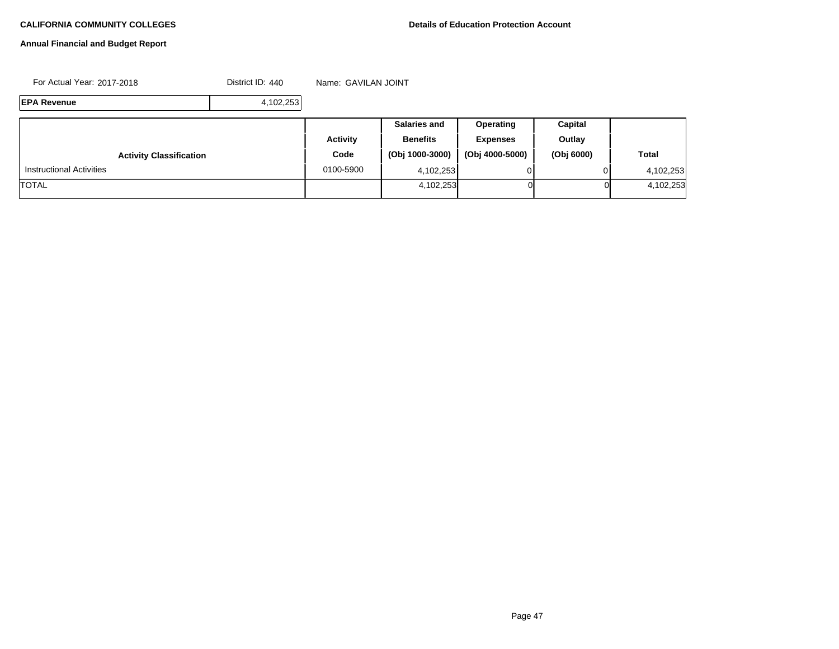# **Annual Financial and Budget Report**

For Actual Year: 2017-2018 Contract ID: 440 Name: GAVILAN JOINT

**EPA Revenue** 4,102,253

|                                 |                 | <b>Salaries and</b> | <b>Operating</b> | Capital    |              |
|---------------------------------|-----------------|---------------------|------------------|------------|--------------|
|                                 | <b>Activity</b> | <b>Benefits</b>     | <b>Expenses</b>  | Outlay     |              |
| <b>Activity Classification</b>  | Code            | (Obj 1000-3000)     | (Obj 4000-5000)  | (Obj 6000) | <b>Total</b> |
| <b>Instructional Activities</b> | 0100-5900       | 4,102,253           |                  |            | 4,102,253    |
| <b>TOTAL</b>                    |                 | 4,102,253           | ΟI               | Οl         | 4,102,253    |